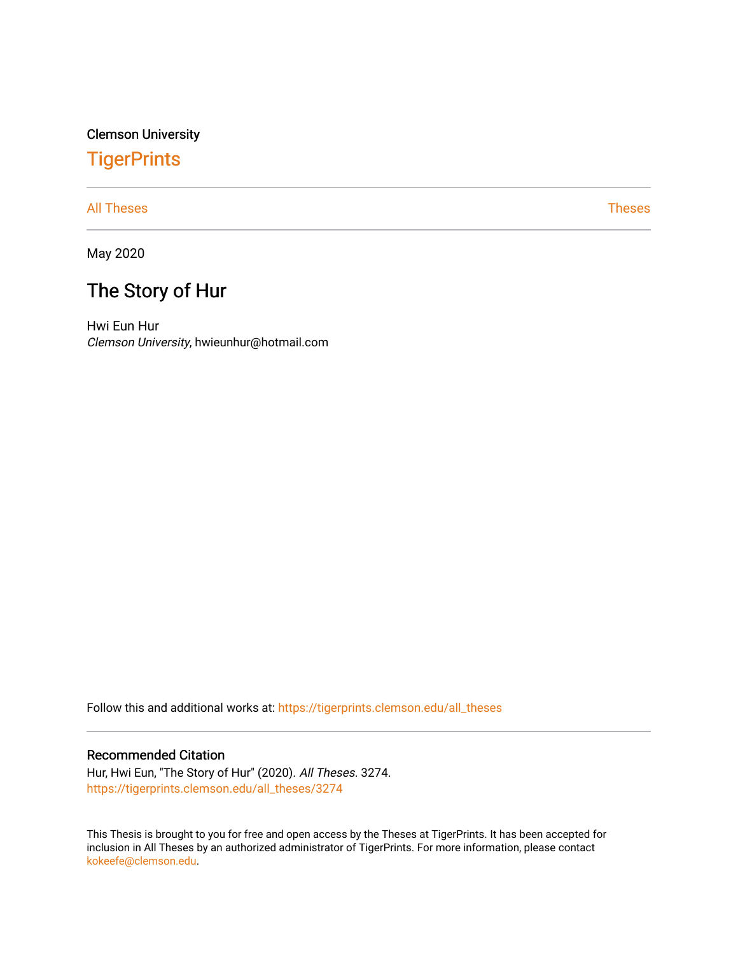Clemson University

# **TigerPrints**

[All Theses](https://tigerprints.clemson.edu/all_theses) **Theses** [Theses](https://tigerprints.clemson.edu/theses) **Theses** 

May 2020

# The Story of Hur

Hwi Eun Hur Clemson University, hwieunhur@hotmail.com

Follow this and additional works at: [https://tigerprints.clemson.edu/all\\_theses](https://tigerprints.clemson.edu/all_theses?utm_source=tigerprints.clemson.edu%2Fall_theses%2F3274&utm_medium=PDF&utm_campaign=PDFCoverPages) 

#### Recommended Citation

Hur, Hwi Eun, "The Story of Hur" (2020). All Theses. 3274. [https://tigerprints.clemson.edu/all\\_theses/3274](https://tigerprints.clemson.edu/all_theses/3274?utm_source=tigerprints.clemson.edu%2Fall_theses%2F3274&utm_medium=PDF&utm_campaign=PDFCoverPages) 

This Thesis is brought to you for free and open access by the Theses at TigerPrints. It has been accepted for inclusion in All Theses by an authorized administrator of TigerPrints. For more information, please contact [kokeefe@clemson.edu](mailto:kokeefe@clemson.edu).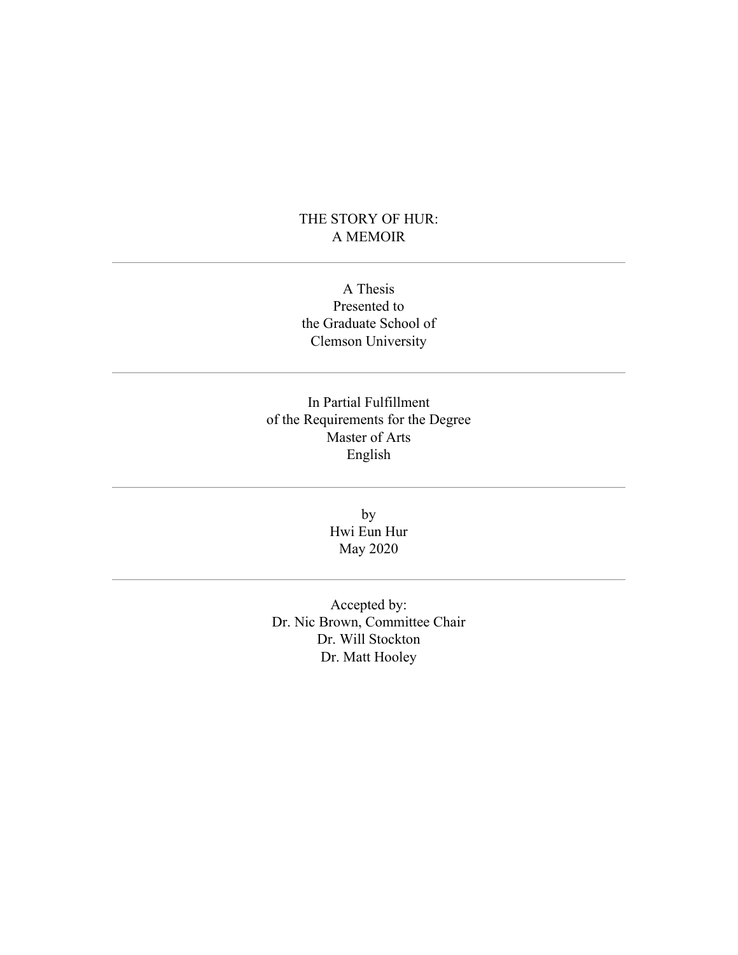### THE STORY OF HUR: A MEMOIR

A Thesis Presented to the Graduate School of Clemson University

In Partial Fulfillment of the Requirements for the Degree Master of Arts English

> by Hwi Eun Hur May 2020

Accepted by: Dr. Nic Brown, Committee Chair Dr. Will Stockton Dr. Matt Hooley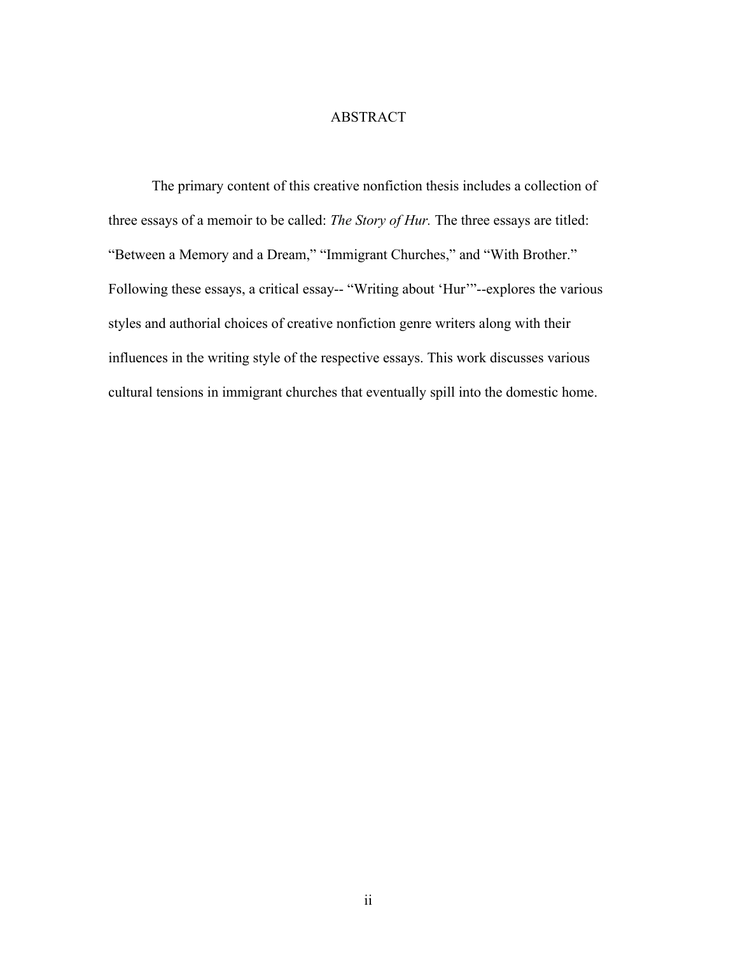#### ABSTRACT

The primary content of this creative nonfiction thesis includes a collection of three essays of a memoir to be called: *The Story of Hur.* The three essays are titled: "Between a Memory and a Dream," "Immigrant Churches," and "With Brother." Following these essays, a critical essay-- "Writing about 'Hur'"--explores the various styles and authorial choices of creative nonfiction genre writers along with their influences in the writing style of the respective essays. This work discusses various cultural tensions in immigrant churches that eventually spill into the domestic home.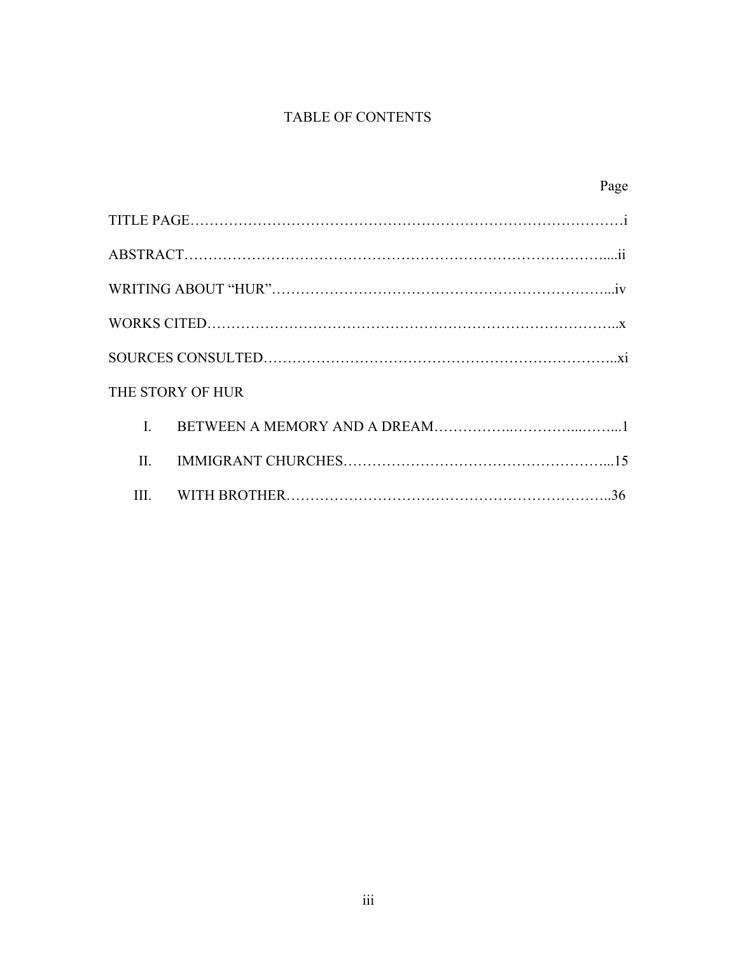## TABLE OF CONTENTS

|                  | Page |
|------------------|------|
|                  |      |
|                  |      |
|                  |      |
|                  |      |
|                  |      |
| THE STORY OF HUR |      |
| $\mathbf{I}$     |      |
| $\mathbf{H}$     |      |
| Ш                |      |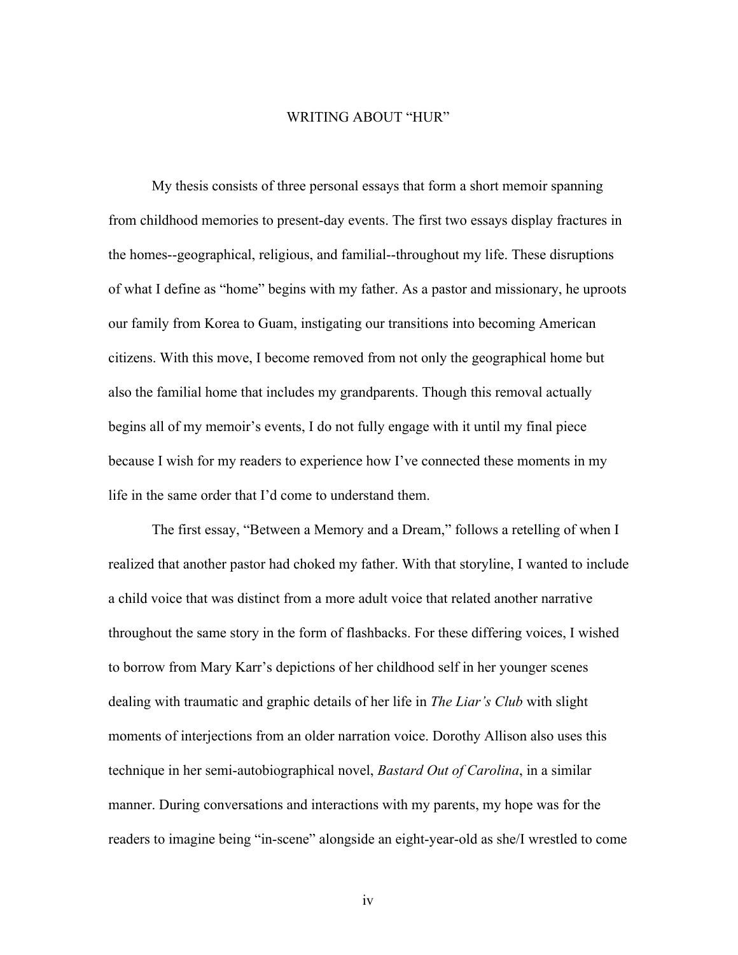#### WRITING ABOUT "HUR"

My thesis consists of three personal essays that form a short memoir spanning from childhood memories to present-day events. The first two essays display fractures in the homes--geographical, religious, and familial--throughout my life. These disruptions of what I define as "home" begins with my father. As a pastor and missionary, he uproots our family from Korea to Guam, instigating our transitions into becoming American citizens. With this move, I become removed from not only the geographical home but also the familial home that includes my grandparents. Though this removal actually begins all of my memoir's events, I do not fully engage with it until my final piece because I wish for my readers to experience how I've connected these moments in my life in the same order that I'd come to understand them.

The first essay, "Between a Memory and a Dream," follows a retelling of when I realized that another pastor had choked my father. With that storyline, I wanted to include a child voice that was distinct from a more adult voice that related another narrative throughout the same story in the form of flashbacks. For these differing voices, I wished to borrow from Mary Karr's depictions of her childhood self in her younger scenes dealing with traumatic and graphic details of her life in *The Liar's Club* with slight moments of interjections from an older narration voice. Dorothy Allison also uses this technique in her semi-autobiographical novel, *Bastard Out of Carolina*, in a similar manner. During conversations and interactions with my parents, my hope was for the readers to imagine being "in-scene" alongside an eight-year-old as she/I wrestled to come

iv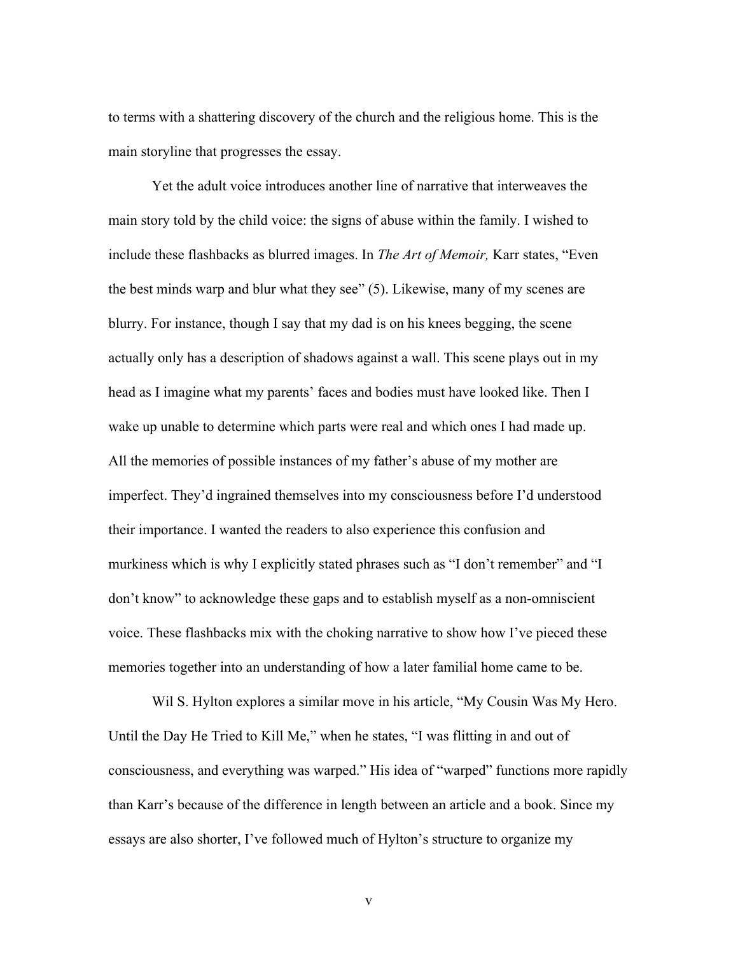to terms with a shattering discovery of the church and the religious home. This is the main storyline that progresses the essay.

Yet the adult voice introduces another line of narrative that interweaves the main story told by the child voice: the signs of abuse within the family. I wished to include these flashbacks as blurred images. In *The Art of Memoir,* Karr states, "Even the best minds warp and blur what they see" (5). Likewise, many of my scenes are blurry. For instance, though I say that my dad is on his knees begging, the scene actually only has a description of shadows against a wall. This scene plays out in my head as I imagine what my parents' faces and bodies must have looked like. Then I wake up unable to determine which parts were real and which ones I had made up. All the memories of possible instances of my father's abuse of my mother are imperfect. They'd ingrained themselves into my consciousness before I'd understood their importance. I wanted the readers to also experience this confusion and murkiness which is why I explicitly stated phrases such as "I don't remember" and "I don't know" to acknowledge these gaps and to establish myself as a non-omniscient voice. These flashbacks mix with the choking narrative to show how I've pieced these memories together into an understanding of how a later familial home came to be.

Wil S. Hylton explores a similar move in his article, "My Cousin Was My Hero. Until the Day He Tried to Kill Me," when he states, "I was flitting in and out of consciousness, and everything was warped." His idea of "warped" functions more rapidly than Karr's because of the difference in length between an article and a book. Since my essays are also shorter, I've followed much of Hylton's structure to organize my

v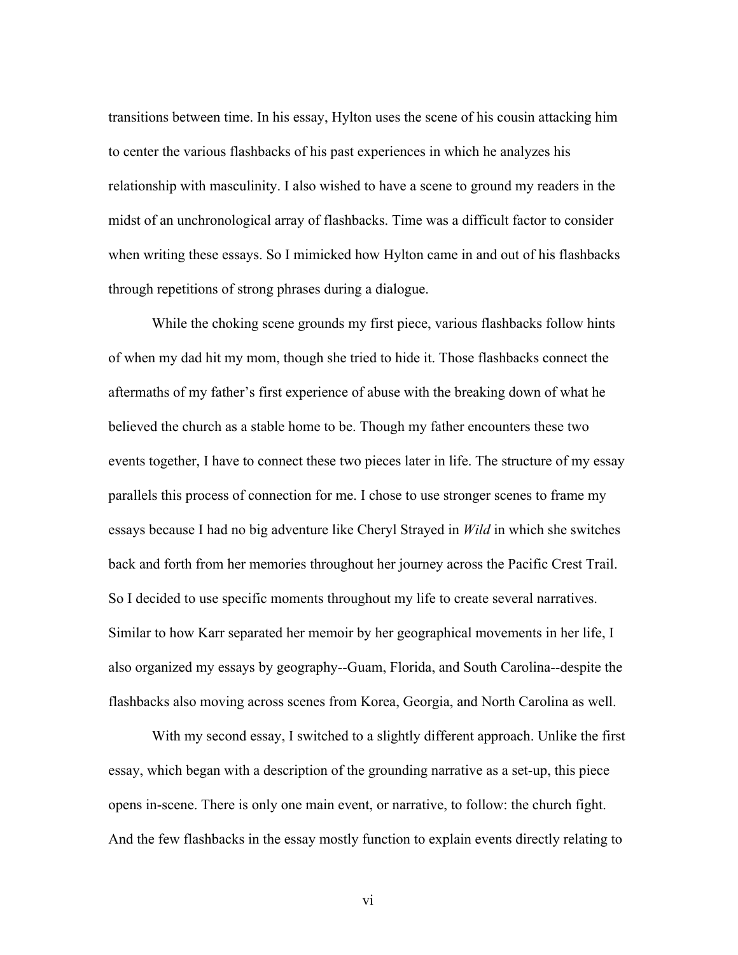transitions between time. In his essay, Hylton uses the scene of his cousin attacking him to center the various flashbacks of his past experiences in which he analyzes his relationship with masculinity. I also wished to have a scene to ground my readers in the midst of an unchronological array of flashbacks. Time was a difficult factor to consider when writing these essays. So I mimicked how Hylton came in and out of his flashbacks through repetitions of strong phrases during a dialogue.

While the choking scene grounds my first piece, various flashbacks follow hints of when my dad hit my mom, though she tried to hide it. Those flashbacks connect the aftermaths of my father's first experience of abuse with the breaking down of what he believed the church as a stable home to be. Though my father encounters these two events together, I have to connect these two pieces later in life. The structure of my essay parallels this process of connection for me. I chose to use stronger scenes to frame my essays because I had no big adventure like Cheryl Strayed in *Wild* in which she switches back and forth from her memories throughout her journey across the Pacific Crest Trail. So I decided to use specific moments throughout my life to create several narratives. Similar to how Karr separated her memoir by her geographical movements in her life, I also organized my essays by geography--Guam, Florida, and South Carolina--despite the flashbacks also moving across scenes from Korea, Georgia, and North Carolina as well.

With my second essay, I switched to a slightly different approach. Unlike the first essay, which began with a description of the grounding narrative as a set-up, this piece opens in-scene. There is only one main event, or narrative, to follow: the church fight. And the few flashbacks in the essay mostly function to explain events directly relating to

vi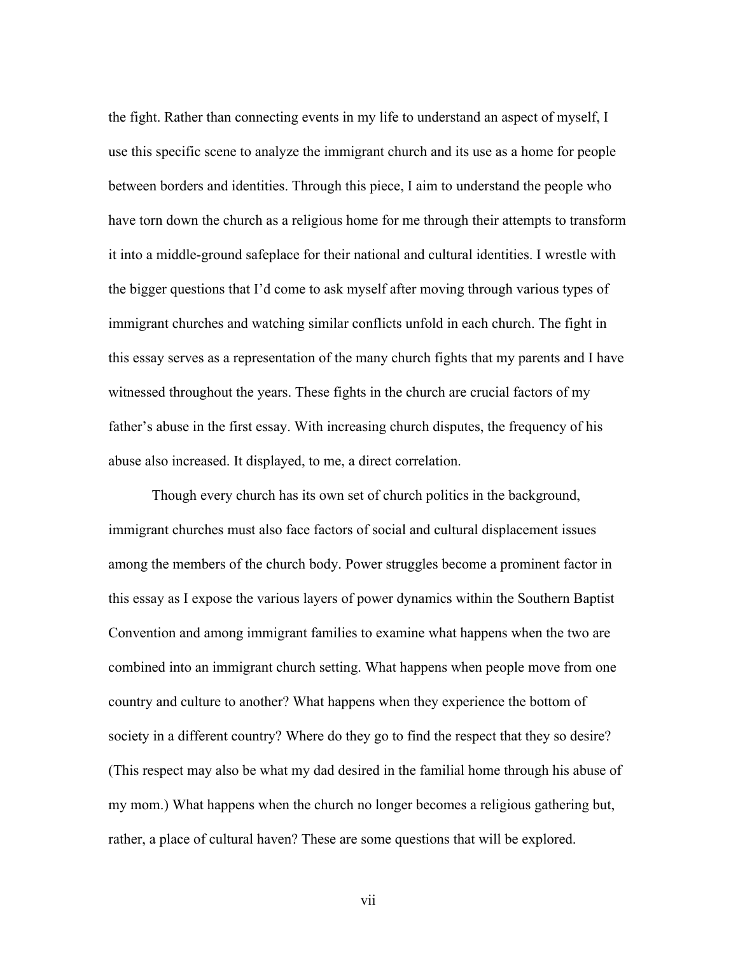the fight. Rather than connecting events in my life to understand an aspect of myself, I use this specific scene to analyze the immigrant church and its use as a home for people between borders and identities. Through this piece, I aim to understand the people who have torn down the church as a religious home for me through their attempts to transform it into a middle-ground safeplace for their national and cultural identities. I wrestle with the bigger questions that I'd come to ask myself after moving through various types of immigrant churches and watching similar conflicts unfold in each church. The fight in this essay serves as a representation of the many church fights that my parents and I have witnessed throughout the years. These fights in the church are crucial factors of my father's abuse in the first essay. With increasing church disputes, the frequency of his abuse also increased. It displayed, to me, a direct correlation.

Though every church has its own set of church politics in the background, immigrant churches must also face factors of social and cultural displacement issues among the members of the church body. Power struggles become a prominent factor in this essay as I expose the various layers of power dynamics within the Southern Baptist Convention and among immigrant families to examine what happens when the two are combined into an immigrant church setting. What happens when people move from one country and culture to another? What happens when they experience the bottom of society in a different country? Where do they go to find the respect that they so desire? (This respect may also be what my dad desired in the familial home through his abuse of my mom.) What happens when the church no longer becomes a religious gathering but, rather, a place of cultural haven? These are some questions that will be explored.

vii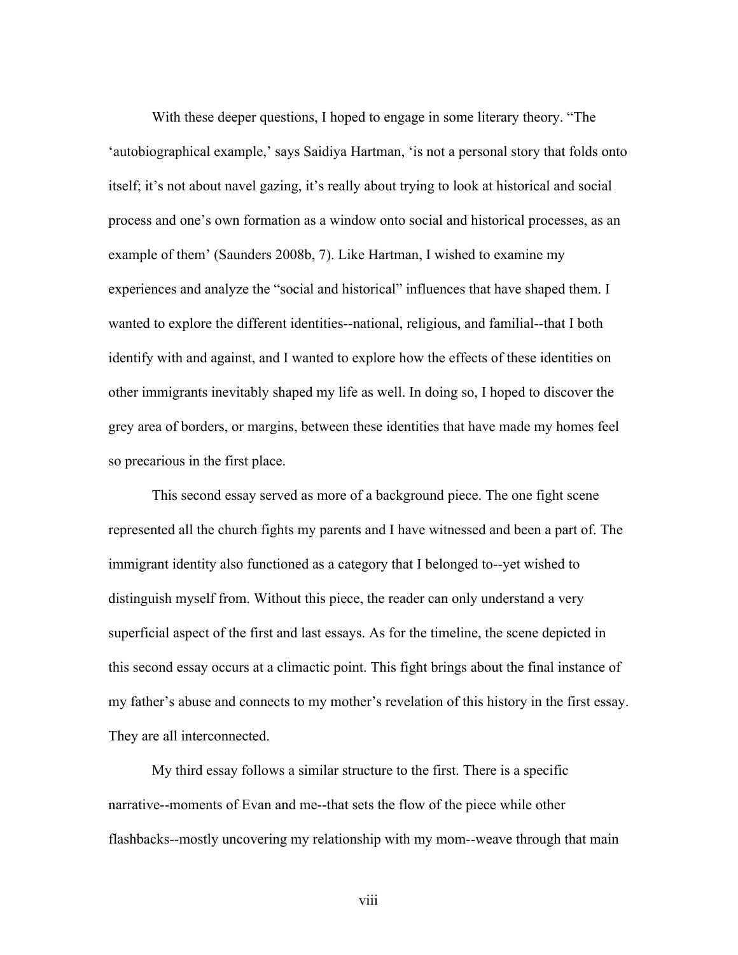With these deeper questions, I hoped to engage in some literary theory. "The 'autobiographical example,' says Saidiya Hartman, 'is not a personal story that folds onto itself; it's not about navel gazing, it's really about trying to look at historical and social process and one's own formation as a window onto social and historical processes, as an example of them' (Saunders 2008b, 7). Like Hartman, I wished to examine my experiences and analyze the "social and historical" influences that have shaped them. I wanted to explore the different identities--national, religious, and familial--that I both identify with and against, and I wanted to explore how the effects of these identities on other immigrants inevitably shaped my life as well. In doing so, I hoped to discover the grey area of borders, or margins, between these identities that have made my homes feel so precarious in the first place.

This second essay served as more of a background piece. The one fight scene represented all the church fights my parents and I have witnessed and been a part of. The immigrant identity also functioned as a category that I belonged to--yet wished to distinguish myself from. Without this piece, the reader can only understand a very superficial aspect of the first and last essays. As for the timeline, the scene depicted in this second essay occurs at a climactic point. This fight brings about the final instance of my father's abuse and connects to my mother's revelation of this history in the first essay. They are all interconnected.

My third essay follows a similar structure to the first. There is a specific narrative--moments of Evan and me--that sets the flow of the piece while other flashbacks--mostly uncovering my relationship with my mom--weave through that main

viii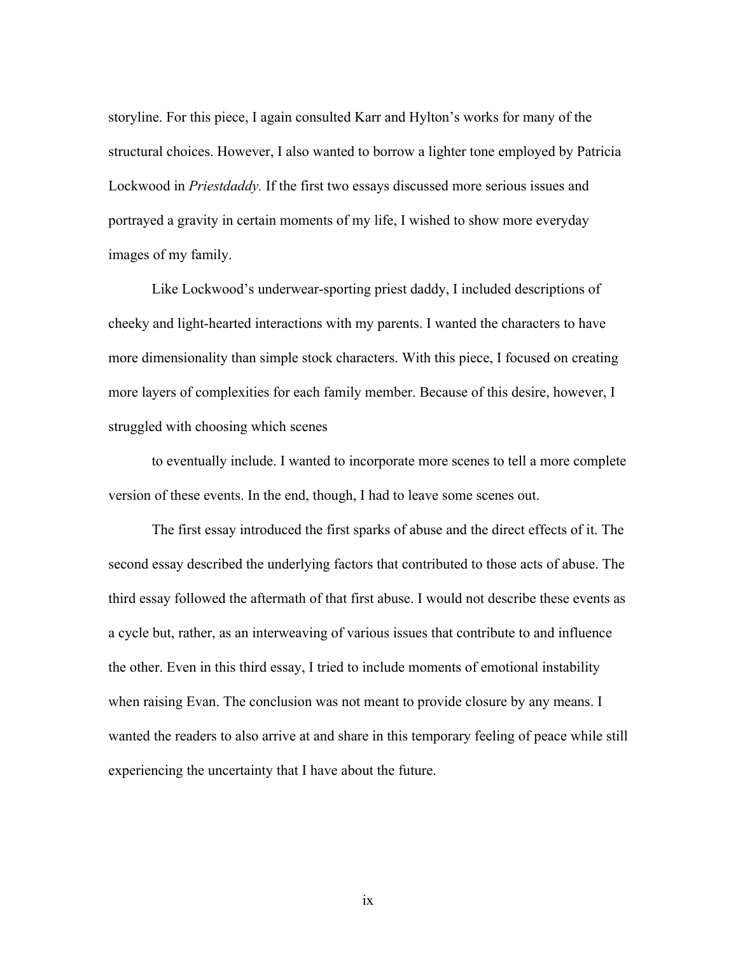storyline. For this piece, I again consulted Karr and Hylton's works for many of the structural choices. However, I also wanted to borrow a lighter tone employed by Patricia Lockwood in *Priestdaddy.* If the first two essays discussed more serious issues and portrayed a gravity in certain moments of my life, I wished to show more everyday images of my family.

Like Lockwood's underwear-sporting priest daddy, I included descriptions of cheeky and light-hearted interactions with my parents. I wanted the characters to have more dimensionality than simple stock characters. With this piece, I focused on creating more layers of complexities for each family member. Because of this desire, however, I struggled with choosing which scenes

to eventually include. I wanted to incorporate more scenes to tell a more complete version of these events. In the end, though, I had to leave some scenes out.

The first essay introduced the first sparks of abuse and the direct effects of it. The second essay described the underlying factors that contributed to those acts of abuse. The third essay followed the aftermath of that first abuse. I would not describe these events as a cycle but, rather, as an interweaving of various issues that contribute to and influence the other. Even in this third essay, I tried to include moments of emotional instability when raising Evan. The conclusion was not meant to provide closure by any means. I wanted the readers to also arrive at and share in this temporary feeling of peace while still experiencing the uncertainty that I have about the future.

ix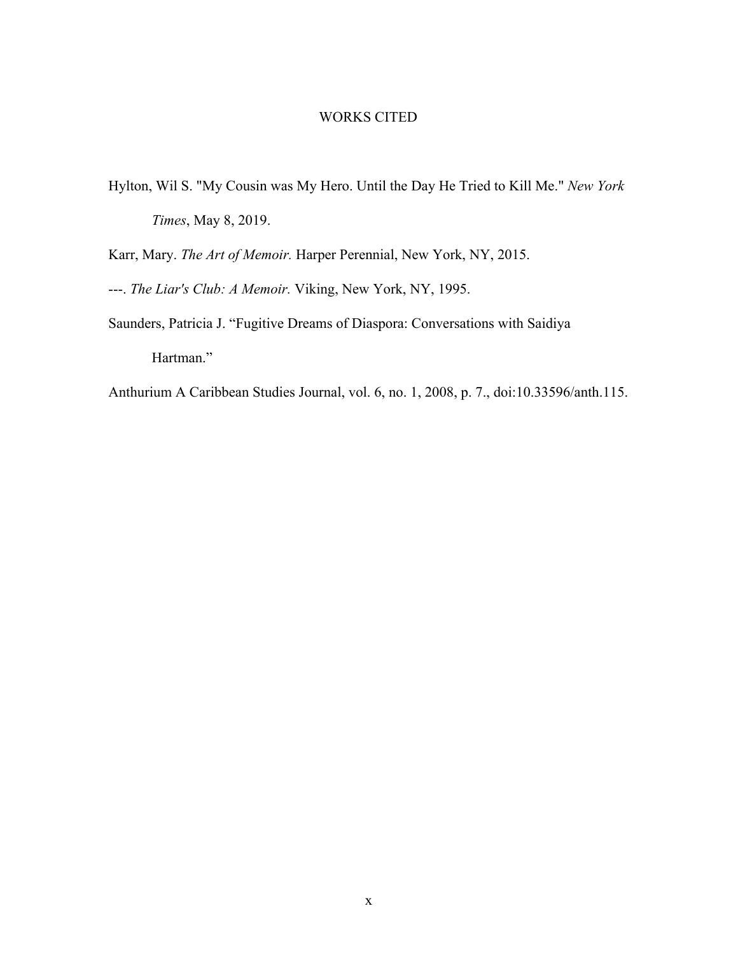### WORKS CITED

Hylton, Wil S. "My Cousin was My Hero. Until the Day He Tried to Kill Me." *New York Times*, May 8, 2019.

Karr, Mary. *The Art of Memoir.* Harper Perennial, New York, NY, 2015.

- ---. *The Liar's Club: A Memoir.* Viking, New York, NY, 1995.
- Saunders, Patricia J. "Fugitive Dreams of Diaspora: Conversations with Saidiya Hartman."
- Anthurium A Caribbean Studies Journal, vol. 6, no. 1, 2008, p. 7., doi:10.33596/anth.115.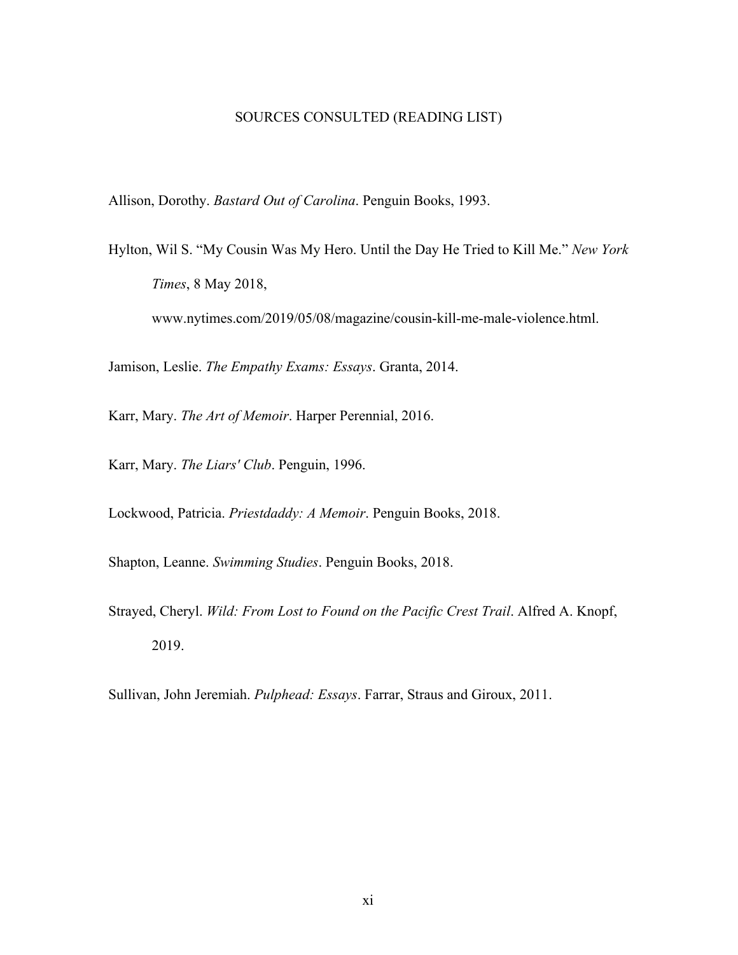#### SOURCES CONSULTED (READING LIST)

Allison, Dorothy. *Bastard Out of Carolina*. Penguin Books, 1993.

Hylton, Wil S. "My Cousin Was My Hero. Until the Day He Tried to Kill Me." *New York Times*, 8 May 2018, www.nytimes.com/2019/05/08/magazine/cousin-kill-me-male-violence.html.

Jamison, Leslie. *The Empathy Exams: Essays*. Granta, 2014.

Karr, Mary. *The Art of Memoir*. Harper Perennial, 2016.

Karr, Mary. *The Liars' Club*. Penguin, 1996.

Lockwood, Patricia. *Priestdaddy: A Memoir*. Penguin Books, 2018.

Shapton, Leanne. *Swimming Studies*. Penguin Books, 2018.

Strayed, Cheryl. *Wild: From Lost to Found on the Pacific Crest Trail*. Alfred A. Knopf, 2019.

Sullivan, John Jeremiah. *Pulphead: Essays*. Farrar, Straus and Giroux, 2011.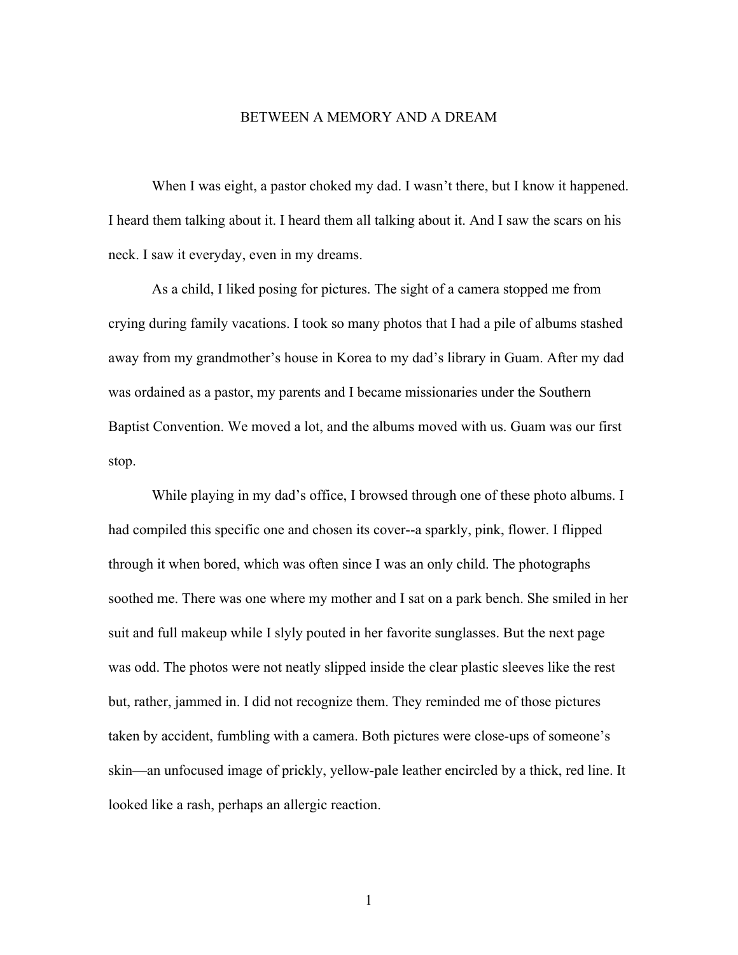#### BETWEEN A MEMORY AND A DREAM

When I was eight, a pastor choked my dad. I wasn't there, but I know it happened. I heard them talking about it. I heard them all talking about it. And I saw the scars on his neck. I saw it everyday, even in my dreams.

As a child, I liked posing for pictures. The sight of a camera stopped me from crying during family vacations. I took so many photos that I had a pile of albums stashed away from my grandmother's house in Korea to my dad's library in Guam. After my dad was ordained as a pastor, my parents and I became missionaries under the Southern Baptist Convention. We moved a lot, and the albums moved with us. Guam was our first stop.

While playing in my dad's office, I browsed through one of these photo albums. I had compiled this specific one and chosen its cover--a sparkly, pink, flower. I flipped through it when bored, which was often since I was an only child. The photographs soothed me. There was one where my mother and I sat on a park bench. She smiled in her suit and full makeup while I slyly pouted in her favorite sunglasses. But the next page was odd. The photos were not neatly slipped inside the clear plastic sleeves like the rest but, rather, jammed in. I did not recognize them. They reminded me of those pictures taken by accident, fumbling with a camera. Both pictures were close-ups of someone's skin—an unfocused image of prickly, yellow-pale leather encircled by a thick, red line. It looked like a rash, perhaps an allergic reaction.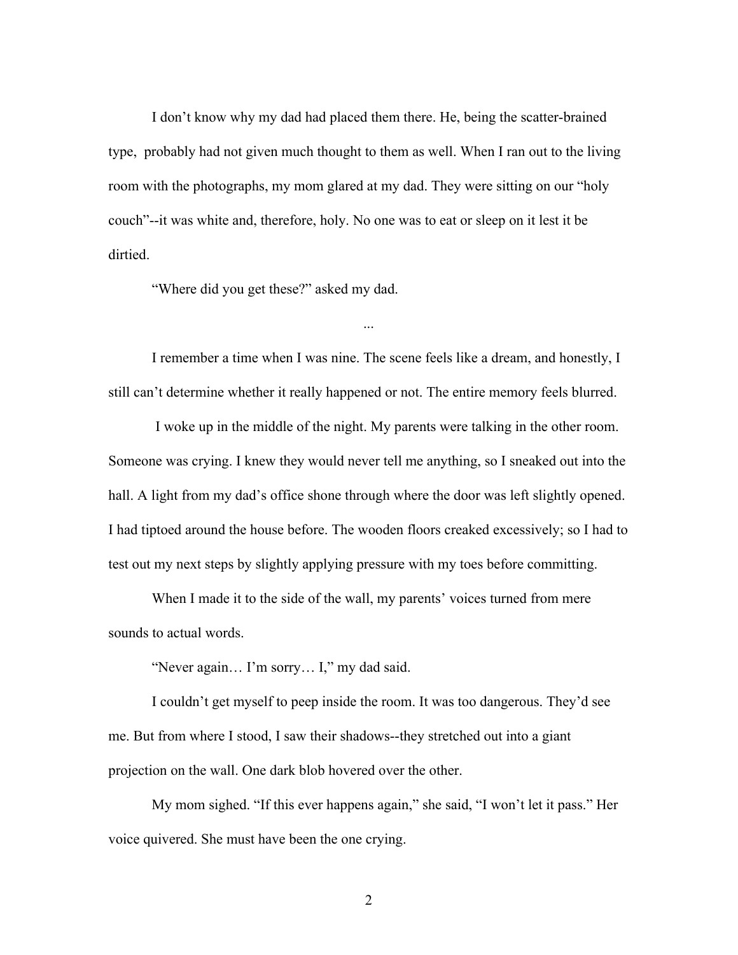I don't know why my dad had placed them there. He, being the scatter-brained type, probably had not given much thought to them as well. When I ran out to the living room with the photographs, my mom glared at my dad. They were sitting on our "holy couch"--it was white and, therefore, holy. No one was to eat or sleep on it lest it be dirtied.

"Where did you get these?" asked my dad.

I remember a time when I was nine. The scene feels like a dream, and honestly, I still can't determine whether it really happened or not. The entire memory feels blurred.

...

 I woke up in the middle of the night. My parents were talking in the other room. Someone was crying. I knew they would never tell me anything, so I sneaked out into the hall. A light from my dad's office shone through where the door was left slightly opened. I had tiptoed around the house before. The wooden floors creaked excessively; so I had to test out my next steps by slightly applying pressure with my toes before committing.

When I made it to the side of the wall, my parents' voices turned from mere sounds to actual words.

"Never again… I'm sorry… I," my dad said.

I couldn't get myself to peep inside the room. It was too dangerous. They'd see me. But from where I stood, I saw their shadows--they stretched out into a giant projection on the wall. One dark blob hovered over the other.

My mom sighed. "If this ever happens again," she said, "I won't let it pass." Her voice quivered. She must have been the one crying.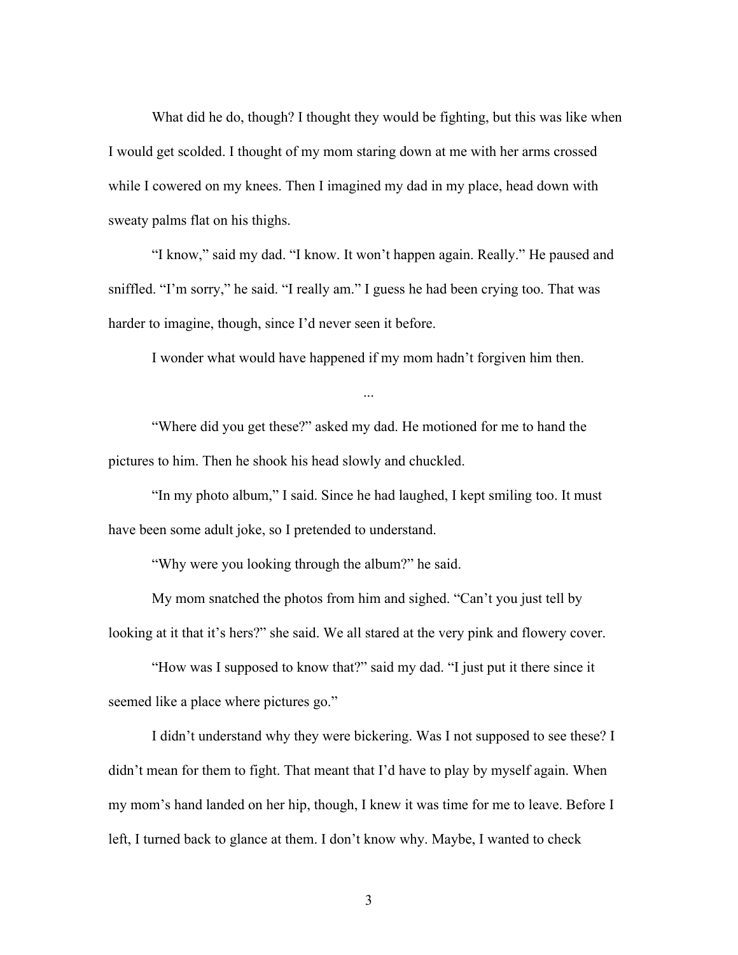What did he do, though? I thought they would be fighting, but this was like when I would get scolded. I thought of my mom staring down at me with her arms crossed while I cowered on my knees. Then I imagined my dad in my place, head down with sweaty palms flat on his thighs.

"I know," said my dad. "I know. It won't happen again. Really." He paused and sniffled. "I'm sorry," he said. "I really am." I guess he had been crying too. That was harder to imagine, though, since I'd never seen it before.

I wonder what would have happened if my mom hadn't forgiven him then.

...

"Where did you get these?" asked my dad. He motioned for me to hand the pictures to him. Then he shook his head slowly and chuckled.

"In my photo album," I said. Since he had laughed, I kept smiling too. It must have been some adult joke, so I pretended to understand.

"Why were you looking through the album?" he said.

My mom snatched the photos from him and sighed. "Can't you just tell by looking at it that it's hers?" she said. We all stared at the very pink and flowery cover.

"How was I supposed to know that?" said my dad. "I just put it there since it seemed like a place where pictures go."

I didn't understand why they were bickering. Was I not supposed to see these? I didn't mean for them to fight. That meant that I'd have to play by myself again. When my mom's hand landed on her hip, though, I knew it was time for me to leave. Before I left, I turned back to glance at them. I don't know why. Maybe, I wanted to check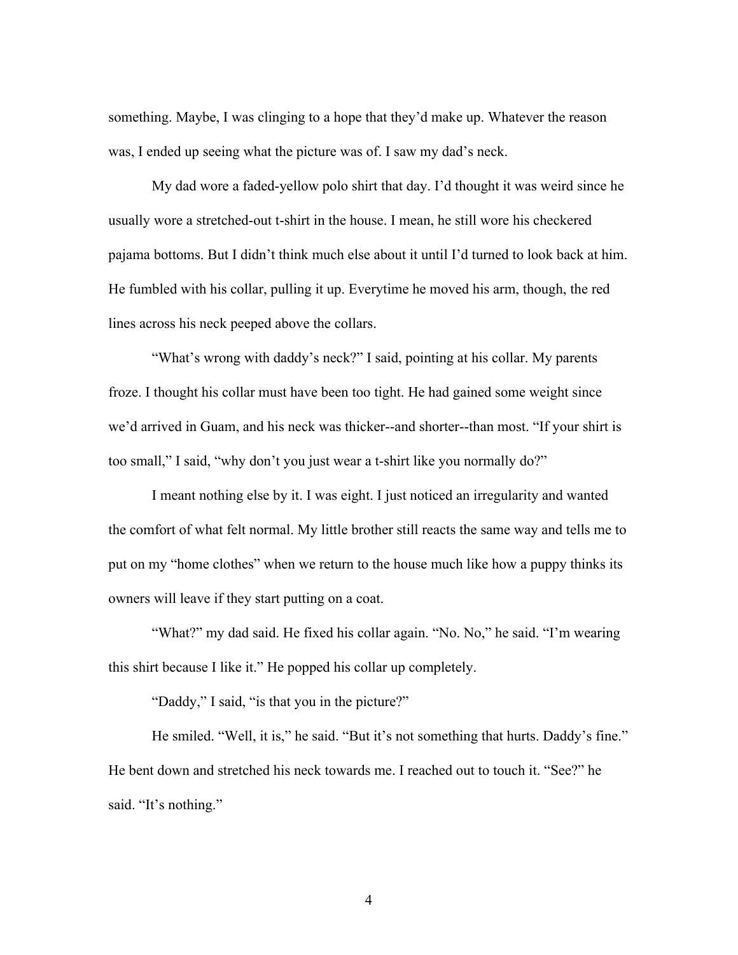something. Maybe, I was clinging to a hope that they'd make up. Whatever the reason was, I ended up seeing what the picture was of. I saw my dad's neck.

My dad wore a faded-yellow polo shirt that day. I'd thought it was weird since he usually wore a stretched-out t-shirt in the house. I mean, he still wore his checkered pajama bottoms. But I didn't think much else about it until I'd turned to look back at him. He fumbled with his collar, pulling it up. Everytime he moved his arm, though, the red lines across his neck peeped above the collars.

"What's wrong with daddy's neck?" I said, pointing at his collar. My parents froze. I thought his collar must have been too tight. He had gained some weight since we'd arrived in Guam, and his neck was thicker--and shorter--than most. "If your shirt is too small," I said, "why don't you just wear a t-shirt like you normally do?"

I meant nothing else by it. I was eight. I just noticed an irregularity and wanted the comfort of what felt normal. My little brother still reacts the same way and tells me to put on my "home clothes" when we return to the house much like how a puppy thinks its owners will leave if they start putting on a coat.

"What?" my dad said. He fixed his collar again. "No. No," he said. "I'm wearing this shirt because I like it." He popped his collar up completely.

"Daddy," I said, "is that you in the picture?"

He smiled. "Well, it is," he said. "But it's not something that hurts. Daddy's fine." He bent down and stretched his neck towards me. I reached out to touch it. "See?" he said. "It's nothing."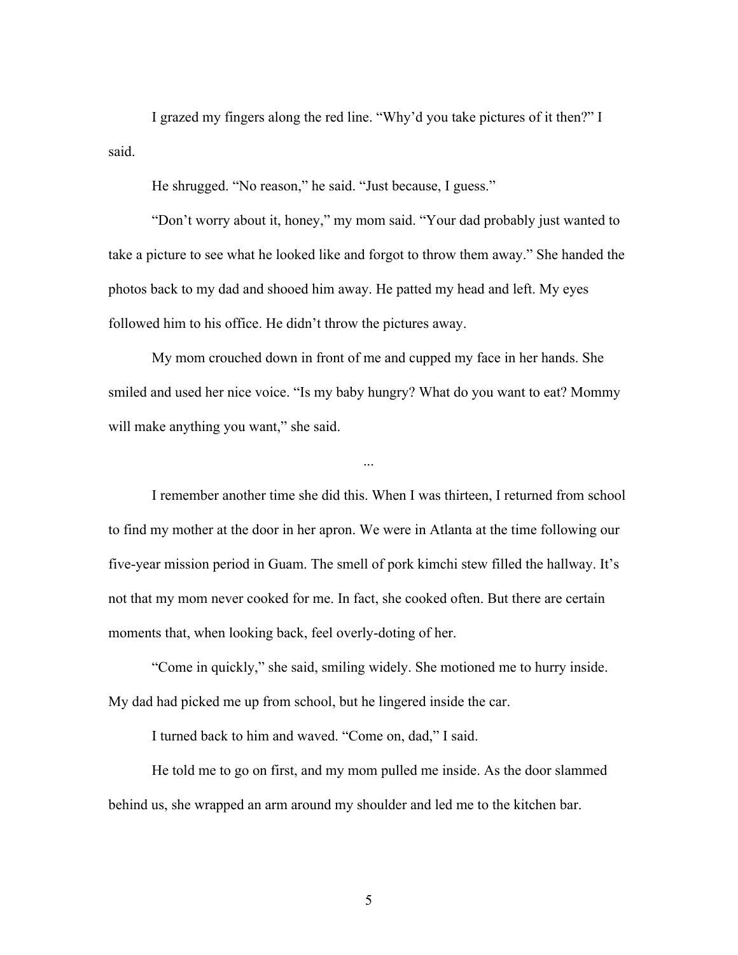I grazed my fingers along the red line. "Why'd you take pictures of it then?" I said.

He shrugged. "No reason," he said. "Just because, I guess."

"Don't worry about it, honey," my mom said. "Your dad probably just wanted to take a picture to see what he looked like and forgot to throw them away." She handed the photos back to my dad and shooed him away. He patted my head and left. My eyes followed him to his office. He didn't throw the pictures away.

My mom crouched down in front of me and cupped my face in her hands. She smiled and used her nice voice. "Is my baby hungry? What do you want to eat? Mommy will make anything you want," she said.

...

I remember another time she did this. When I was thirteen, I returned from school to find my mother at the door in her apron. We were in Atlanta at the time following our five-year mission period in Guam. The smell of pork kimchi stew filled the hallway. It's not that my mom never cooked for me. In fact, she cooked often. But there are certain moments that, when looking back, feel overly-doting of her.

"Come in quickly," she said, smiling widely. She motioned me to hurry inside. My dad had picked me up from school, but he lingered inside the car.

I turned back to him and waved. "Come on, dad," I said.

He told me to go on first, and my mom pulled me inside. As the door slammed behind us, she wrapped an arm around my shoulder and led me to the kitchen bar.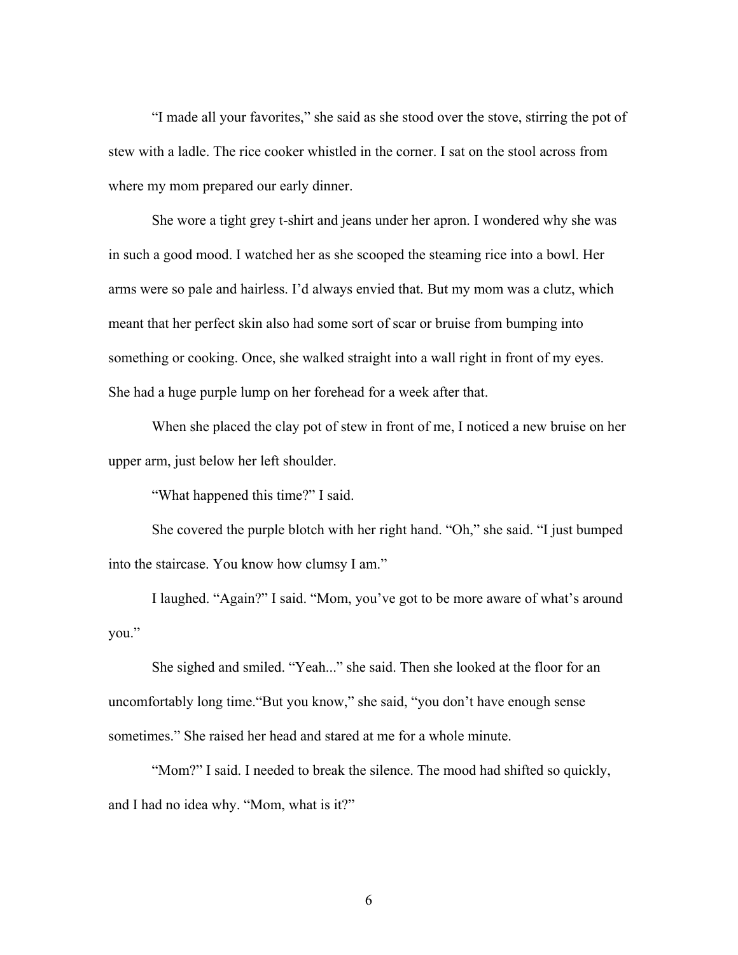"I made all your favorites," she said as she stood over the stove, stirring the pot of stew with a ladle. The rice cooker whistled in the corner. I sat on the stool across from where my mom prepared our early dinner.

She wore a tight grey t-shirt and jeans under her apron. I wondered why she was in such a good mood. I watched her as she scooped the steaming rice into a bowl. Her arms were so pale and hairless. I'd always envied that. But my mom was a clutz, which meant that her perfect skin also had some sort of scar or bruise from bumping into something or cooking. Once, she walked straight into a wall right in front of my eyes. She had a huge purple lump on her forehead for a week after that.

When she placed the clay pot of stew in front of me, I noticed a new bruise on her upper arm, just below her left shoulder.

"What happened this time?" I said.

She covered the purple blotch with her right hand. "Oh," she said. "I just bumped into the staircase. You know how clumsy I am."

I laughed. "Again?" I said. "Mom, you've got to be more aware of what's around you."

She sighed and smiled. "Yeah..." she said. Then she looked at the floor for an uncomfortably long time."But you know," she said, "you don't have enough sense sometimes." She raised her head and stared at me for a whole minute.

"Mom?" I said. I needed to break the silence. The mood had shifted so quickly, and I had no idea why. "Mom, what is it?"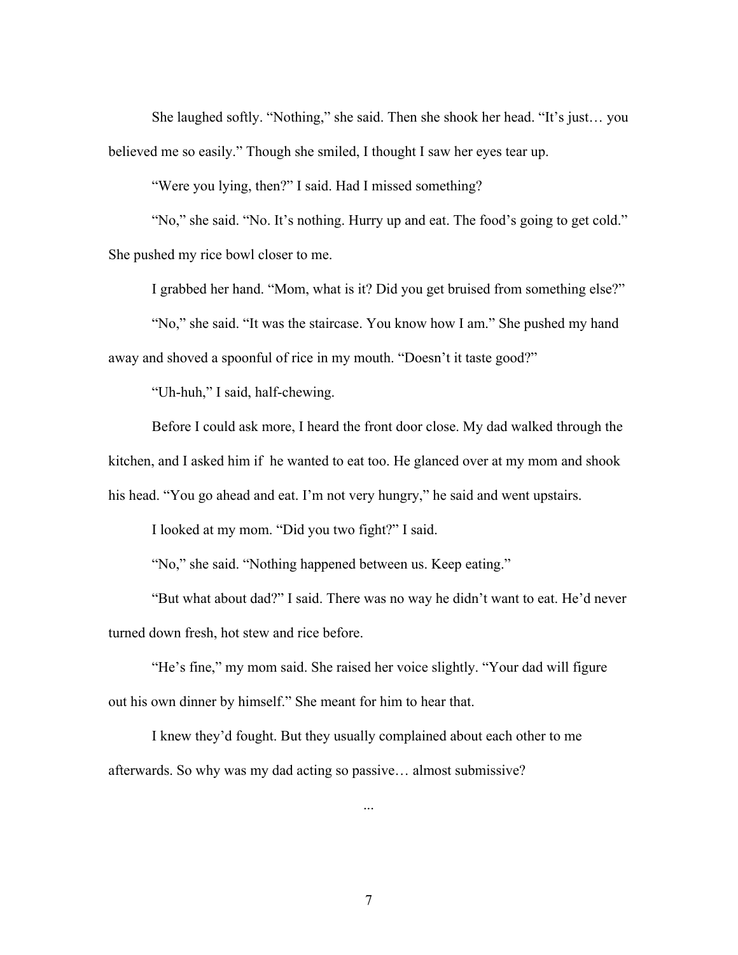She laughed softly. "Nothing," she said. Then she shook her head. "It's just… you believed me so easily." Though she smiled, I thought I saw her eyes tear up.

"Were you lying, then?" I said. Had I missed something?

"No," she said. "No. It's nothing. Hurry up and eat. The food's going to get cold." She pushed my rice bowl closer to me.

I grabbed her hand. "Mom, what is it? Did you get bruised from something else?"

"No," she said. "It was the staircase. You know how I am." She pushed my hand away and shoved a spoonful of rice in my mouth. "Doesn't it taste good?"

"Uh-huh," I said, half-chewing.

Before I could ask more, I heard the front door close. My dad walked through the kitchen, and I asked him if he wanted to eat too. He glanced over at my mom and shook his head. "You go ahead and eat. I'm not very hungry," he said and went upstairs.

I looked at my mom. "Did you two fight?" I said.

"No," she said. "Nothing happened between us. Keep eating."

"But what about dad?" I said. There was no way he didn't want to eat. He'd never turned down fresh, hot stew and rice before.

"He's fine," my mom said. She raised her voice slightly. "Your dad will figure out his own dinner by himself." She meant for him to hear that.

I knew they'd fought. But they usually complained about each other to me afterwards. So why was my dad acting so passive… almost submissive?

...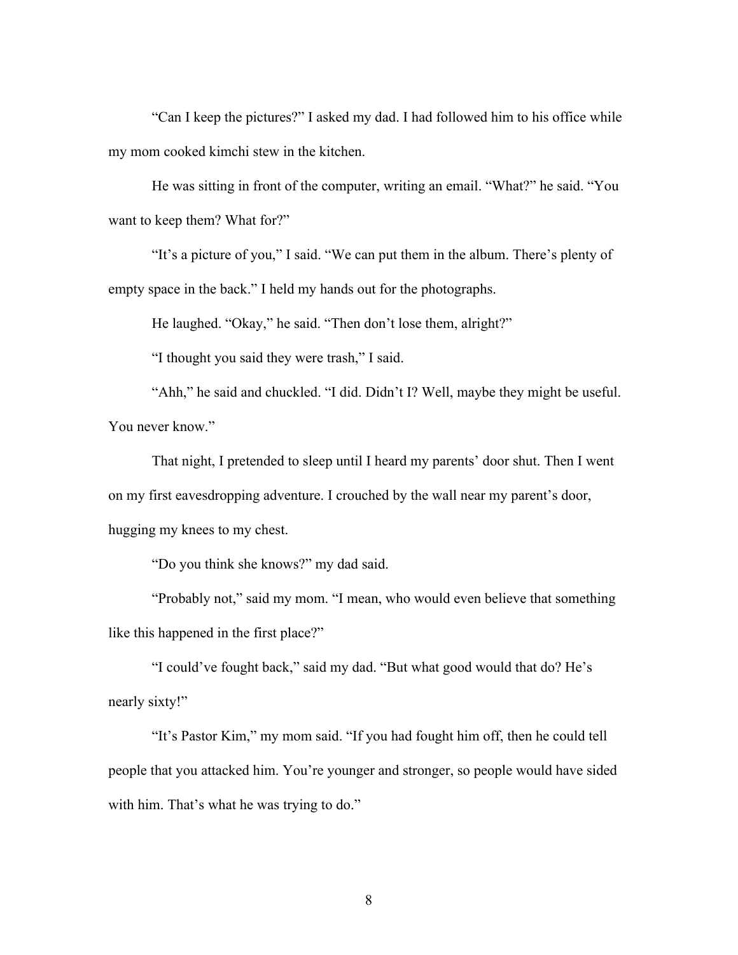"Can I keep the pictures?" I asked my dad. I had followed him to his office while my mom cooked kimchi stew in the kitchen.

He was sitting in front of the computer, writing an email. "What?" he said. "You want to keep them? What for?"

"It's a picture of you," I said. "We can put them in the album. There's plenty of empty space in the back." I held my hands out for the photographs.

He laughed. "Okay," he said. "Then don't lose them, alright?"

"I thought you said they were trash," I said.

"Ahh," he said and chuckled. "I did. Didn't I? Well, maybe they might be useful. You never know."

That night, I pretended to sleep until I heard my parents' door shut. Then I went on my first eavesdropping adventure. I crouched by the wall near my parent's door, hugging my knees to my chest.

"Do you think she knows?" my dad said.

"Probably not," said my mom. "I mean, who would even believe that something like this happened in the first place?"

"I could've fought back," said my dad. "But what good would that do? He's nearly sixty!"

"It's Pastor Kim," my mom said. "If you had fought him off, then he could tell people that you attacked him. You're younger and stronger, so people would have sided with him. That's what he was trying to do."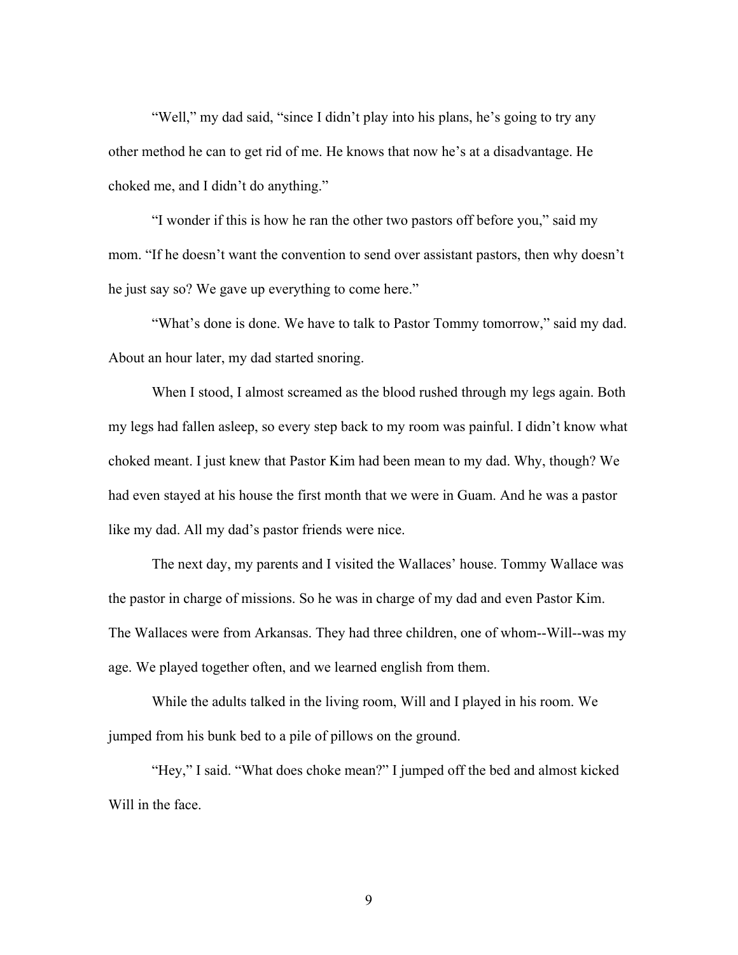"Well," my dad said, "since I didn't play into his plans, he's going to try any other method he can to get rid of me. He knows that now he's at a disadvantage. He choked me, and I didn't do anything."

"I wonder if this is how he ran the other two pastors off before you," said my mom. "If he doesn't want the convention to send over assistant pastors, then why doesn't he just say so? We gave up everything to come here."

"What's done is done. We have to talk to Pastor Tommy tomorrow," said my dad. About an hour later, my dad started snoring.

When I stood, I almost screamed as the blood rushed through my legs again. Both my legs had fallen asleep, so every step back to my room was painful. I didn't know what choked meant. I just knew that Pastor Kim had been mean to my dad. Why, though? We had even stayed at his house the first month that we were in Guam. And he was a pastor like my dad. All my dad's pastor friends were nice.

The next day, my parents and I visited the Wallaces' house. Tommy Wallace was the pastor in charge of missions. So he was in charge of my dad and even Pastor Kim. The Wallaces were from Arkansas. They had three children, one of whom--Will--was my age. We played together often, and we learned english from them.

While the adults talked in the living room, Will and I played in his room. We jumped from his bunk bed to a pile of pillows on the ground.

"Hey," I said. "What does choke mean?" I jumped off the bed and almost kicked Will in the face.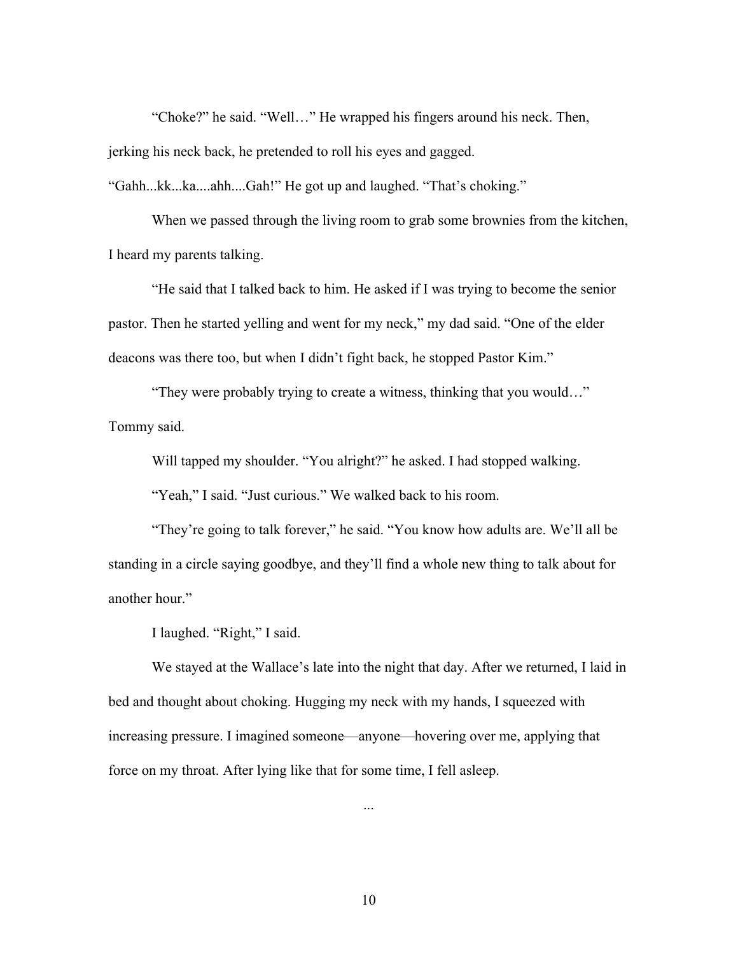"Choke?" he said. "Well…" He wrapped his fingers around his neck. Then, jerking his neck back, he pretended to roll his eyes and gagged.

"Gahh...kk...ka....ahh....Gah!" He got up and laughed. "That's choking."

When we passed through the living room to grab some brownies from the kitchen, I heard my parents talking.

"He said that I talked back to him. He asked if I was trying to become the senior pastor. Then he started yelling and went for my neck," my dad said. "One of the elder deacons was there too, but when I didn't fight back, he stopped Pastor Kim."

"They were probably trying to create a witness, thinking that you would…" Tommy said.

Will tapped my shoulder. "You alright?" he asked. I had stopped walking.

"Yeah," I said. "Just curious." We walked back to his room.

"They're going to talk forever," he said. "You know how adults are. We'll all be standing in a circle saying goodbye, and they'll find a whole new thing to talk about for another hour."

I laughed. "Right," I said.

We stayed at the Wallace's late into the night that day. After we returned, I laid in bed and thought about choking. Hugging my neck with my hands, I squeezed with increasing pressure. I imagined someone—anyone—hovering over me, applying that force on my throat. After lying like that for some time, I fell asleep.

...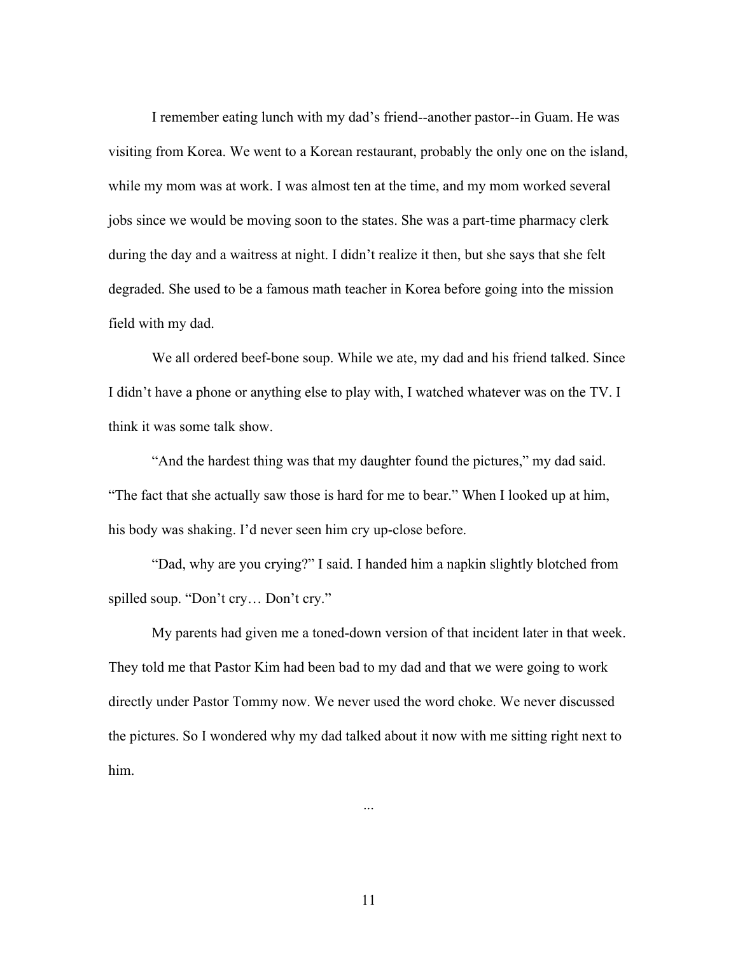I remember eating lunch with my dad's friend--another pastor--in Guam. He was visiting from Korea. We went to a Korean restaurant, probably the only one on the island, while my mom was at work. I was almost ten at the time, and my mom worked several jobs since we would be moving soon to the states. She was a part-time pharmacy clerk during the day and a waitress at night. I didn't realize it then, but she says that she felt degraded. She used to be a famous math teacher in Korea before going into the mission field with my dad.

We all ordered beef-bone soup. While we ate, my dad and his friend talked. Since I didn't have a phone or anything else to play with, I watched whatever was on the TV. I think it was some talk show.

"And the hardest thing was that my daughter found the pictures," my dad said. "The fact that she actually saw those is hard for me to bear." When I looked up at him, his body was shaking. I'd never seen him cry up-close before.

"Dad, why are you crying?" I said. I handed him a napkin slightly blotched from spilled soup. "Don't cry… Don't cry."

My parents had given me a toned-down version of that incident later in that week. They told me that Pastor Kim had been bad to my dad and that we were going to work directly under Pastor Tommy now. We never used the word choke. We never discussed the pictures. So I wondered why my dad talked about it now with me sitting right next to him.

11

...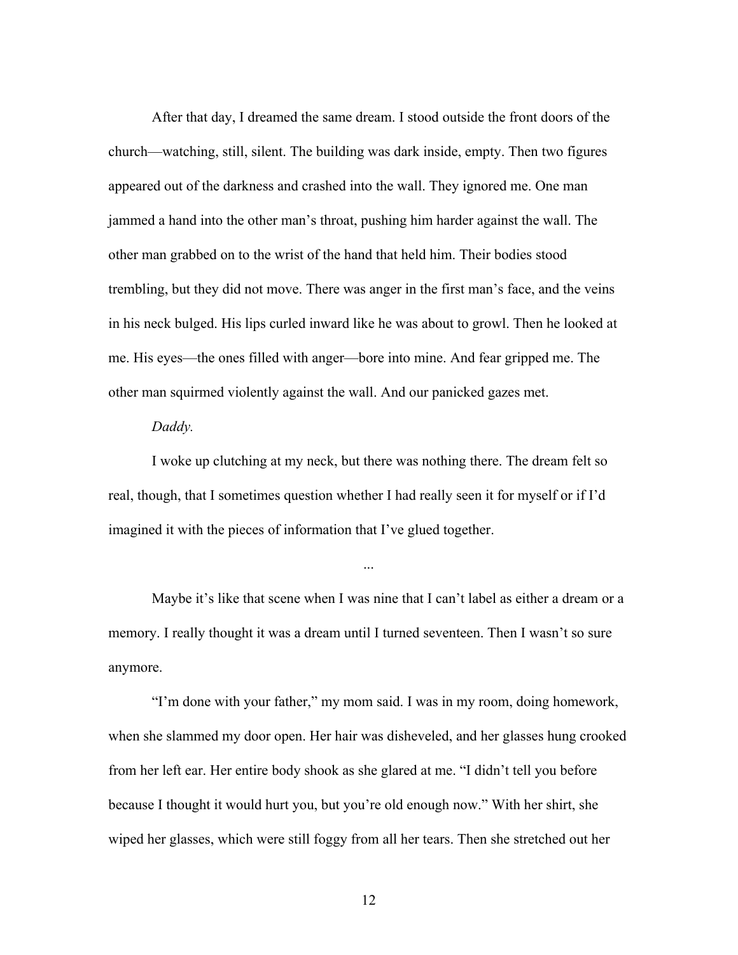After that day, I dreamed the same dream. I stood outside the front doors of the church—watching, still, silent. The building was dark inside, empty. Then two figures appeared out of the darkness and crashed into the wall. They ignored me. One man jammed a hand into the other man's throat, pushing him harder against the wall. The other man grabbed on to the wrist of the hand that held him. Their bodies stood trembling, but they did not move. There was anger in the first man's face, and the veins in his neck bulged. His lips curled inward like he was about to growl. Then he looked at me. His eyes—the ones filled with anger—bore into mine. And fear gripped me. The other man squirmed violently against the wall. And our panicked gazes met.

#### *Daddy.*

I woke up clutching at my neck, but there was nothing there. The dream felt so real, though, that I sometimes question whether I had really seen it for myself or if I'd imagined it with the pieces of information that I've glued together.

Maybe it's like that scene when I was nine that I can't label as either a dream or a memory. I really thought it was a dream until I turned seventeen. Then I wasn't so sure anymore.

...

"I'm done with your father," my mom said. I was in my room, doing homework, when she slammed my door open. Her hair was disheveled, and her glasses hung crooked from her left ear. Her entire body shook as she glared at me. "I didn't tell you before because I thought it would hurt you, but you're old enough now." With her shirt, she wiped her glasses, which were still foggy from all her tears. Then she stretched out her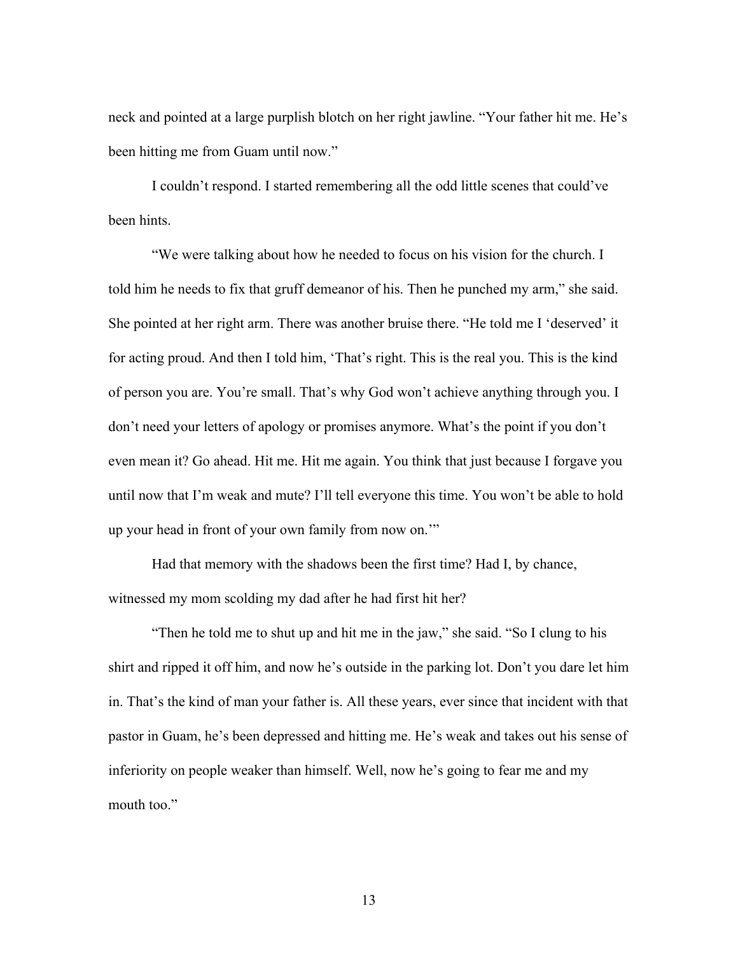neck and pointed at a large purplish blotch on her right jawline. "Your father hit me. He's been hitting me from Guam until now."

I couldn't respond. I started remembering all the odd little scenes that could've been hints.

"We were talking about how he needed to focus on his vision for the church. I told him he needs to fix that gruff demeanor of his. Then he punched my arm," she said. She pointed at her right arm. There was another bruise there. "He told me I 'deserved' it for acting proud. And then I told him, 'That's right. This is the real you. This is the kind of person you are. You're small. That's why God won't achieve anything through you. I don't need your letters of apology or promises anymore. What's the point if you don't even mean it? Go ahead. Hit me. Hit me again. You think that just because I forgave you until now that I'm weak and mute? I'll tell everyone this time. You won't be able to hold up your head in front of your own family from now on.'"

Had that memory with the shadows been the first time? Had I, by chance, witnessed my mom scolding my dad after he had first hit her?

"Then he told me to shut up and hit me in the jaw," she said. "So I clung to his shirt and ripped it off him, and now he's outside in the parking lot. Don't you dare let him in. That's the kind of man your father is. All these years, ever since that incident with that pastor in Guam, he's been depressed and hitting me. He's weak and takes out his sense of inferiority on people weaker than himself. Well, now he's going to fear me and my mouth too."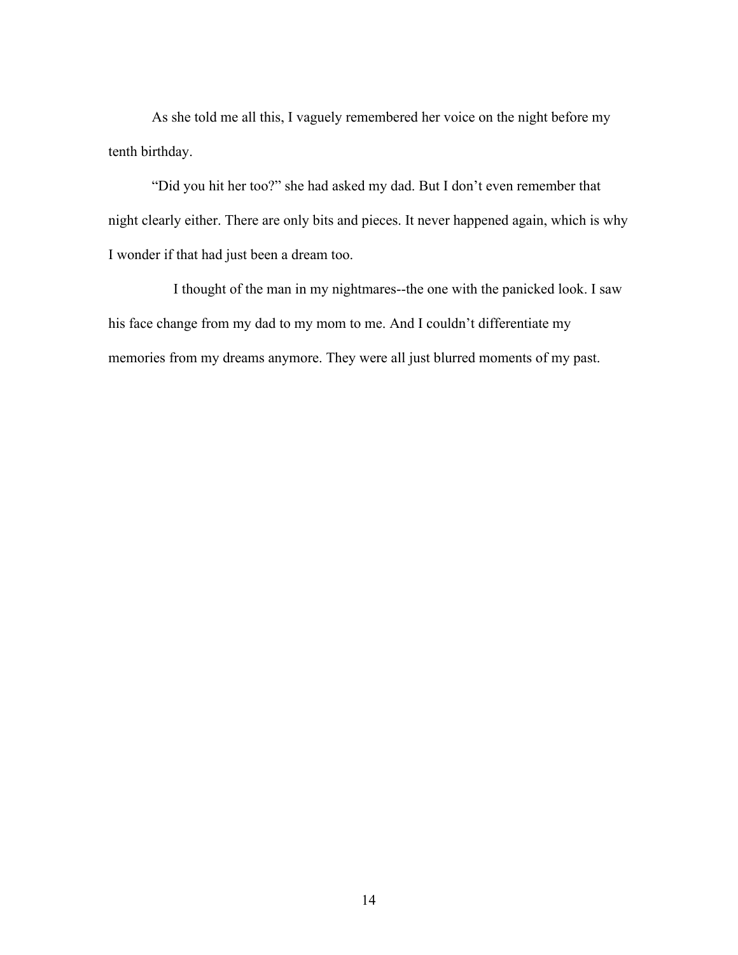As she told me all this, I vaguely remembered her voice on the night before my tenth birthday.

"Did you hit her too?" she had asked my dad. But I don't even remember that night clearly either. There are only bits and pieces. It never happened again, which is why I wonder if that had just been a dream too.

I thought of the man in my nightmares--the one with the panicked look. I saw his face change from my dad to my mom to me. And I couldn't differentiate my memories from my dreams anymore. They were all just blurred moments of my past.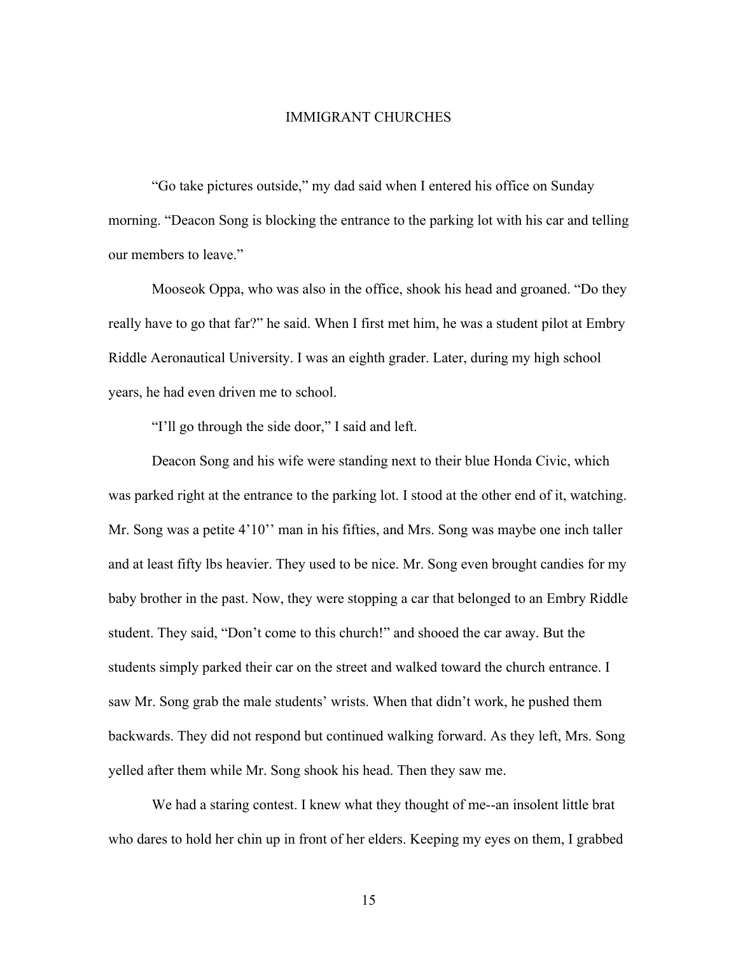#### IMMIGRANT CHURCHES

"Go take pictures outside," my dad said when I entered his office on Sunday morning. "Deacon Song is blocking the entrance to the parking lot with his car and telling our members to leave."

Mooseok Oppa, who was also in the office, shook his head and groaned. "Do they really have to go that far?" he said. When I first met him, he was a student pilot at Embry Riddle Aeronautical University. I was an eighth grader. Later, during my high school years, he had even driven me to school.

"I'll go through the side door," I said and left.

Deacon Song and his wife were standing next to their blue Honda Civic, which was parked right at the entrance to the parking lot. I stood at the other end of it, watching. Mr. Song was a petite 4'10'' man in his fifties, and Mrs. Song was maybe one inch taller and at least fifty lbs heavier. They used to be nice. Mr. Song even brought candies for my baby brother in the past. Now, they were stopping a car that belonged to an Embry Riddle student. They said, "Don't come to this church!" and shooed the car away. But the students simply parked their car on the street and walked toward the church entrance. I saw Mr. Song grab the male students' wrists. When that didn't work, he pushed them backwards. They did not respond but continued walking forward. As they left, Mrs. Song yelled after them while Mr. Song shook his head. Then they saw me.

We had a staring contest. I knew what they thought of me--an insolent little brat who dares to hold her chin up in front of her elders. Keeping my eyes on them, I grabbed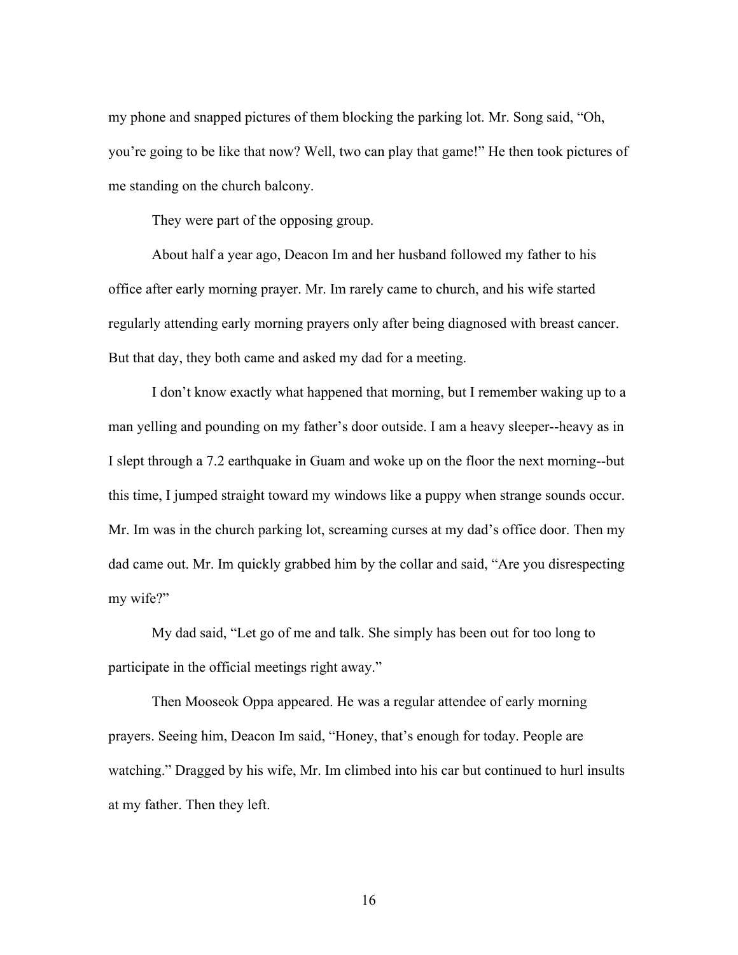my phone and snapped pictures of them blocking the parking lot. Mr. Song said, "Oh, you're going to be like that now? Well, two can play that game!" He then took pictures of me standing on the church balcony.

They were part of the opposing group.

About half a year ago, Deacon Im and her husband followed my father to his office after early morning prayer. Mr. Im rarely came to church, and his wife started regularly attending early morning prayers only after being diagnosed with breast cancer. But that day, they both came and asked my dad for a meeting.

I don't know exactly what happened that morning, but I remember waking up to a man yelling and pounding on my father's door outside. I am a heavy sleeper--heavy as in I slept through a 7.2 earthquake in Guam and woke up on the floor the next morning--but this time, I jumped straight toward my windows like a puppy when strange sounds occur. Mr. Im was in the church parking lot, screaming curses at my dad's office door. Then my dad came out. Mr. Im quickly grabbed him by the collar and said, "Are you disrespecting my wife?"

My dad said, "Let go of me and talk. She simply has been out for too long to participate in the official meetings right away."

Then Mooseok Oppa appeared. He was a regular attendee of early morning prayers. Seeing him, Deacon Im said, "Honey, that's enough for today. People are watching." Dragged by his wife, Mr. Im climbed into his car but continued to hurl insults at my father. Then they left.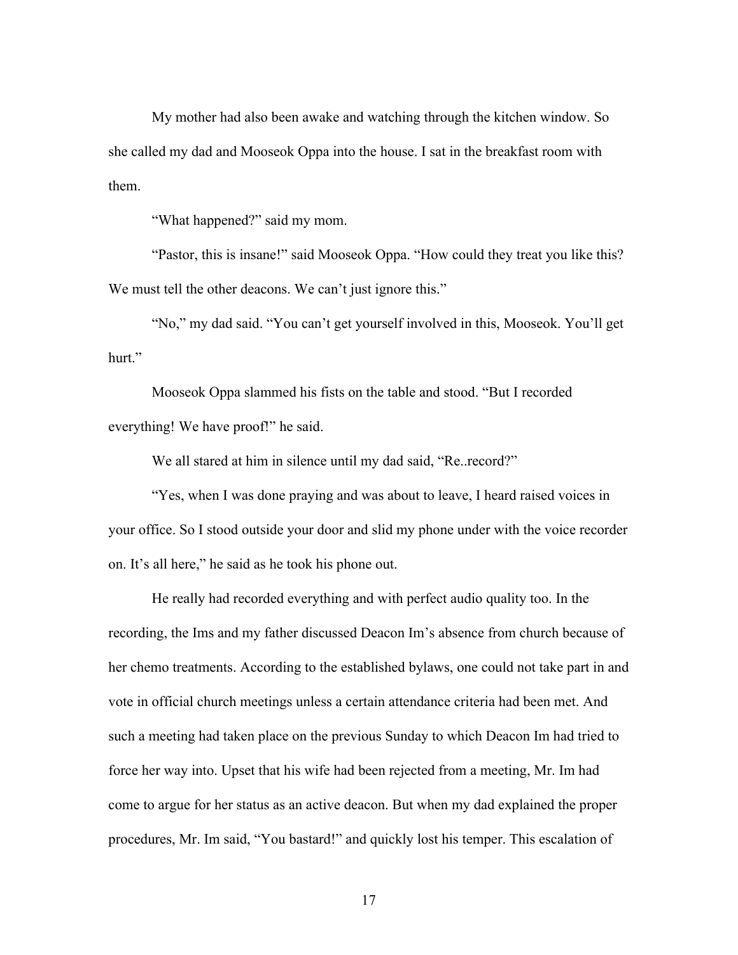My mother had also been awake and watching through the kitchen window. So she called my dad and Mooseok Oppa into the house. I sat in the breakfast room with them.

"What happened?" said my mom.

"Pastor, this is insane!" said Mooseok Oppa. "How could they treat you like this? We must tell the other deacons. We can't just ignore this."

"No," my dad said. "You can't get yourself involved in this, Mooseok. You'll get hurt."

Mooseok Oppa slammed his fists on the table and stood. "But I recorded everything! We have proof!" he said.

We all stared at him in silence until my dad said, "Re..record?"

"Yes, when I was done praying and was about to leave, I heard raised voices in your office. So I stood outside your door and slid my phone under with the voice recorder on. It's all here," he said as he took his phone out.

He really had recorded everything and with perfect audio quality too. In the recording, the Ims and my father discussed Deacon Im's absence from church because of her chemo treatments. According to the established bylaws, one could not take part in and vote in official church meetings unless a certain attendance criteria had been met. And such a meeting had taken place on the previous Sunday to which Deacon Im had tried to force her way into. Upset that his wife had been rejected from a meeting, Mr. Im had come to argue for her status as an active deacon. But when my dad explained the proper procedures, Mr. Im said, "You bastard!" and quickly lost his temper. This escalation of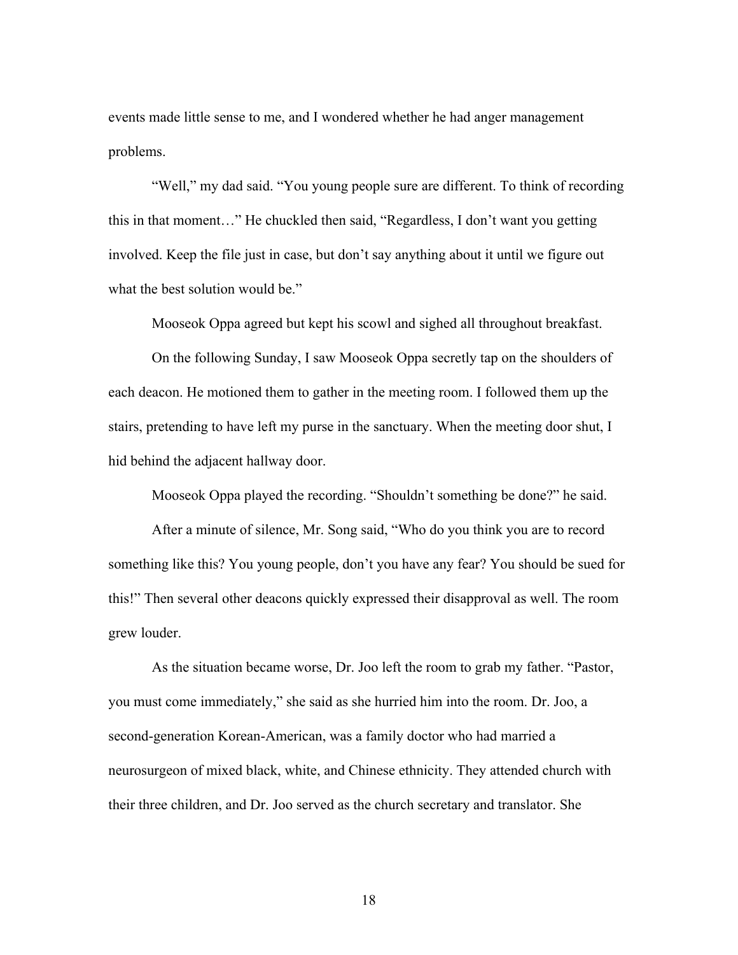events made little sense to me, and I wondered whether he had anger management problems.

"Well," my dad said. "You young people sure are different. To think of recording this in that moment…" He chuckled then said, "Regardless, I don't want you getting involved. Keep the file just in case, but don't say anything about it until we figure out what the best solution would be."

Mooseok Oppa agreed but kept his scowl and sighed all throughout breakfast.

On the following Sunday, I saw Mooseok Oppa secretly tap on the shoulders of each deacon. He motioned them to gather in the meeting room. I followed them up the stairs, pretending to have left my purse in the sanctuary. When the meeting door shut, I hid behind the adjacent hallway door.

Mooseok Oppa played the recording. "Shouldn't something be done?" he said.

After a minute of silence, Mr. Song said, "Who do you think you are to record something like this? You young people, don't you have any fear? You should be sued for this!" Then several other deacons quickly expressed their disapproval as well. The room grew louder.

As the situation became worse, Dr. Joo left the room to grab my father. "Pastor, you must come immediately," she said as she hurried him into the room. Dr. Joo, a second-generation Korean-American, was a family doctor who had married a neurosurgeon of mixed black, white, and Chinese ethnicity. They attended church with their three children, and Dr. Joo served as the church secretary and translator. She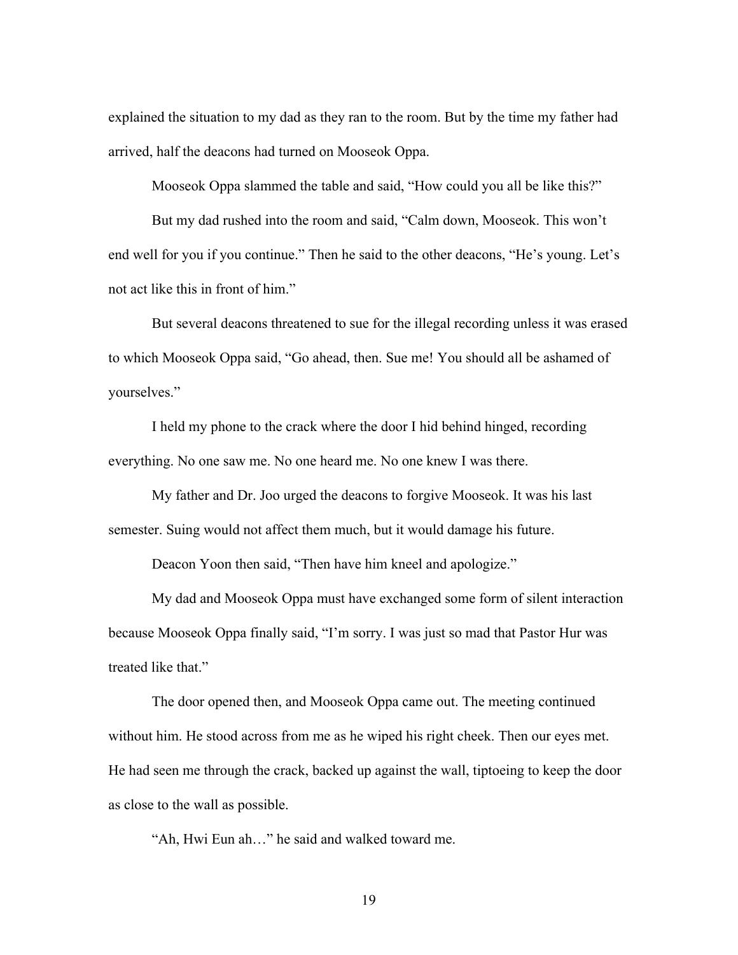explained the situation to my dad as they ran to the room. But by the time my father had arrived, half the deacons had turned on Mooseok Oppa.

Mooseok Oppa slammed the table and said, "How could you all be like this?"

But my dad rushed into the room and said, "Calm down, Mooseok. This won't end well for you if you continue." Then he said to the other deacons, "He's young. Let's not act like this in front of him."

But several deacons threatened to sue for the illegal recording unless it was erased to which Mooseok Oppa said, "Go ahead, then. Sue me! You should all be ashamed of yourselves."

I held my phone to the crack where the door I hid behind hinged, recording everything. No one saw me. No one heard me. No one knew I was there.

My father and Dr. Joo urged the deacons to forgive Mooseok. It was his last semester. Suing would not affect them much, but it would damage his future.

Deacon Yoon then said, "Then have him kneel and apologize."

My dad and Mooseok Oppa must have exchanged some form of silent interaction because Mooseok Oppa finally said, "I'm sorry. I was just so mad that Pastor Hur was treated like that."

The door opened then, and Mooseok Oppa came out. The meeting continued without him. He stood across from me as he wiped his right cheek. Then our eyes met. He had seen me through the crack, backed up against the wall, tiptoeing to keep the door as close to the wall as possible.

"Ah, Hwi Eun ah…" he said and walked toward me.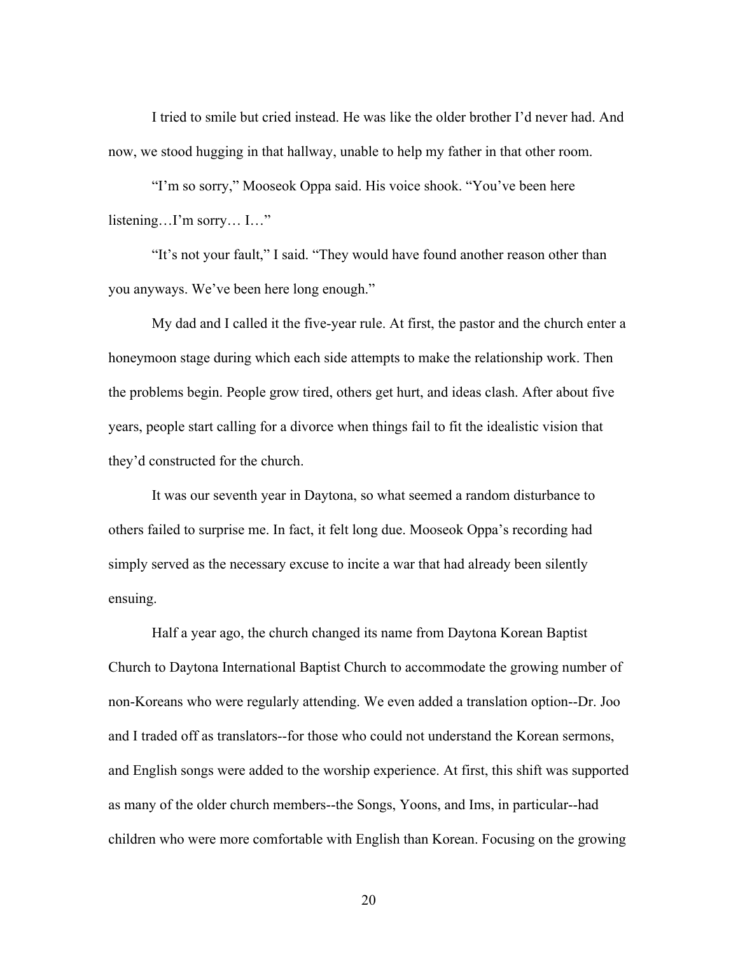I tried to smile but cried instead. He was like the older brother I'd never had. And now, we stood hugging in that hallway, unable to help my father in that other room.

"I'm so sorry," Mooseok Oppa said. His voice shook. "You've been here listening…I'm sorry… I…"

"It's not your fault," I said. "They would have found another reason other than you anyways. We've been here long enough."

My dad and I called it the five-year rule. At first, the pastor and the church enter a honeymoon stage during which each side attempts to make the relationship work. Then the problems begin. People grow tired, others get hurt, and ideas clash. After about five years, people start calling for a divorce when things fail to fit the idealistic vision that they'd constructed for the church.

It was our seventh year in Daytona, so what seemed a random disturbance to others failed to surprise me. In fact, it felt long due. Mooseok Oppa's recording had simply served as the necessary excuse to incite a war that had already been silently ensuing.

Half a year ago, the church changed its name from Daytona Korean Baptist Church to Daytona International Baptist Church to accommodate the growing number of non-Koreans who were regularly attending. We even added a translation option--Dr. Joo and I traded off as translators--for those who could not understand the Korean sermons, and English songs were added to the worship experience. At first, this shift was supported as many of the older church members--the Songs, Yoons, and Ims, in particular--had children who were more comfortable with English than Korean. Focusing on the growing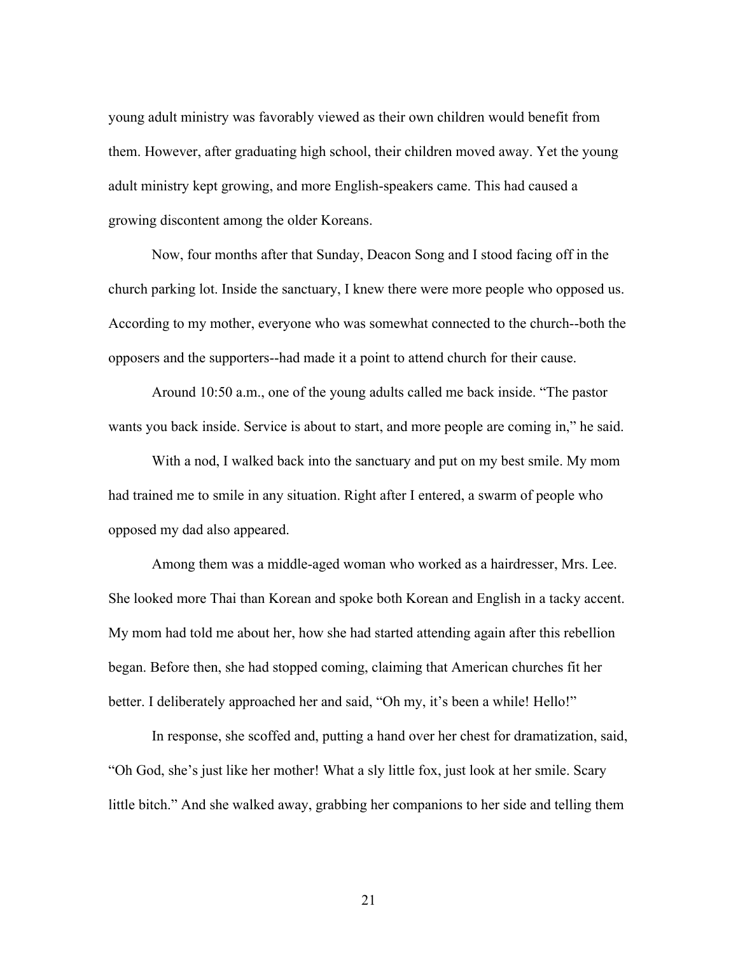young adult ministry was favorably viewed as their own children would benefit from them. However, after graduating high school, their children moved away. Yet the young adult ministry kept growing, and more English-speakers came. This had caused a growing discontent among the older Koreans.

Now, four months after that Sunday, Deacon Song and I stood facing off in the church parking lot. Inside the sanctuary, I knew there were more people who opposed us. According to my mother, everyone who was somewhat connected to the church--both the opposers and the supporters--had made it a point to attend church for their cause.

Around 10:50 a.m., one of the young adults called me back inside. "The pastor wants you back inside. Service is about to start, and more people are coming in," he said.

With a nod, I walked back into the sanctuary and put on my best smile. My mom had trained me to smile in any situation. Right after I entered, a swarm of people who opposed my dad also appeared.

Among them was a middle-aged woman who worked as a hairdresser, Mrs. Lee. She looked more Thai than Korean and spoke both Korean and English in a tacky accent. My mom had told me about her, how she had started attending again after this rebellion began. Before then, she had stopped coming, claiming that American churches fit her better. I deliberately approached her and said, "Oh my, it's been a while! Hello!"

In response, she scoffed and, putting a hand over her chest for dramatization, said, "Oh God, she's just like her mother! What a sly little fox, just look at her smile. Scary little bitch." And she walked away, grabbing her companions to her side and telling them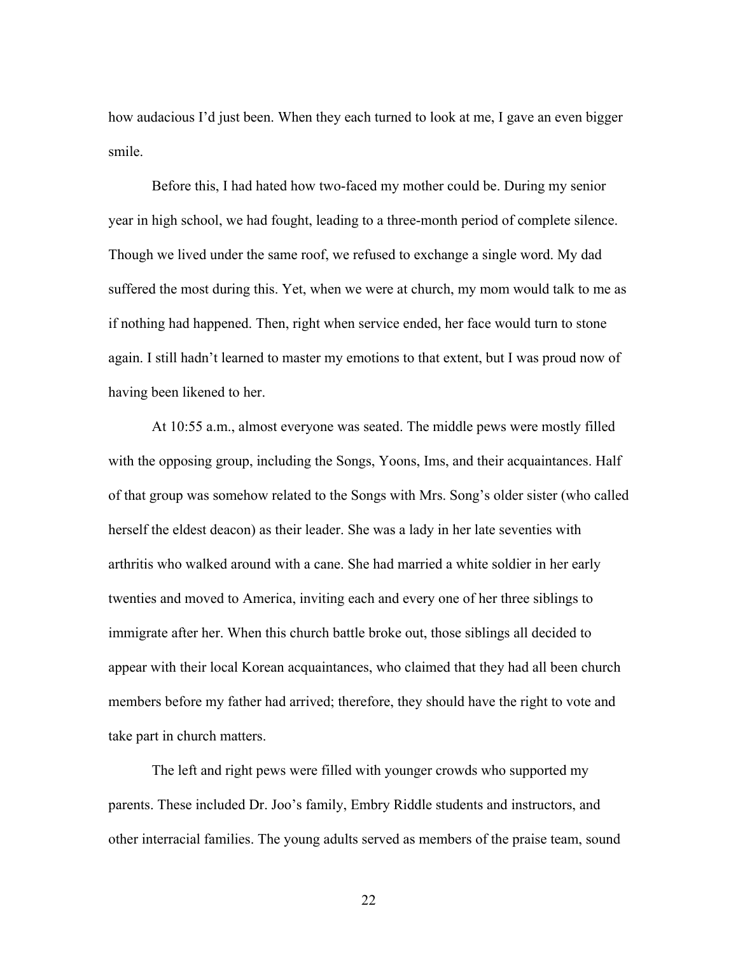how audacious I'd just been. When they each turned to look at me, I gave an even bigger smile.

Before this, I had hated how two-faced my mother could be. During my senior year in high school, we had fought, leading to a three-month period of complete silence. Though we lived under the same roof, we refused to exchange a single word. My dad suffered the most during this. Yet, when we were at church, my mom would talk to me as if nothing had happened. Then, right when service ended, her face would turn to stone again. I still hadn't learned to master my emotions to that extent, but I was proud now of having been likened to her.

At 10:55 a.m., almost everyone was seated. The middle pews were mostly filled with the opposing group, including the Songs, Yoons, Ims, and their acquaintances. Half of that group was somehow related to the Songs with Mrs. Song's older sister (who called herself the eldest deacon) as their leader. She was a lady in her late seventies with arthritis who walked around with a cane. She had married a white soldier in her early twenties and moved to America, inviting each and every one of her three siblings to immigrate after her. When this church battle broke out, those siblings all decided to appear with their local Korean acquaintances, who claimed that they had all been church members before my father had arrived; therefore, they should have the right to vote and take part in church matters.

The left and right pews were filled with younger crowds who supported my parents. These included Dr. Joo's family, Embry Riddle students and instructors, and other interracial families. The young adults served as members of the praise team, sound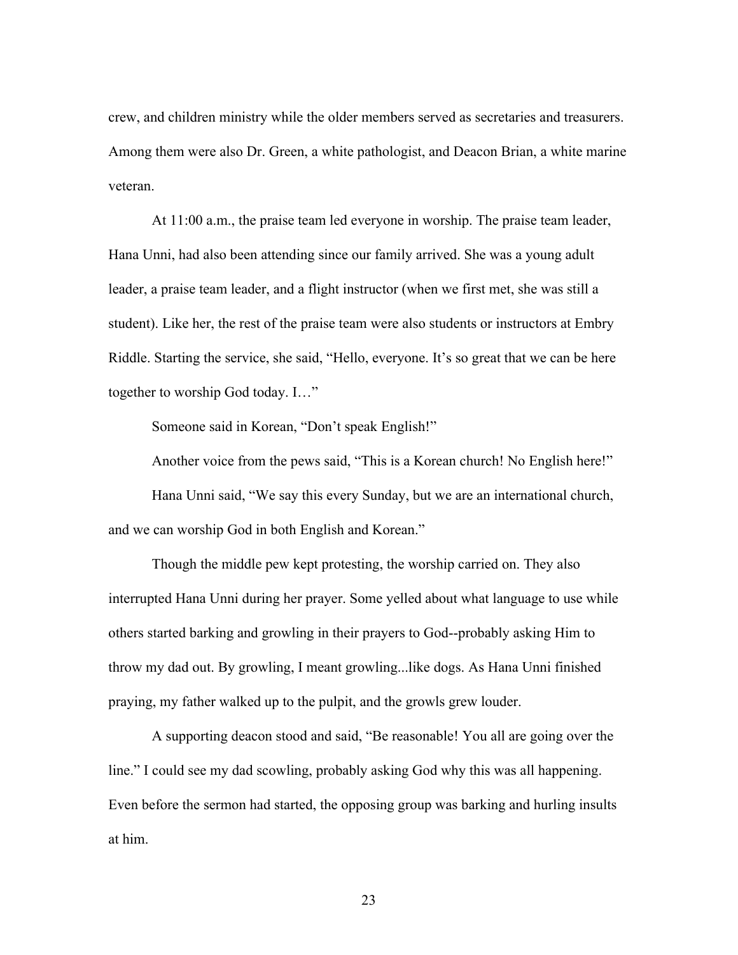crew, and children ministry while the older members served as secretaries and treasurers. Among them were also Dr. Green, a white pathologist, and Deacon Brian, a white marine veteran.

At 11:00 a.m., the praise team led everyone in worship. The praise team leader, Hana Unni, had also been attending since our family arrived. She was a young adult leader, a praise team leader, and a flight instructor (when we first met, she was still a student). Like her, the rest of the praise team were also students or instructors at Embry Riddle. Starting the service, she said, "Hello, everyone. It's so great that we can be here together to worship God today. I…"

Someone said in Korean, "Don't speak English!"

Another voice from the pews said, "This is a Korean church! No English here!"

Hana Unni said, "We say this every Sunday, but we are an international church, and we can worship God in both English and Korean."

Though the middle pew kept protesting, the worship carried on. They also interrupted Hana Unni during her prayer. Some yelled about what language to use while others started barking and growling in their prayers to God--probably asking Him to throw my dad out. By growling, I meant growling...like dogs. As Hana Unni finished praying, my father walked up to the pulpit, and the growls grew louder.

A supporting deacon stood and said, "Be reasonable! You all are going over the line." I could see my dad scowling, probably asking God why this was all happening. Even before the sermon had started, the opposing group was barking and hurling insults at him.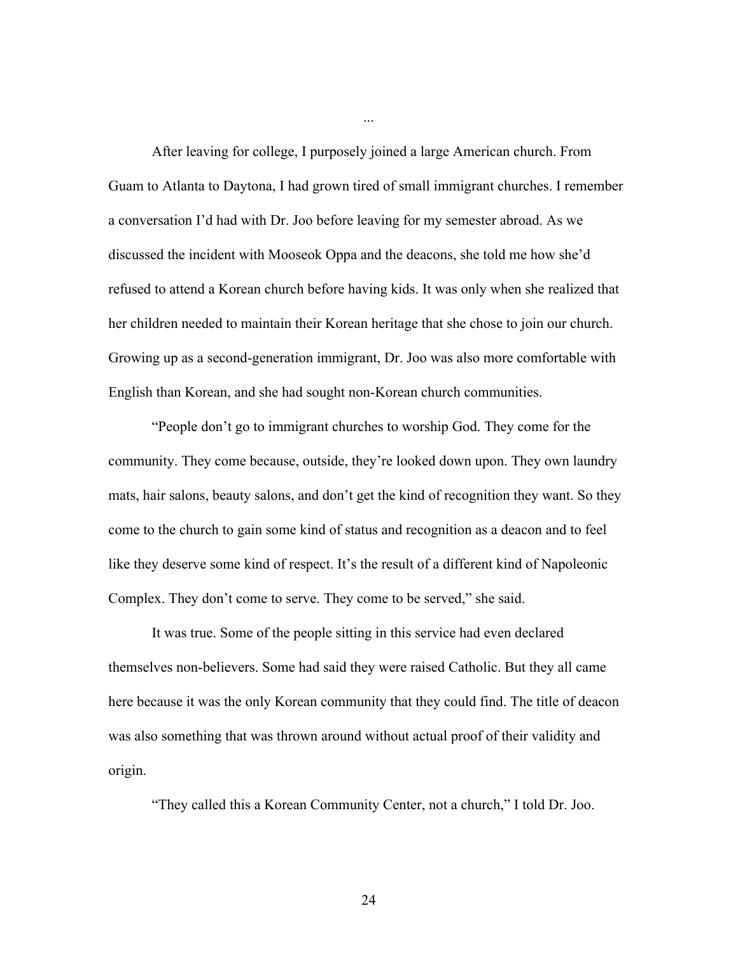After leaving for college, I purposely joined a large American church. From Guam to Atlanta to Daytona, I had grown tired of small immigrant churches. I remember a conversation I'd had with Dr. Joo before leaving for my semester abroad. As we discussed the incident with Mooseok Oppa and the deacons, she told me how she'd refused to attend a Korean church before having kids. It was only when she realized that her children needed to maintain their Korean heritage that she chose to join our church. Growing up as a second-generation immigrant, Dr. Joo was also more comfortable with English than Korean, and she had sought non-Korean church communities.

...

"People don't go to immigrant churches to worship God. They come for the community. They come because, outside, they're looked down upon. They own laundry mats, hair salons, beauty salons, and don't get the kind of recognition they want. So they come to the church to gain some kind of status and recognition as a deacon and to feel like they deserve some kind of respect. It's the result of a different kind of Napoleonic Complex. They don't come to serve. They come to be served," she said.

It was true. Some of the people sitting in this service had even declared themselves non-believers. Some had said they were raised Catholic. But they all came here because it was the only Korean community that they could find. The title of deacon was also something that was thrown around without actual proof of their validity and origin.

"They called this a Korean Community Center, not a church," I told Dr. Joo.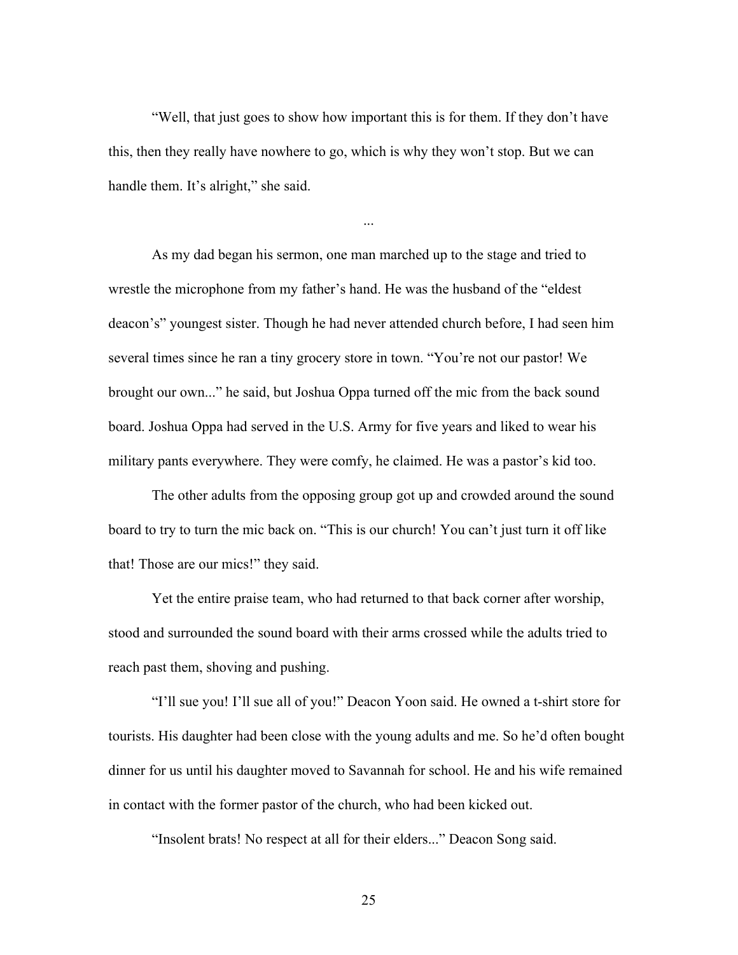"Well, that just goes to show how important this is for them. If they don't have this, then they really have nowhere to go, which is why they won't stop. But we can handle them. It's alright," she said.

...

As my dad began his sermon, one man marched up to the stage and tried to wrestle the microphone from my father's hand. He was the husband of the "eldest deacon's" youngest sister. Though he had never attended church before, I had seen him several times since he ran a tiny grocery store in town. "You're not our pastor! We brought our own..." he said, but Joshua Oppa turned off the mic from the back sound board. Joshua Oppa had served in the U.S. Army for five years and liked to wear his military pants everywhere. They were comfy, he claimed. He was a pastor's kid too.

The other adults from the opposing group got up and crowded around the sound board to try to turn the mic back on. "This is our church! You can't just turn it off like that! Those are our mics!" they said.

Yet the entire praise team, who had returned to that back corner after worship, stood and surrounded the sound board with their arms crossed while the adults tried to reach past them, shoving and pushing.

"I'll sue you! I'll sue all of you!" Deacon Yoon said. He owned a t-shirt store for tourists. His daughter had been close with the young adults and me. So he'd often bought dinner for us until his daughter moved to Savannah for school. He and his wife remained in contact with the former pastor of the church, who had been kicked out.

"Insolent brats! No respect at all for their elders..." Deacon Song said.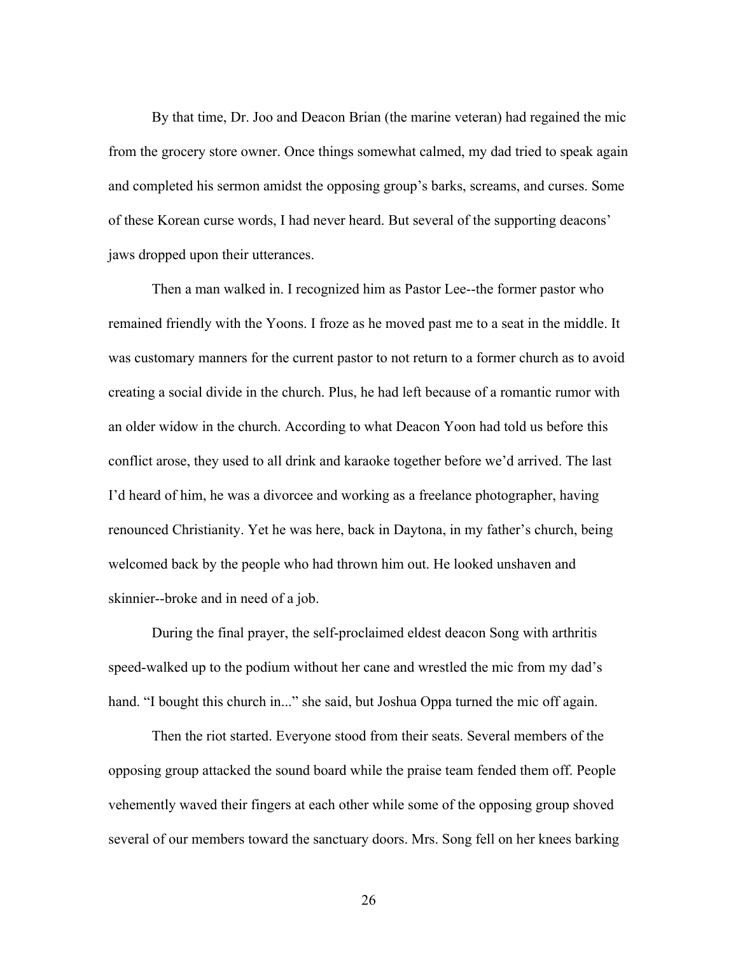By that time, Dr. Joo and Deacon Brian (the marine veteran) had regained the mic from the grocery store owner. Once things somewhat calmed, my dad tried to speak again and completed his sermon amidst the opposing group's barks, screams, and curses. Some of these Korean curse words, I had never heard. But several of the supporting deacons' jaws dropped upon their utterances.

Then a man walked in. I recognized him as Pastor Lee--the former pastor who remained friendly with the Yoons. I froze as he moved past me to a seat in the middle. It was customary manners for the current pastor to not return to a former church as to avoid creating a social divide in the church. Plus, he had left because of a romantic rumor with an older widow in the church. According to what Deacon Yoon had told us before this conflict arose, they used to all drink and karaoke together before we'd arrived. The last I'd heard of him, he was a divorcee and working as a freelance photographer, having renounced Christianity. Yet he was here, back in Daytona, in my father's church, being welcomed back by the people who had thrown him out. He looked unshaven and skinnier--broke and in need of a job.

During the final prayer, the self-proclaimed eldest deacon Song with arthritis speed-walked up to the podium without her cane and wrestled the mic from my dad's hand. "I bought this church in..." she said, but Joshua Oppa turned the mic off again.

Then the riot started. Everyone stood from their seats. Several members of the opposing group attacked the sound board while the praise team fended them off. People vehemently waved their fingers at each other while some of the opposing group shoved several of our members toward the sanctuary doors. Mrs. Song fell on her knees barking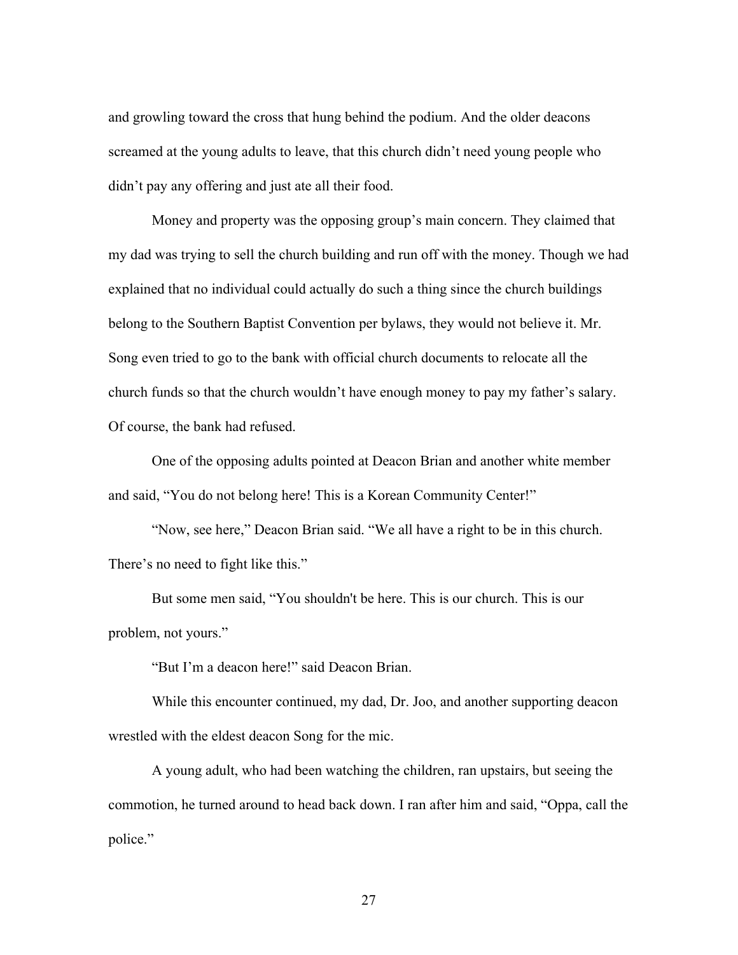and growling toward the cross that hung behind the podium. And the older deacons screamed at the young adults to leave, that this church didn't need young people who didn't pay any offering and just ate all their food.

Money and property was the opposing group's main concern. They claimed that my dad was trying to sell the church building and run off with the money. Though we had explained that no individual could actually do such a thing since the church buildings belong to the Southern Baptist Convention per bylaws, they would not believe it. Mr. Song even tried to go to the bank with official church documents to relocate all the church funds so that the church wouldn't have enough money to pay my father's salary. Of course, the bank had refused.

One of the opposing adults pointed at Deacon Brian and another white member and said, "You do not belong here! This is a Korean Community Center!"

"Now, see here," Deacon Brian said. "We all have a right to be in this church. There's no need to fight like this."

But some men said, "You shouldn't be here. This is our church. This is our problem, not yours."

"But I'm a deacon here!" said Deacon Brian.

While this encounter continued, my dad, Dr. Joo, and another supporting deacon wrestled with the eldest deacon Song for the mic.

A young adult, who had been watching the children, ran upstairs, but seeing the commotion, he turned around to head back down. I ran after him and said, "Oppa, call the police."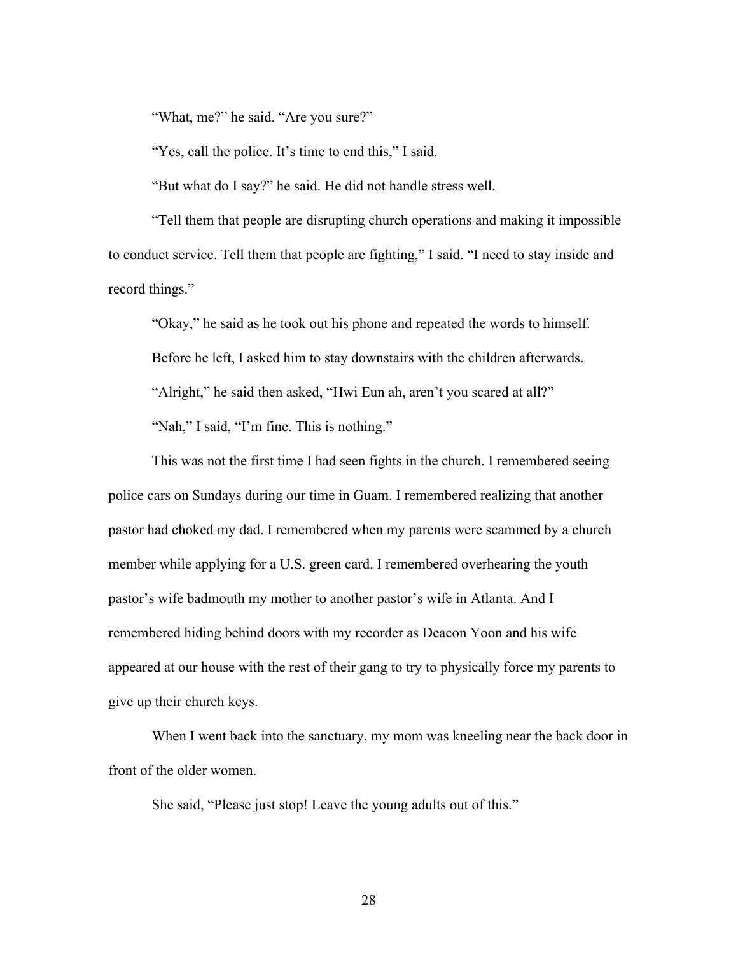"What, me?" he said. "Are you sure?"

"Yes, call the police. It's time to end this," I said.

"But what do I say?" he said. He did not handle stress well.

"Tell them that people are disrupting church operations and making it impossible to conduct service. Tell them that people are fighting," I said. "I need to stay inside and record things."

"Okay," he said as he took out his phone and repeated the words to himself. Before he left, I asked him to stay downstairs with the children afterwards. "Alright," he said then asked, "Hwi Eun ah, aren't you scared at all?" "Nah," I said, "I'm fine. This is nothing."

This was not the first time I had seen fights in the church. I remembered seeing police cars on Sundays during our time in Guam. I remembered realizing that another pastor had choked my dad. I remembered when my parents were scammed by a church member while applying for a U.S. green card. I remembered overhearing the youth pastor's wife badmouth my mother to another pastor's wife in Atlanta. And I remembered hiding behind doors with my recorder as Deacon Yoon and his wife appeared at our house with the rest of their gang to try to physically force my parents to give up their church keys.

When I went back into the sanctuary, my mom was kneeling near the back door in front of the older women.

She said, "Please just stop! Leave the young adults out of this."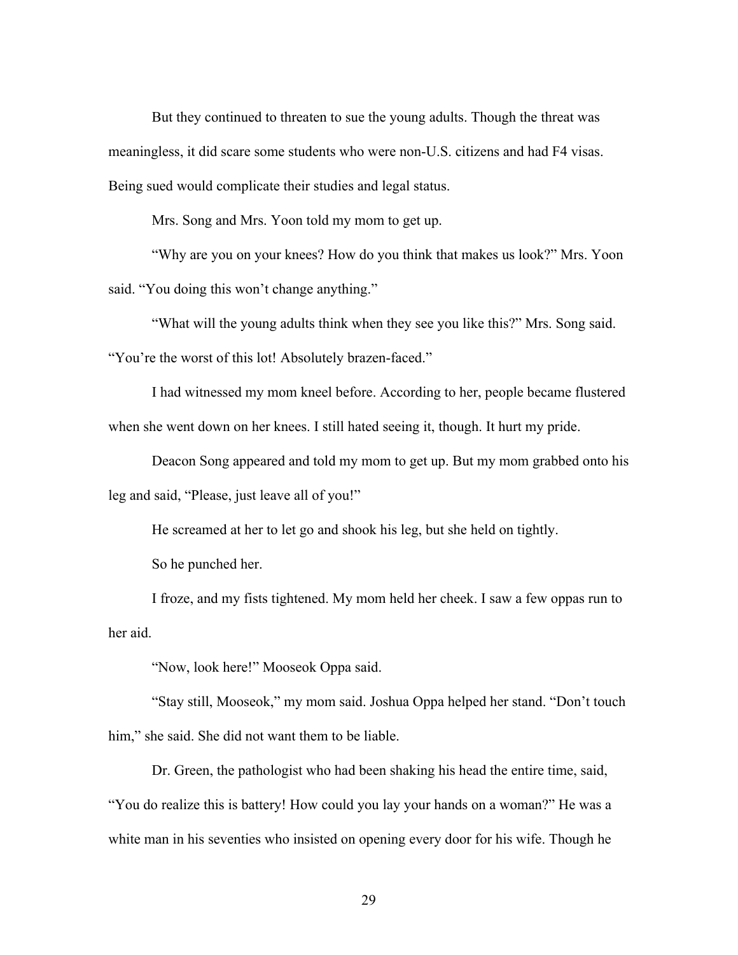But they continued to threaten to sue the young adults. Though the threat was meaningless, it did scare some students who were non-U.S. citizens and had F4 visas. Being sued would complicate their studies and legal status.

Mrs. Song and Mrs. Yoon told my mom to get up.

"Why are you on your knees? How do you think that makes us look?" Mrs. Yoon said. "You doing this won't change anything."

"What will the young adults think when they see you like this?" Mrs. Song said. "You're the worst of this lot! Absolutely brazen-faced."

I had witnessed my mom kneel before. According to her, people became flustered when she went down on her knees. I still hated seeing it, though. It hurt my pride.

Deacon Song appeared and told my mom to get up. But my mom grabbed onto his leg and said, "Please, just leave all of you!"

He screamed at her to let go and shook his leg, but she held on tightly.

So he punched her.

I froze, and my fists tightened. My mom held her cheek. I saw a few oppas run to her aid.

"Now, look here!" Mooseok Oppa said.

"Stay still, Mooseok," my mom said. Joshua Oppa helped her stand. "Don't touch him," she said. She did not want them to be liable.

Dr. Green, the pathologist who had been shaking his head the entire time, said, "You do realize this is battery! How could you lay your hands on a woman?" He was a white man in his seventies who insisted on opening every door for his wife. Though he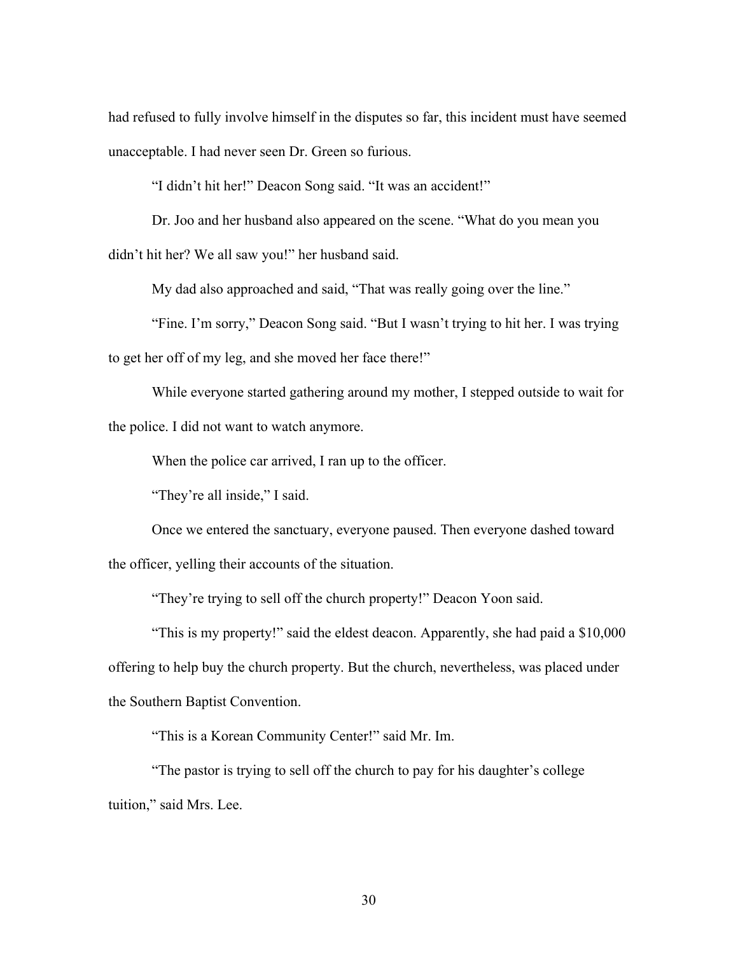had refused to fully involve himself in the disputes so far, this incident must have seemed unacceptable. I had never seen Dr. Green so furious.

"I didn't hit her!" Deacon Song said. "It was an accident!"

Dr. Joo and her husband also appeared on the scene. "What do you mean you didn't hit her? We all saw you!" her husband said.

My dad also approached and said, "That was really going over the line."

"Fine. I'm sorry," Deacon Song said. "But I wasn't trying to hit her. I was trying to get her off of my leg, and she moved her face there!"

While everyone started gathering around my mother, I stepped outside to wait for the police. I did not want to watch anymore.

When the police car arrived, I ran up to the officer.

"They're all inside," I said.

Once we entered the sanctuary, everyone paused. Then everyone dashed toward the officer, yelling their accounts of the situation.

"They're trying to sell off the church property!" Deacon Yoon said.

"This is my property!" said the eldest deacon. Apparently, she had paid a \$10,000 offering to help buy the church property. But the church, nevertheless, was placed under the Southern Baptist Convention.

"This is a Korean Community Center!" said Mr. Im.

"The pastor is trying to sell off the church to pay for his daughter's college tuition," said Mrs. Lee.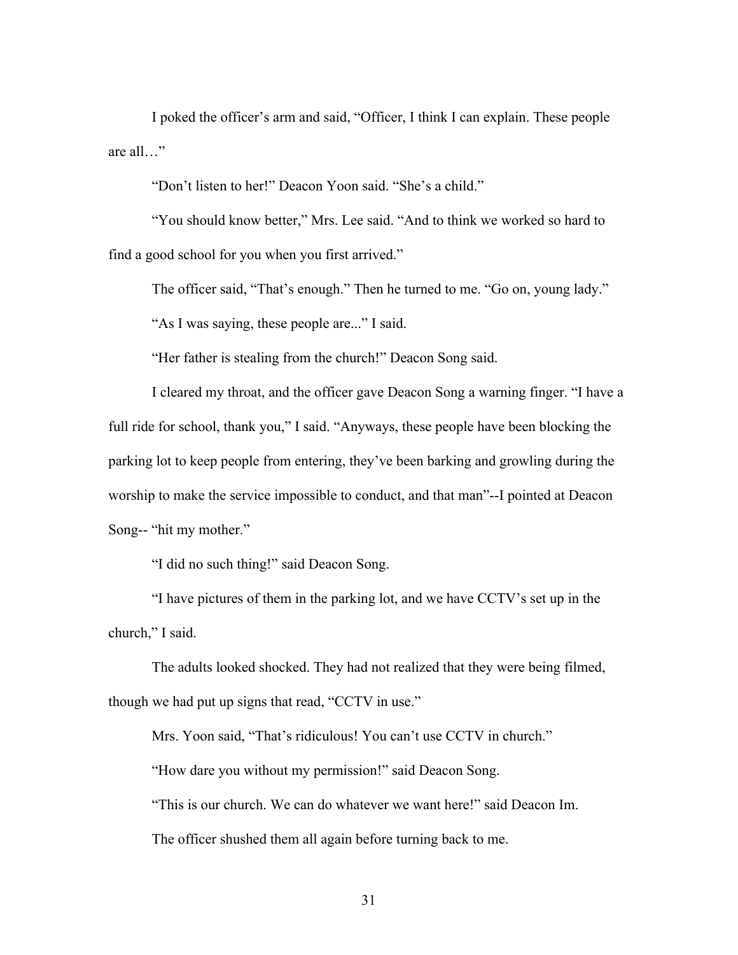I poked the officer's arm and said, "Officer, I think I can explain. These people are all…"

"Don't listen to her!" Deacon Yoon said. "She's a child."

"You should know better," Mrs. Lee said. "And to think we worked so hard to find a good school for you when you first arrived."

The officer said, "That's enough." Then he turned to me. "Go on, young lady."

"As I was saying, these people are..." I said.

"Her father is stealing from the church!" Deacon Song said.

I cleared my throat, and the officer gave Deacon Song a warning finger. "I have a full ride for school, thank you," I said. "Anyways, these people have been blocking the parking lot to keep people from entering, they've been barking and growling during the worship to make the service impossible to conduct, and that man"--I pointed at Deacon Song-- "hit my mother."

"I did no such thing!" said Deacon Song.

"I have pictures of them in the parking lot, and we have CCTV's set up in the church," I said.

The adults looked shocked. They had not realized that they were being filmed, though we had put up signs that read, "CCTV in use."

Mrs. Yoon said, "That's ridiculous! You can't use CCTV in church."

"How dare you without my permission!" said Deacon Song.

"This is our church. We can do whatever we want here!" said Deacon Im.

The officer shushed them all again before turning back to me.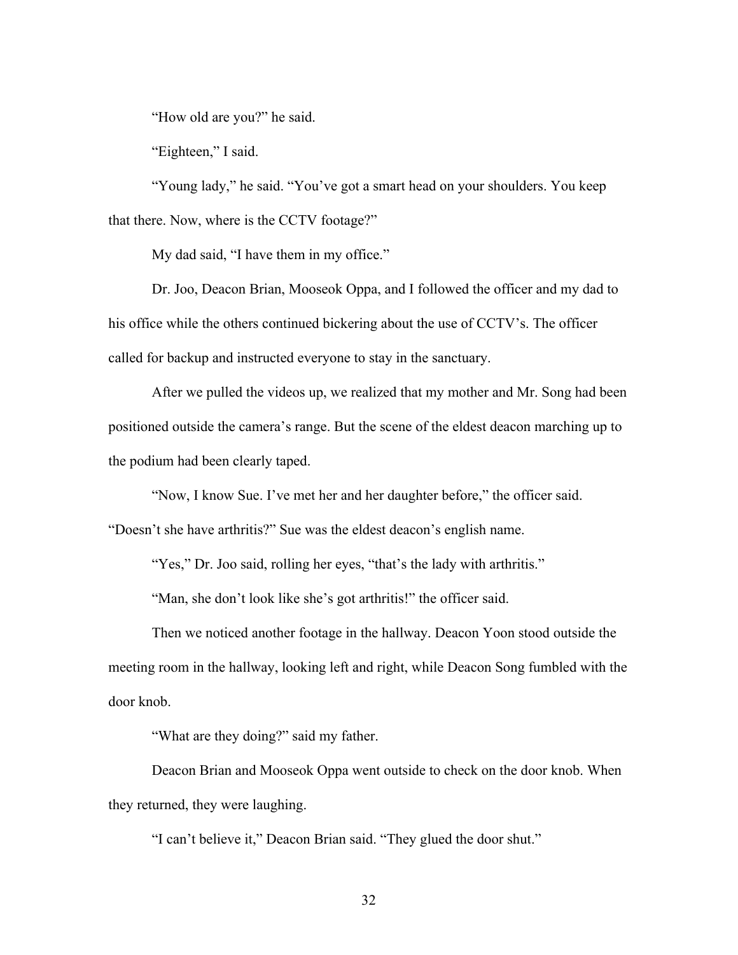"How old are you?" he said.

"Eighteen," I said.

"Young lady," he said. "You've got a smart head on your shoulders. You keep that there. Now, where is the CCTV footage?"

My dad said, "I have them in my office."

Dr. Joo, Deacon Brian, Mooseok Oppa, and I followed the officer and my dad to his office while the others continued bickering about the use of CCTV's. The officer called for backup and instructed everyone to stay in the sanctuary.

After we pulled the videos up, we realized that my mother and Mr. Song had been positioned outside the camera's range. But the scene of the eldest deacon marching up to the podium had been clearly taped.

"Now, I know Sue. I've met her and her daughter before," the officer said.

"Doesn't she have arthritis?" Sue was the eldest deacon's english name.

"Yes," Dr. Joo said, rolling her eyes, "that's the lady with arthritis."

"Man, she don't look like she's got arthritis!" the officer said.

Then we noticed another footage in the hallway. Deacon Yoon stood outside the meeting room in the hallway, looking left and right, while Deacon Song fumbled with the door knob.

"What are they doing?" said my father.

Deacon Brian and Mooseok Oppa went outside to check on the door knob. When they returned, they were laughing.

"I can't believe it," Deacon Brian said. "They glued the door shut."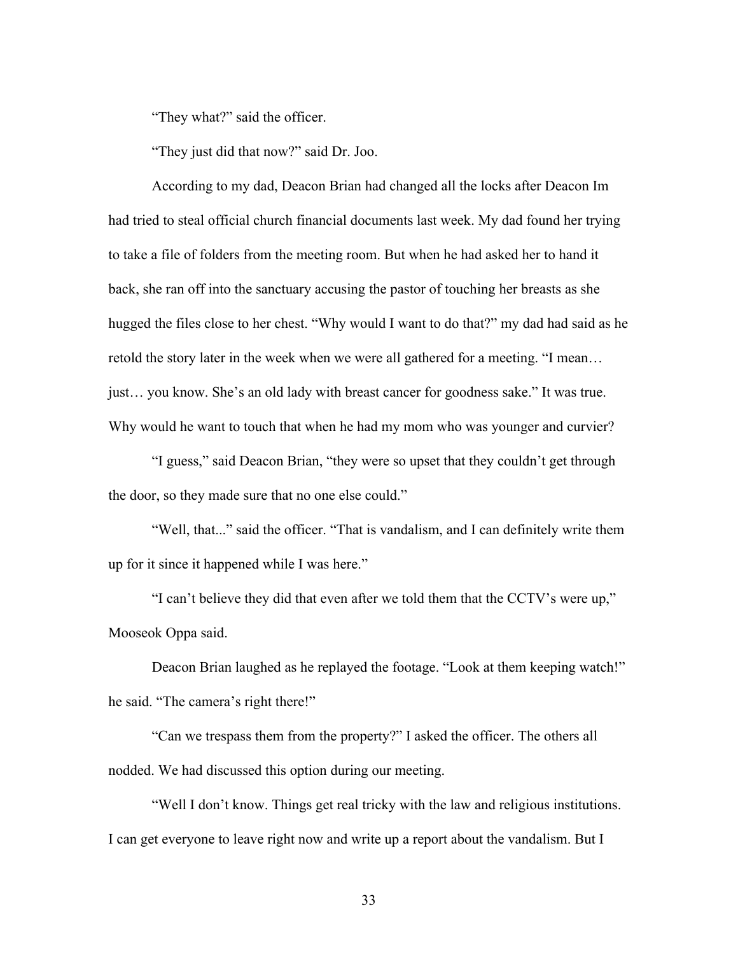"They what?" said the officer.

"They just did that now?" said Dr. Joo.

According to my dad, Deacon Brian had changed all the locks after Deacon Im had tried to steal official church financial documents last week. My dad found her trying to take a file of folders from the meeting room. But when he had asked her to hand it back, she ran off into the sanctuary accusing the pastor of touching her breasts as she hugged the files close to her chest. "Why would I want to do that?" my dad had said as he retold the story later in the week when we were all gathered for a meeting. "I mean… just… you know. She's an old lady with breast cancer for goodness sake." It was true. Why would he want to touch that when he had my mom who was younger and curvier?

"I guess," said Deacon Brian, "they were so upset that they couldn't get through the door, so they made sure that no one else could."

"Well, that..." said the officer. "That is vandalism, and I can definitely write them up for it since it happened while I was here."

"I can't believe they did that even after we told them that the CCTV's were up," Mooseok Oppa said.

Deacon Brian laughed as he replayed the footage. "Look at them keeping watch!" he said. "The camera's right there!"

"Can we trespass them from the property?" I asked the officer. The others all nodded. We had discussed this option during our meeting.

"Well I don't know. Things get real tricky with the law and religious institutions. I can get everyone to leave right now and write up a report about the vandalism. But I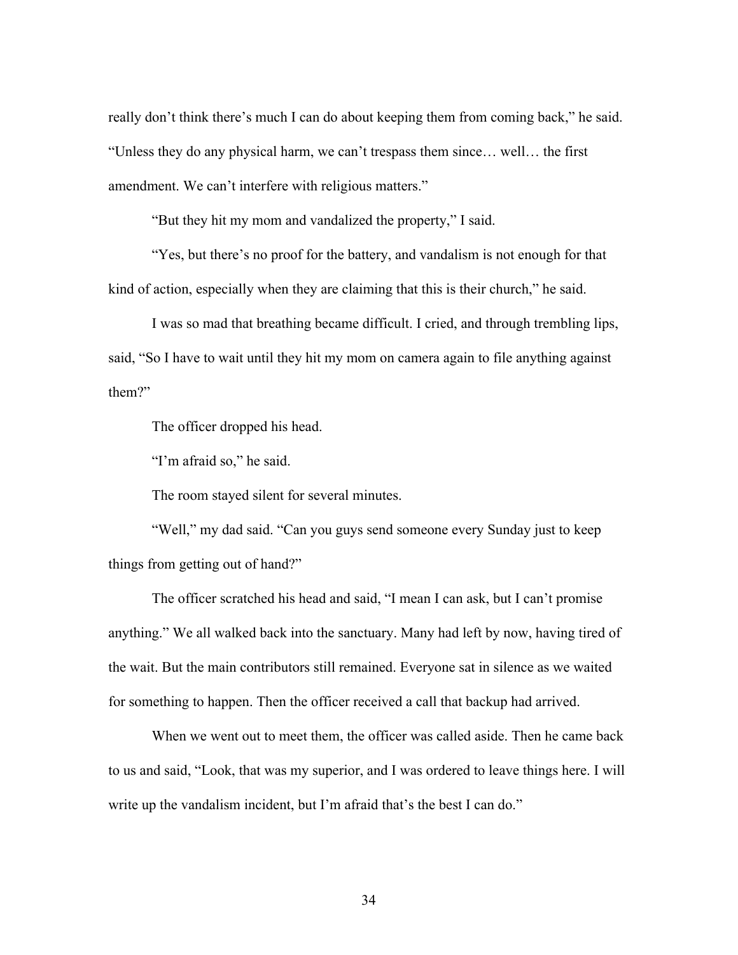really don't think there's much I can do about keeping them from coming back," he said. "Unless they do any physical harm, we can't trespass them since… well… the first amendment. We can't interfere with religious matters."

"But they hit my mom and vandalized the property," I said.

"Yes, but there's no proof for the battery, and vandalism is not enough for that kind of action, especially when they are claiming that this is their church," he said.

I was so mad that breathing became difficult. I cried, and through trembling lips, said, "So I have to wait until they hit my mom on camera again to file anything against them?"

The officer dropped his head.

"I'm afraid so," he said.

The room stayed silent for several minutes.

"Well," my dad said. "Can you guys send someone every Sunday just to keep things from getting out of hand?"

The officer scratched his head and said, "I mean I can ask, but I can't promise anything." We all walked back into the sanctuary. Many had left by now, having tired of the wait. But the main contributors still remained. Everyone sat in silence as we waited for something to happen. Then the officer received a call that backup had arrived.

When we went out to meet them, the officer was called aside. Then he came back to us and said, "Look, that was my superior, and I was ordered to leave things here. I will write up the vandalism incident, but I'm afraid that's the best I can do."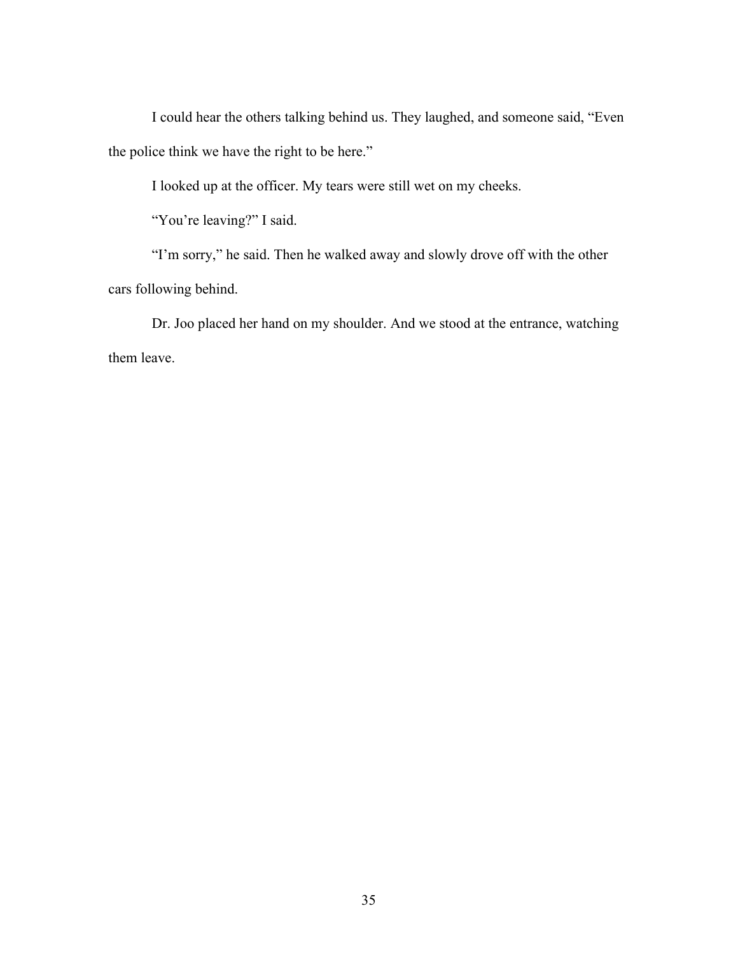I could hear the others talking behind us. They laughed, and someone said, "Even the police think we have the right to be here."

I looked up at the officer. My tears were still wet on my cheeks.

"You're leaving?" I said.

"I'm sorry," he said. Then he walked away and slowly drove off with the other cars following behind.

Dr. Joo placed her hand on my shoulder. And we stood at the entrance, watching them leave.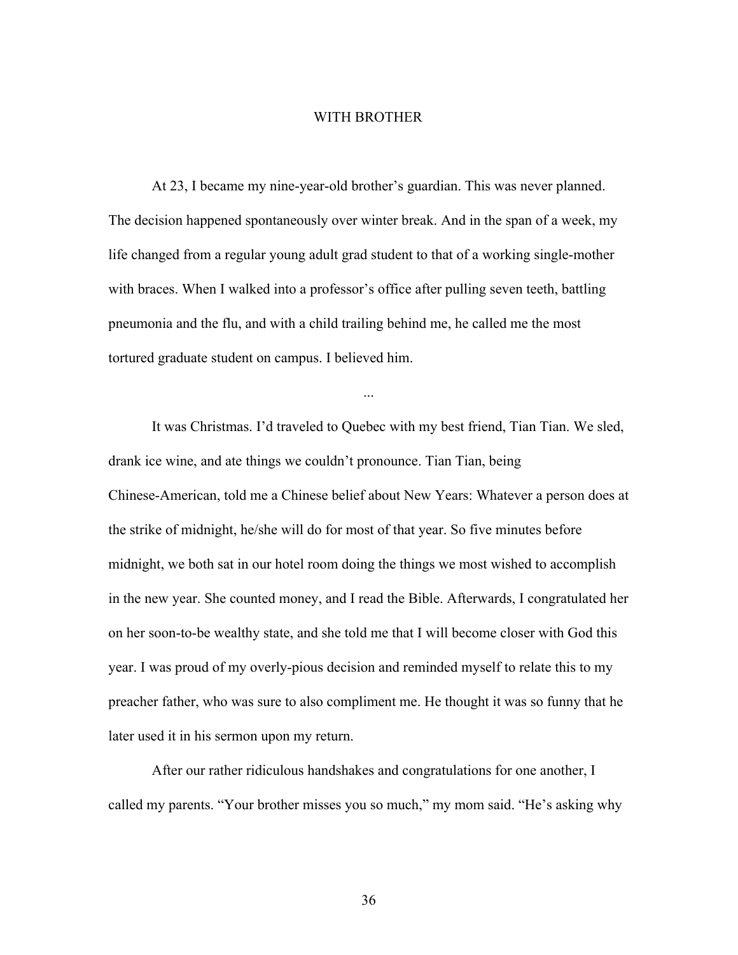## WITH BROTHER

At 23, I became my nine-year-old brother's guardian. This was never planned. The decision happened spontaneously over winter break. And in the span of a week, my life changed from a regular young adult grad student to that of a working single-mother with braces. When I walked into a professor's office after pulling seven teeth, battling pneumonia and the flu, and with a child trailing behind me, he called me the most tortured graduate student on campus. I believed him.

...

It was Christmas. I'd traveled to Quebec with my best friend, Tian Tian. We sled, drank ice wine, and ate things we couldn't pronounce. Tian Tian, being Chinese-American, told me a Chinese belief about New Years: Whatever a person does at the strike of midnight, he/she will do for most of that year. So five minutes before midnight, we both sat in our hotel room doing the things we most wished to accomplish in the new year. She counted money, and I read the Bible. Afterwards, I congratulated her on her soon-to-be wealthy state, and she told me that I will become closer with God this year. I was proud of my overly-pious decision and reminded myself to relate this to my preacher father, who was sure to also compliment me. He thought it was so funny that he later used it in his sermon upon my return.

After our rather ridiculous handshakes and congratulations for one another, I called my parents. "Your brother misses you so much," my mom said. "He's asking why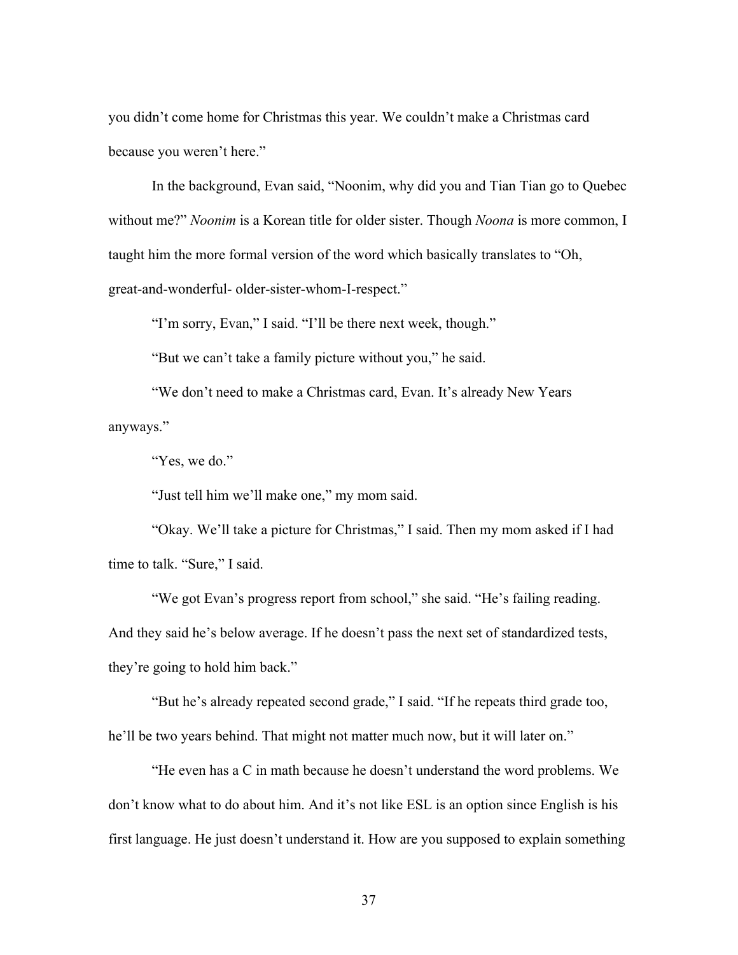you didn't come home for Christmas this year. We couldn't make a Christmas card because you weren't here."

In the background, Evan said, "Noonim, why did you and Tian Tian go to Quebec without me?" *Noonim* is a Korean title for older sister. Though *Noona* is more common, I taught him the more formal version of the word which basically translates to "Oh, great-and-wonderful- older-sister-whom-I-respect."

"I'm sorry, Evan," I said. "I'll be there next week, though."

"But we can't take a family picture without you," he said.

"We don't need to make a Christmas card, Evan. It's already New Years anyways."

"Yes, we do."

"Just tell him we'll make one," my mom said.

"Okay. We'll take a picture for Christmas," I said. Then my mom asked if I had time to talk. "Sure," I said.

"We got Evan's progress report from school," she said. "He's failing reading. And they said he's below average. If he doesn't pass the next set of standardized tests, they're going to hold him back."

"But he's already repeated second grade," I said. "If he repeats third grade too, he'll be two years behind. That might not matter much now, but it will later on."

"He even has a C in math because he doesn't understand the word problems. We don't know what to do about him. And it's not like ESL is an option since English is his first language. He just doesn't understand it. How are you supposed to explain something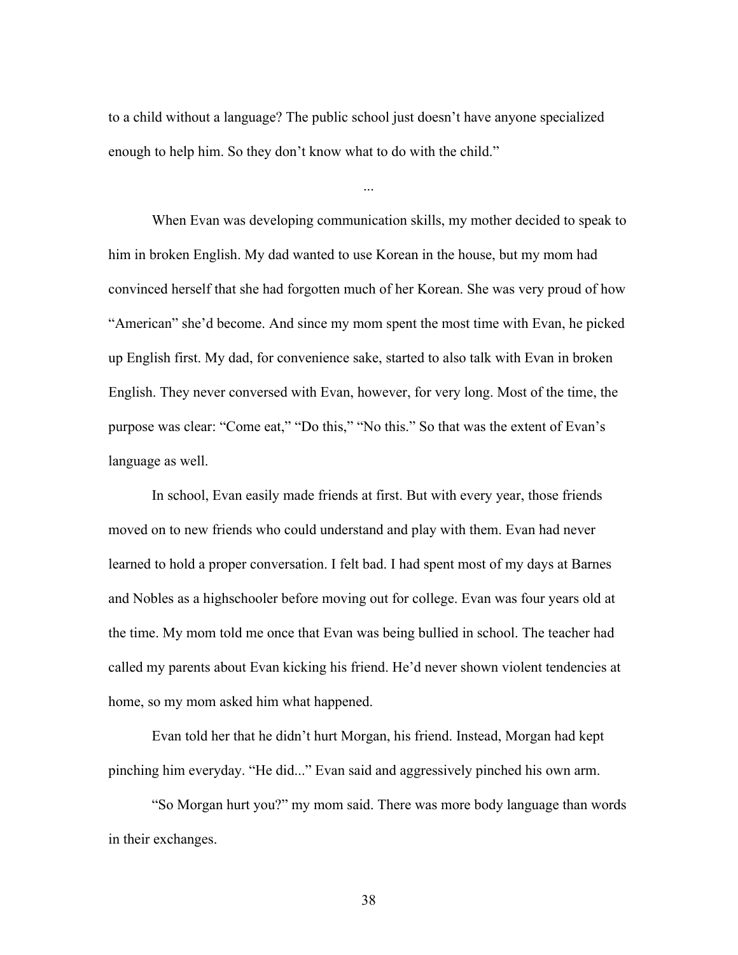to a child without a language? The public school just doesn't have anyone specialized enough to help him. So they don't know what to do with the child."

...

When Evan was developing communication skills, my mother decided to speak to him in broken English. My dad wanted to use Korean in the house, but my mom had convinced herself that she had forgotten much of her Korean. She was very proud of how "American" she'd become. And since my mom spent the most time with Evan, he picked up English first. My dad, for convenience sake, started to also talk with Evan in broken English. They never conversed with Evan, however, for very long. Most of the time, the purpose was clear: "Come eat," "Do this," "No this." So that was the extent of Evan's language as well.

In school, Evan easily made friends at first. But with every year, those friends moved on to new friends who could understand and play with them. Evan had never learned to hold a proper conversation. I felt bad. I had spent most of my days at Barnes and Nobles as a highschooler before moving out for college. Evan was four years old at the time. My mom told me once that Evan was being bullied in school. The teacher had called my parents about Evan kicking his friend. He'd never shown violent tendencies at home, so my mom asked him what happened.

Evan told her that he didn't hurt Morgan, his friend. Instead, Morgan had kept pinching him everyday. "He did..." Evan said and aggressively pinched his own arm.

"So Morgan hurt you?" my mom said. There was more body language than words in their exchanges.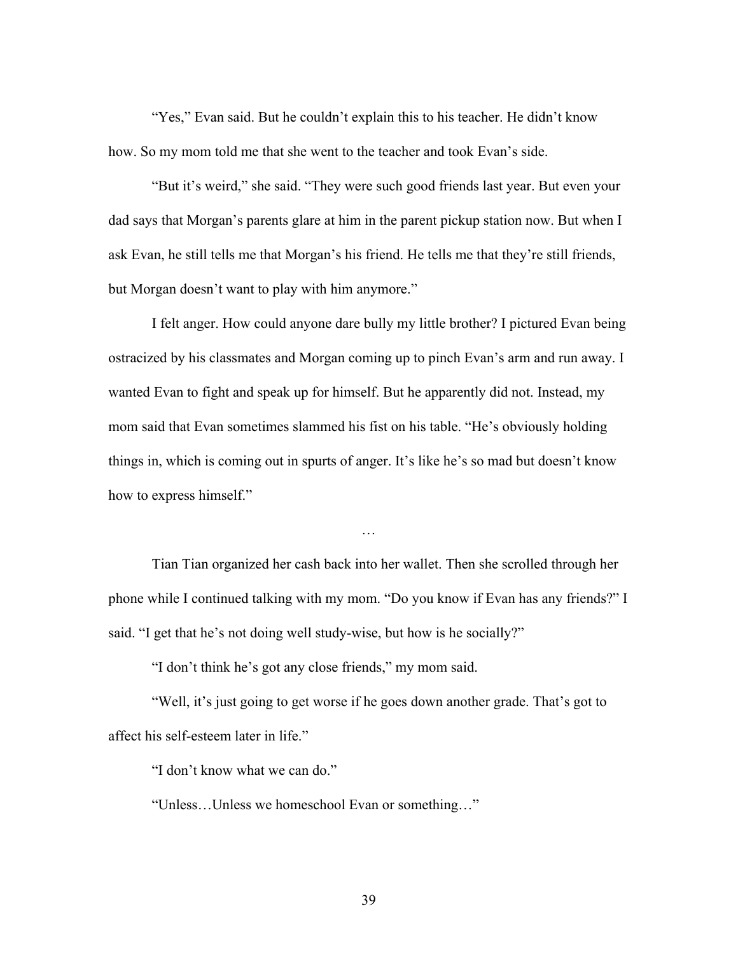"Yes," Evan said. But he couldn't explain this to his teacher. He didn't know how. So my mom told me that she went to the teacher and took Evan's side.

"But it's weird," she said. "They were such good friends last year. But even your dad says that Morgan's parents glare at him in the parent pickup station now. But when I ask Evan, he still tells me that Morgan's his friend. He tells me that they're still friends, but Morgan doesn't want to play with him anymore."

I felt anger. How could anyone dare bully my little brother? I pictured Evan being ostracized by his classmates and Morgan coming up to pinch Evan's arm and run away. I wanted Evan to fight and speak up for himself. But he apparently did not. Instead, my mom said that Evan sometimes slammed his fist on his table. "He's obviously holding things in, which is coming out in spurts of anger. It's like he's so mad but doesn't know how to express himself."

Tian Tian organized her cash back into her wallet. Then she scrolled through her phone while I continued talking with my mom. "Do you know if Evan has any friends?" I said. "I get that he's not doing well study-wise, but how is he socially?"

…

"I don't think he's got any close friends," my mom said.

"Well, it's just going to get worse if he goes down another grade. That's got to affect his self-esteem later in life."

"I don't know what we can do."

"Unless…Unless we homeschool Evan or something…"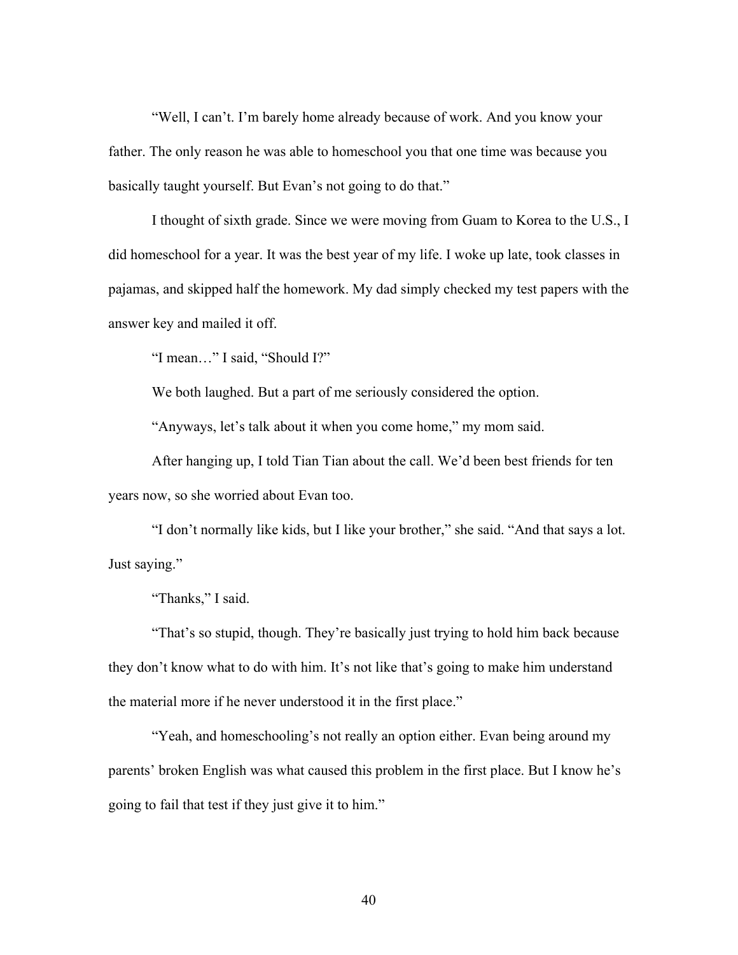"Well, I can't. I'm barely home already because of work. And you know your father. The only reason he was able to homeschool you that one time was because you basically taught yourself. But Evan's not going to do that."

I thought of sixth grade. Since we were moving from Guam to Korea to the U.S., I did homeschool for a year. It was the best year of my life. I woke up late, took classes in pajamas, and skipped half the homework. My dad simply checked my test papers with the answer key and mailed it off.

"I mean…" I said, "Should I?"

We both laughed. But a part of me seriously considered the option.

"Anyways, let's talk about it when you come home," my mom said.

After hanging up, I told Tian Tian about the call. We'd been best friends for ten years now, so she worried about Evan too.

"I don't normally like kids, but I like your brother," she said. "And that says a lot. Just saying."

"Thanks," I said.

"That's so stupid, though. They're basically just trying to hold him back because they don't know what to do with him. It's not like that's going to make him understand the material more if he never understood it in the first place."

"Yeah, and homeschooling's not really an option either. Evan being around my parents' broken English was what caused this problem in the first place. But I know he's going to fail that test if they just give it to him."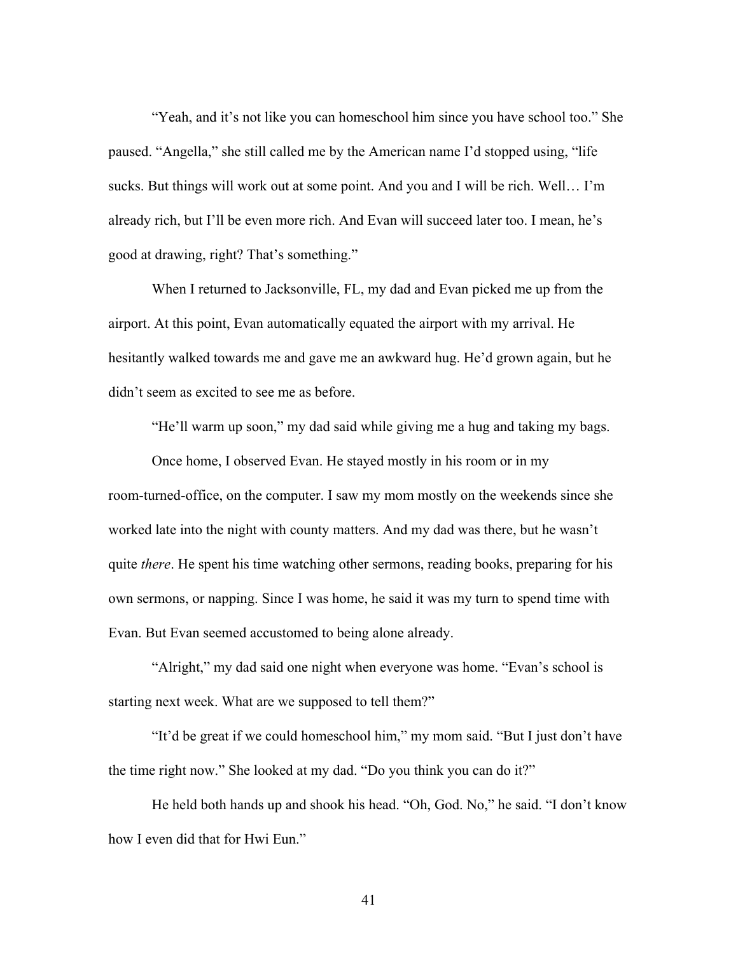"Yeah, and it's not like you can homeschool him since you have school too." She paused. "Angella," she still called me by the American name I'd stopped using, "life sucks. But things will work out at some point. And you and I will be rich. Well… I'm already rich, but I'll be even more rich. And Evan will succeed later too. I mean, he's good at drawing, right? That's something."

When I returned to Jacksonville, FL, my dad and Evan picked me up from the airport. At this point, Evan automatically equated the airport with my arrival. He hesitantly walked towards me and gave me an awkward hug. He'd grown again, but he didn't seem as excited to see me as before.

"He'll warm up soon," my dad said while giving me a hug and taking my bags.

Once home, I observed Evan. He stayed mostly in his room or in my room-turned-office, on the computer. I saw my mom mostly on the weekends since she worked late into the night with county matters. And my dad was there, but he wasn't quite *there*. He spent his time watching other sermons, reading books, preparing for his own sermons, or napping. Since I was home, he said it was my turn to spend time with Evan. But Evan seemed accustomed to being alone already.

"Alright," my dad said one night when everyone was home. "Evan's school is starting next week. What are we supposed to tell them?"

"It'd be great if we could homeschool him," my mom said. "But I just don't have the time right now." She looked at my dad. "Do you think you can do it?"

He held both hands up and shook his head. "Oh, God. No," he said. "I don't know how I even did that for Hwi Eun."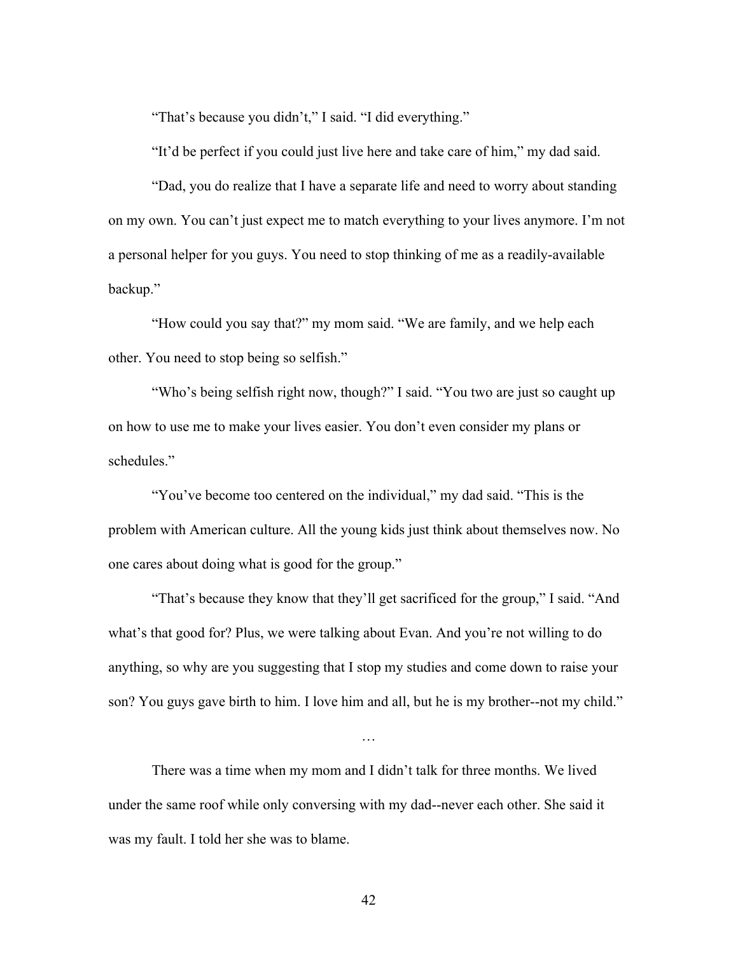"That's because you didn't," I said. "I did everything."

"It'd be perfect if you could just live here and take care of him," my dad said.

"Dad, you do realize that I have a separate life and need to worry about standing on my own. You can't just expect me to match everything to your lives anymore. I'm not a personal helper for you guys. You need to stop thinking of me as a readily-available backup."

"How could you say that?" my mom said. "We are family, and we help each other. You need to stop being so selfish."

"Who's being selfish right now, though?" I said. "You two are just so caught up on how to use me to make your lives easier. You don't even consider my plans or schedules."

"You've become too centered on the individual," my dad said. "This is the problem with American culture. All the young kids just think about themselves now. No one cares about doing what is good for the group."

"That's because they know that they'll get sacrificed for the group," I said. "And what's that good for? Plus, we were talking about Evan. And you're not willing to do anything, so why are you suggesting that I stop my studies and come down to raise your son? You guys gave birth to him. I love him and all, but he is my brother--not my child."

…

There was a time when my mom and I didn't talk for three months. We lived under the same roof while only conversing with my dad--never each other. She said it was my fault. I told her she was to blame.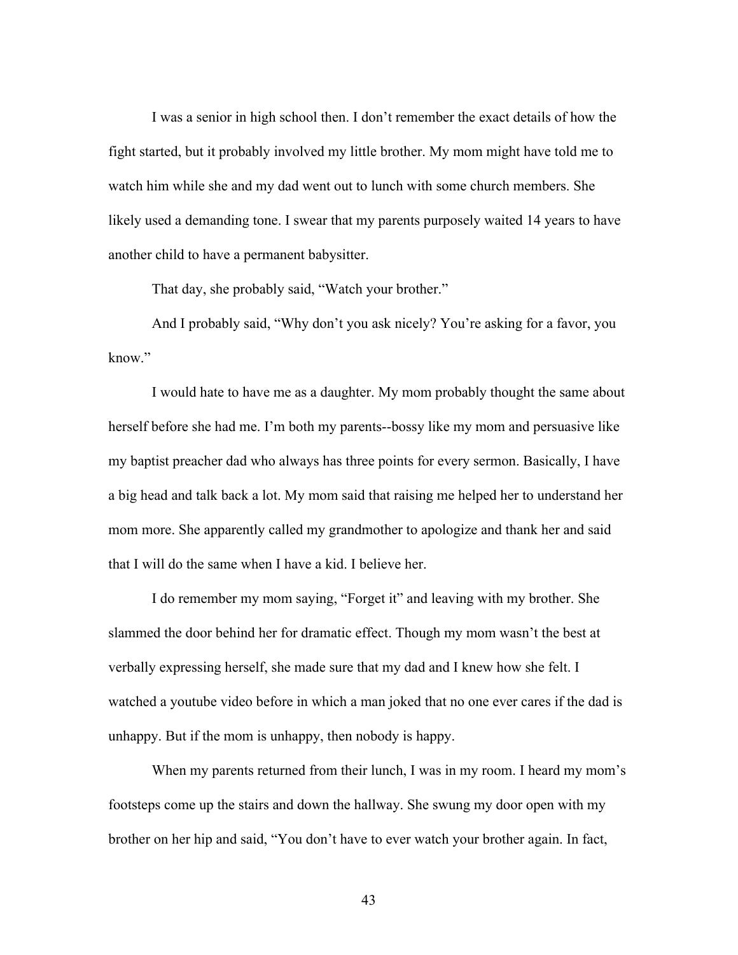I was a senior in high school then. I don't remember the exact details of how the fight started, but it probably involved my little brother. My mom might have told me to watch him while she and my dad went out to lunch with some church members. She likely used a demanding tone. I swear that my parents purposely waited 14 years to have another child to have a permanent babysitter.

That day, she probably said, "Watch your brother."

And I probably said, "Why don't you ask nicely? You're asking for a favor, you know."

I would hate to have me as a daughter. My mom probably thought the same about herself before she had me. I'm both my parents--bossy like my mom and persuasive like my baptist preacher dad who always has three points for every sermon. Basically, I have a big head and talk back a lot. My mom said that raising me helped her to understand her mom more. She apparently called my grandmother to apologize and thank her and said that I will do the same when I have a kid. I believe her.

I do remember my mom saying, "Forget it" and leaving with my brother. She slammed the door behind her for dramatic effect. Though my mom wasn't the best at verbally expressing herself, she made sure that my dad and I knew how she felt. I watched a youtube video before in which a man joked that no one ever cares if the dad is unhappy. But if the mom is unhappy, then nobody is happy.

When my parents returned from their lunch, I was in my room. I heard my mom's footsteps come up the stairs and down the hallway. She swung my door open with my brother on her hip and said, "You don't have to ever watch your brother again. In fact,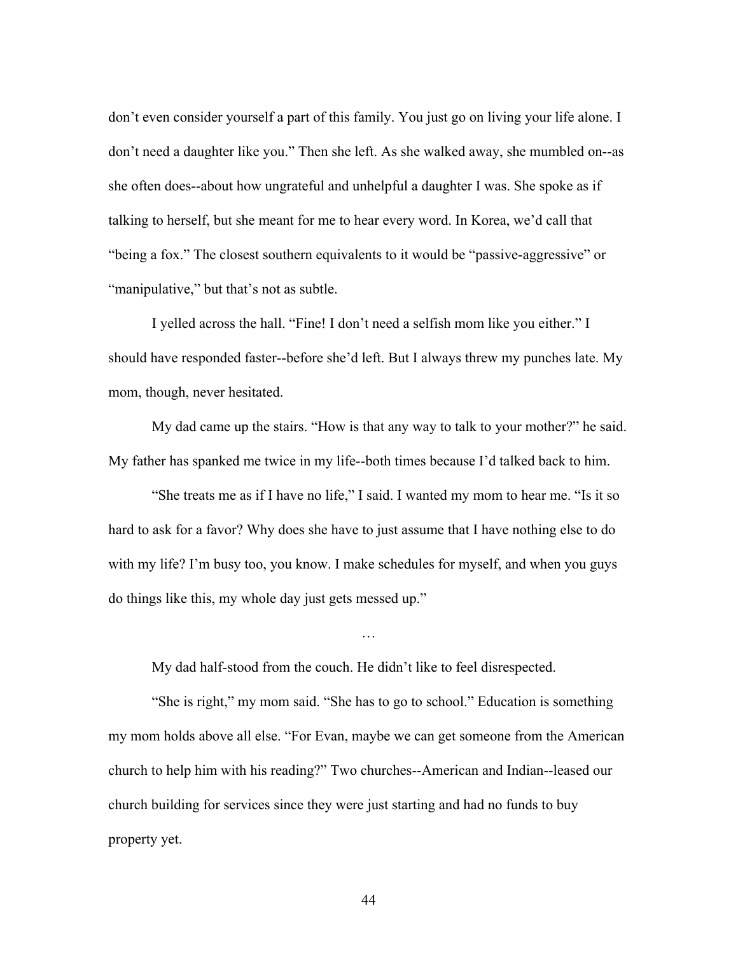don't even consider yourself a part of this family. You just go on living your life alone. I don't need a daughter like you." Then she left. As she walked away, she mumbled on--as she often does--about how ungrateful and unhelpful a daughter I was. She spoke as if talking to herself, but she meant for me to hear every word. In Korea, we'd call that "being a fox." The closest southern equivalents to it would be "passive-aggressive" or "manipulative," but that's not as subtle.

I yelled across the hall. "Fine! I don't need a selfish mom like you either." I should have responded faster--before she'd left. But I always threw my punches late. My mom, though, never hesitated.

My dad came up the stairs. "How is that any way to talk to your mother?" he said. My father has spanked me twice in my life--both times because I'd talked back to him.

"She treats me as if I have no life," I said. I wanted my mom to hear me. "Is it so hard to ask for a favor? Why does she have to just assume that I have nothing else to do with my life? I'm busy too, you know. I make schedules for myself, and when you guys do things like this, my whole day just gets messed up."

…

My dad half-stood from the couch. He didn't like to feel disrespected.

"She is right," my mom said. "She has to go to school." Education is something my mom holds above all else. "For Evan, maybe we can get someone from the American church to help him with his reading?" Two churches--American and Indian--leased our church building for services since they were just starting and had no funds to buy property yet.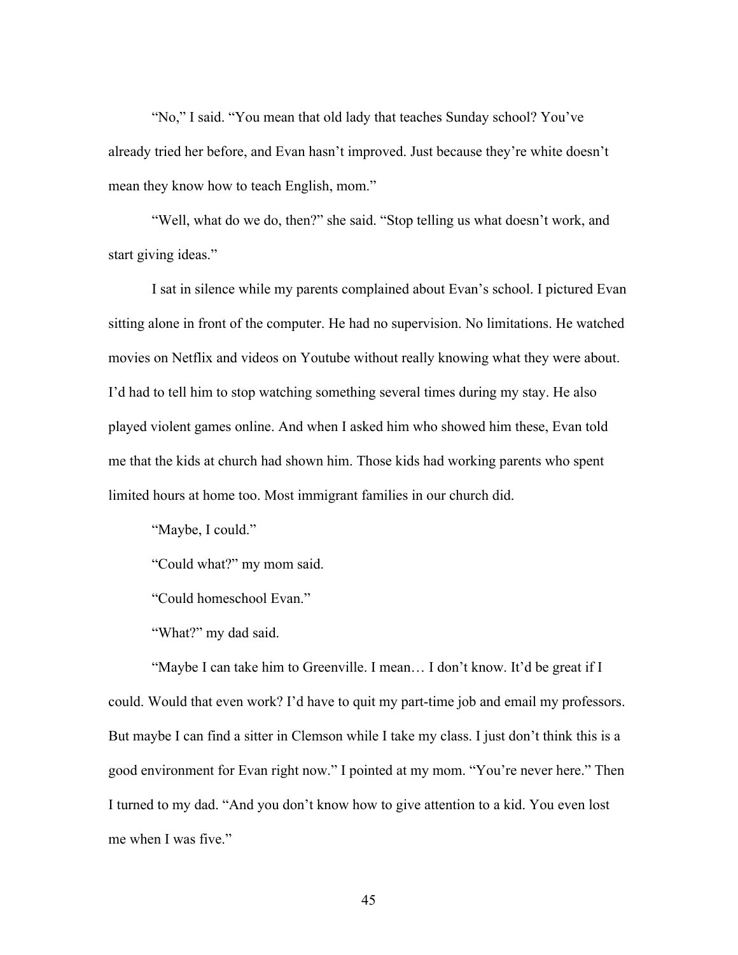"No," I said. "You mean that old lady that teaches Sunday school? You've already tried her before, and Evan hasn't improved. Just because they're white doesn't mean they know how to teach English, mom."

"Well, what do we do, then?" she said. "Stop telling us what doesn't work, and start giving ideas."

I sat in silence while my parents complained about Evan's school. I pictured Evan sitting alone in front of the computer. He had no supervision. No limitations. He watched movies on Netflix and videos on Youtube without really knowing what they were about. I'd had to tell him to stop watching something several times during my stay. He also played violent games online. And when I asked him who showed him these, Evan told me that the kids at church had shown him. Those kids had working parents who spent limited hours at home too. Most immigrant families in our church did.

"Maybe, I could."

"Could what?" my mom said.

"Could homeschool Evan."

"What?" my dad said.

"Maybe I can take him to Greenville. I mean… I don't know. It'd be great if I could. Would that even work? I'd have to quit my part-time job and email my professors. But maybe I can find a sitter in Clemson while I take my class. I just don't think this is a good environment for Evan right now." I pointed at my mom. "You're never here." Then I turned to my dad. "And you don't know how to give attention to a kid. You even lost me when I was five."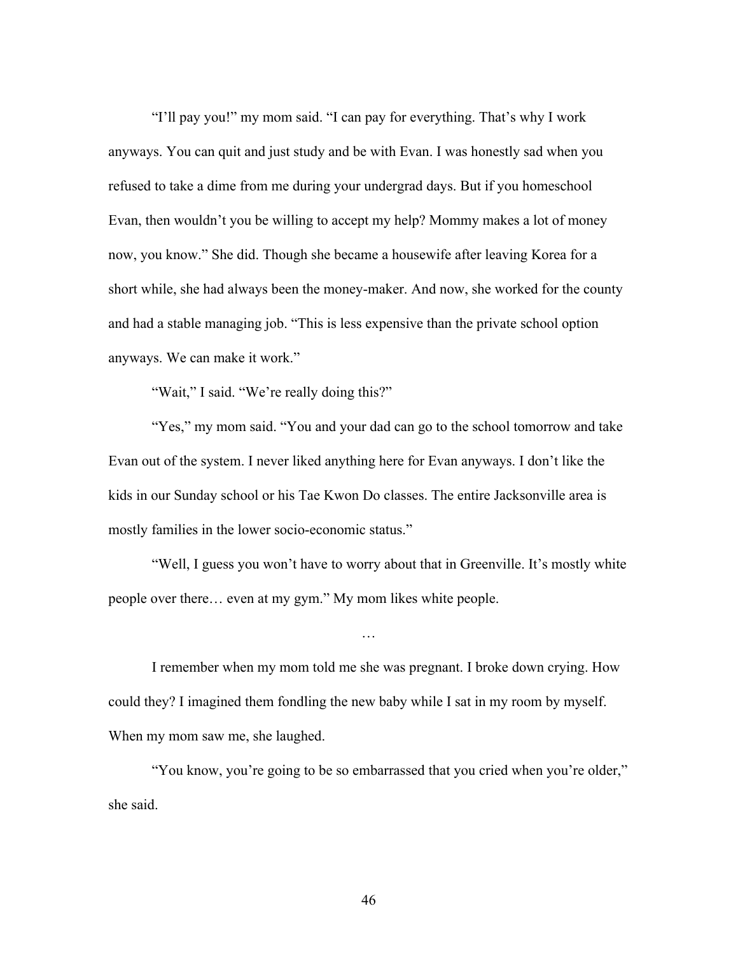"I'll pay you!" my mom said. "I can pay for everything. That's why I work anyways. You can quit and just study and be with Evan. I was honestly sad when you refused to take a dime from me during your undergrad days. But if you homeschool Evan, then wouldn't you be willing to accept my help? Mommy makes a lot of money now, you know." She did. Though she became a housewife after leaving Korea for a short while, she had always been the money-maker. And now, she worked for the county and had a stable managing job. "This is less expensive than the private school option anyways. We can make it work."

"Wait," I said. "We're really doing this?"

"Yes," my mom said. "You and your dad can go to the school tomorrow and take Evan out of the system. I never liked anything here for Evan anyways. I don't like the kids in our Sunday school or his Tae Kwon Do classes. The entire Jacksonville area is mostly families in the lower socio-economic status."

"Well, I guess you won't have to worry about that in Greenville. It's mostly white people over there… even at my gym." My mom likes white people.

…

I remember when my mom told me she was pregnant. I broke down crying. How could they? I imagined them fondling the new baby while I sat in my room by myself. When my mom saw me, she laughed.

"You know, you're going to be so embarrassed that you cried when you're older," she said.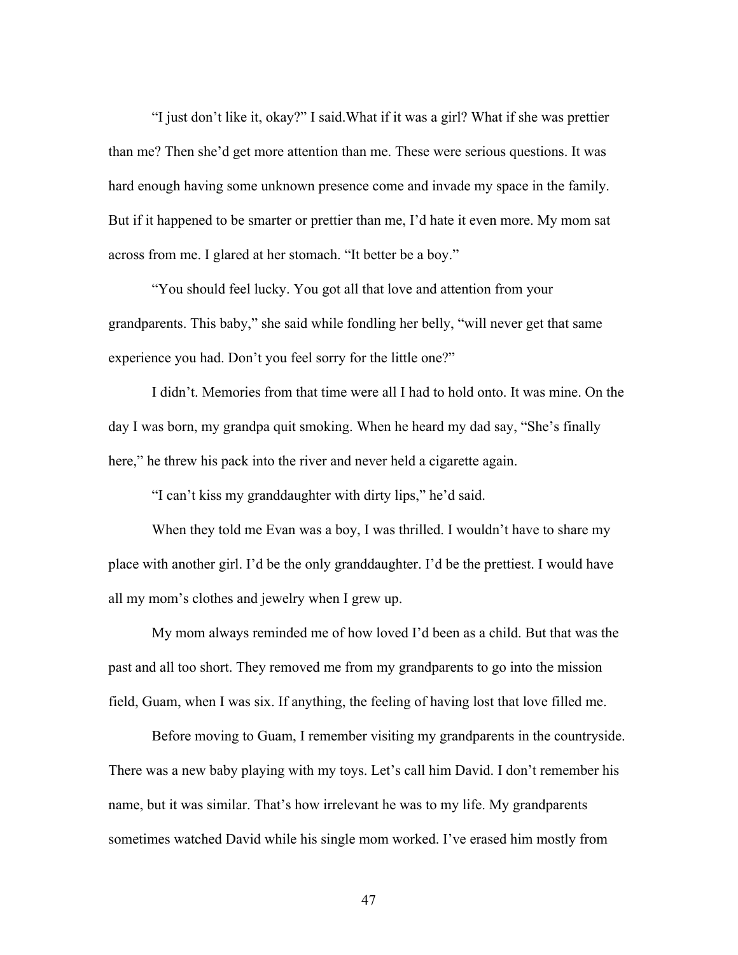"I just don't like it, okay?" I said.What if it was a girl? What if she was prettier than me? Then she'd get more attention than me. These were serious questions. It was hard enough having some unknown presence come and invade my space in the family. But if it happened to be smarter or prettier than me, I'd hate it even more. My mom sat across from me. I glared at her stomach. "It better be a boy."

"You should feel lucky. You got all that love and attention from your grandparents. This baby," she said while fondling her belly, "will never get that same experience you had. Don't you feel sorry for the little one?"

I didn't. Memories from that time were all I had to hold onto. It was mine. On the day I was born, my grandpa quit smoking. When he heard my dad say, "She's finally here," he threw his pack into the river and never held a cigarette again.

"I can't kiss my granddaughter with dirty lips," he'd said.

When they told me Evan was a boy, I was thrilled. I wouldn't have to share my place with another girl. I'd be the only granddaughter. I'd be the prettiest. I would have all my mom's clothes and jewelry when I grew up.

My mom always reminded me of how loved I'd been as a child. But that was the past and all too short. They removed me from my grandparents to go into the mission field, Guam, when I was six. If anything, the feeling of having lost that love filled me.

Before moving to Guam, I remember visiting my grandparents in the countryside. There was a new baby playing with my toys. Let's call him David. I don't remember his name, but it was similar. That's how irrelevant he was to my life. My grandparents sometimes watched David while his single mom worked. I've erased him mostly from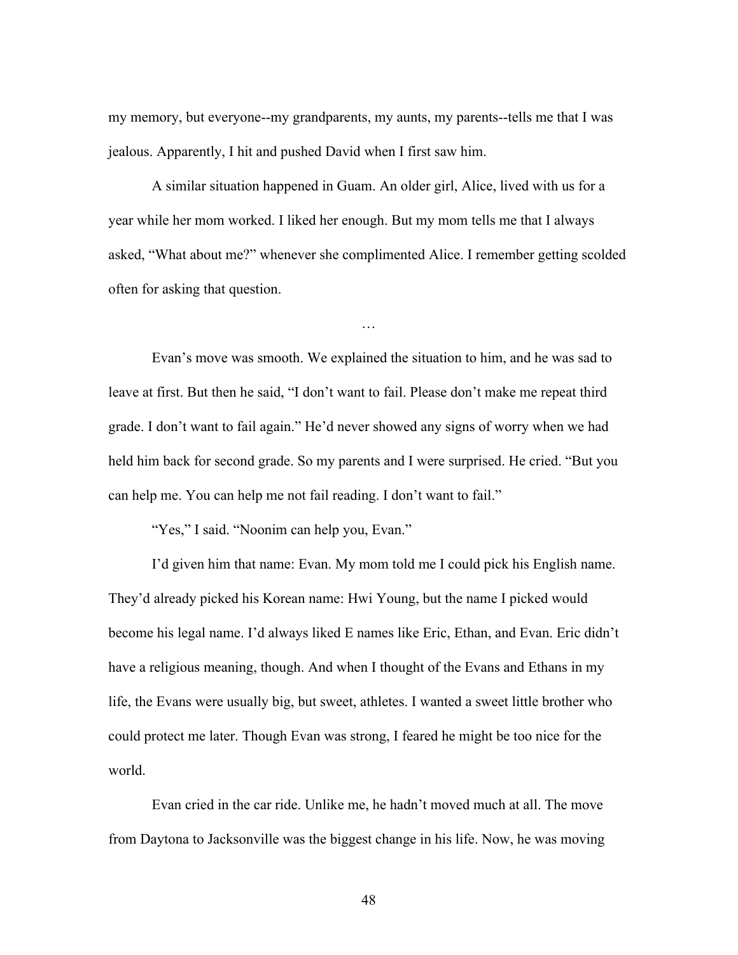my memory, but everyone--my grandparents, my aunts, my parents--tells me that I was jealous. Apparently, I hit and pushed David when I first saw him.

A similar situation happened in Guam. An older girl, Alice, lived with us for a year while her mom worked. I liked her enough. But my mom tells me that I always asked, "What about me?" whenever she complimented Alice. I remember getting scolded often for asking that question.

…

Evan's move was smooth. We explained the situation to him, and he was sad to leave at first. But then he said, "I don't want to fail. Please don't make me repeat third grade. I don't want to fail again." He'd never showed any signs of worry when we had held him back for second grade. So my parents and I were surprised. He cried. "But you can help me. You can help me not fail reading. I don't want to fail."

"Yes," I said. "Noonim can help you, Evan."

I'd given him that name: Evan. My mom told me I could pick his English name. They'd already picked his Korean name: Hwi Young, but the name I picked would become his legal name. I'd always liked E names like Eric, Ethan, and Evan. Eric didn't have a religious meaning, though. And when I thought of the Evans and Ethans in my life, the Evans were usually big, but sweet, athletes. I wanted a sweet little brother who could protect me later. Though Evan was strong, I feared he might be too nice for the world.

Evan cried in the car ride. Unlike me, he hadn't moved much at all. The move from Daytona to Jacksonville was the biggest change in his life. Now, he was moving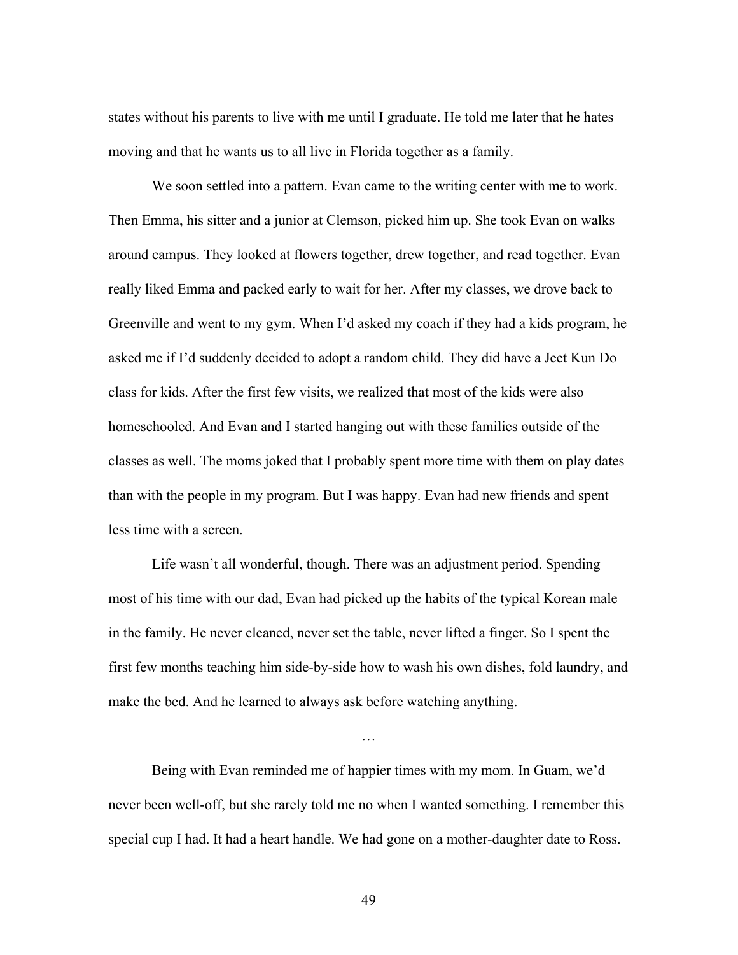states without his parents to live with me until I graduate. He told me later that he hates moving and that he wants us to all live in Florida together as a family.

We soon settled into a pattern. Evan came to the writing center with me to work. Then Emma, his sitter and a junior at Clemson, picked him up. She took Evan on walks around campus. They looked at flowers together, drew together, and read together. Evan really liked Emma and packed early to wait for her. After my classes, we drove back to Greenville and went to my gym. When I'd asked my coach if they had a kids program, he asked me if I'd suddenly decided to adopt a random child. They did have a Jeet Kun Do class for kids. After the first few visits, we realized that most of the kids were also homeschooled. And Evan and I started hanging out with these families outside of the classes as well. The moms joked that I probably spent more time with them on play dates than with the people in my program. But I was happy. Evan had new friends and spent less time with a screen.

Life wasn't all wonderful, though. There was an adjustment period. Spending most of his time with our dad, Evan had picked up the habits of the typical Korean male in the family. He never cleaned, never set the table, never lifted a finger. So I spent the first few months teaching him side-by-side how to wash his own dishes, fold laundry, and make the bed. And he learned to always ask before watching anything.

Being with Evan reminded me of happier times with my mom. In Guam, we'd never been well-off, but she rarely told me no when I wanted something. I remember this special cup I had. It had a heart handle. We had gone on a mother-daughter date to Ross.

…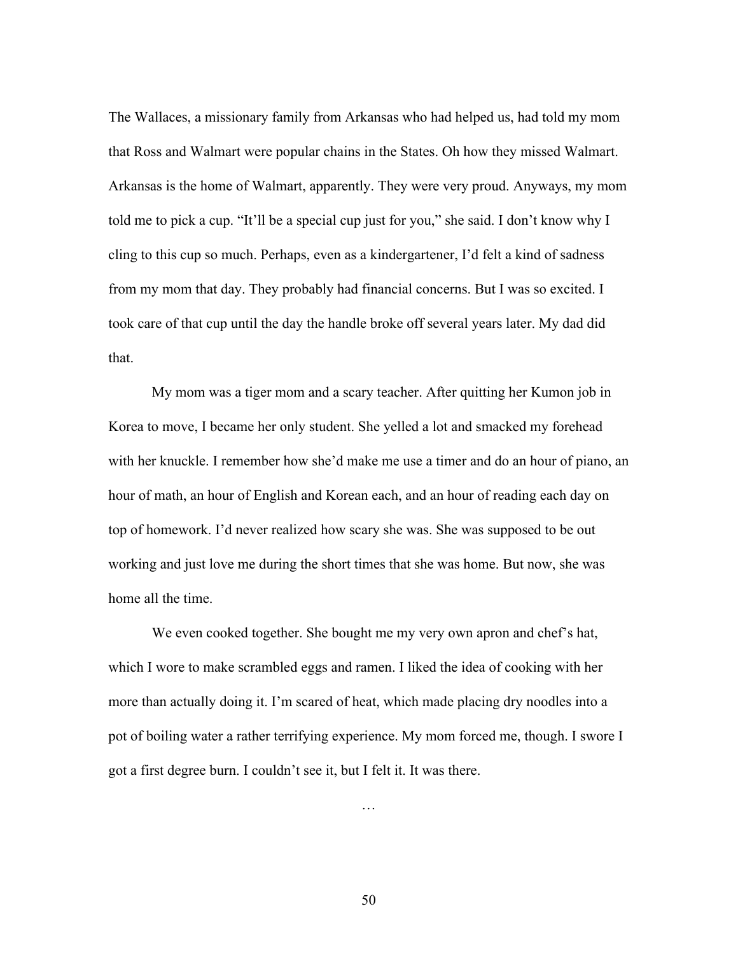The Wallaces, a missionary family from Arkansas who had helped us, had told my mom that Ross and Walmart were popular chains in the States. Oh how they missed Walmart. Arkansas is the home of Walmart, apparently. They were very proud. Anyways, my mom told me to pick a cup. "It'll be a special cup just for you," she said. I don't know why I cling to this cup so much. Perhaps, even as a kindergartener, I'd felt a kind of sadness from my mom that day. They probably had financial concerns. But I was so excited. I took care of that cup until the day the handle broke off several years later. My dad did that.

My mom was a tiger mom and a scary teacher. After quitting her Kumon job in Korea to move, I became her only student. She yelled a lot and smacked my forehead with her knuckle. I remember how she'd make me use a timer and do an hour of piano, an hour of math, an hour of English and Korean each, and an hour of reading each day on top of homework. I'd never realized how scary she was. She was supposed to be out working and just love me during the short times that she was home. But now, she was home all the time.

We even cooked together. She bought me my very own apron and chef's hat, which I wore to make scrambled eggs and ramen. I liked the idea of cooking with her more than actually doing it. I'm scared of heat, which made placing dry noodles into a pot of boiling water a rather terrifying experience. My mom forced me, though. I swore I got a first degree burn. I couldn't see it, but I felt it. It was there.

50

…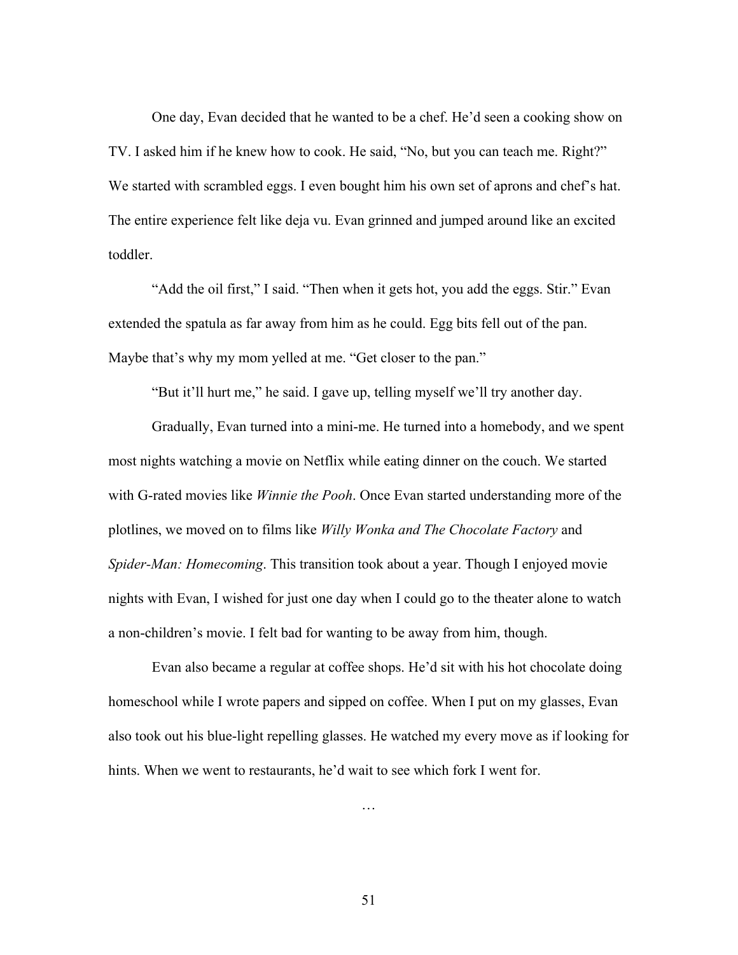One day, Evan decided that he wanted to be a chef. He'd seen a cooking show on TV. I asked him if he knew how to cook. He said, "No, but you can teach me. Right?" We started with scrambled eggs. I even bought him his own set of aprons and chef's hat. The entire experience felt like deja vu. Evan grinned and jumped around like an excited toddler.

"Add the oil first," I said. "Then when it gets hot, you add the eggs. Stir." Evan extended the spatula as far away from him as he could. Egg bits fell out of the pan. Maybe that's why my mom yelled at me. "Get closer to the pan."

"But it'll hurt me," he said. I gave up, telling myself we'll try another day.

Gradually, Evan turned into a mini-me. He turned into a homebody, and we spent most nights watching a movie on Netflix while eating dinner on the couch. We started with G-rated movies like *Winnie the Pooh*. Once Evan started understanding more of the plotlines, we moved on to films like *Willy Wonka and The Chocolate Factory* and *Spider-Man: Homecoming*. This transition took about a year. Though I enjoyed movie nights with Evan, I wished for just one day when I could go to the theater alone to watch a non-children's movie. I felt bad for wanting to be away from him, though.

Evan also became a regular at coffee shops. He'd sit with his hot chocolate doing homeschool while I wrote papers and sipped on coffee. When I put on my glasses, Evan also took out his blue-light repelling glasses. He watched my every move as if looking for hints. When we went to restaurants, he'd wait to see which fork I went for.

…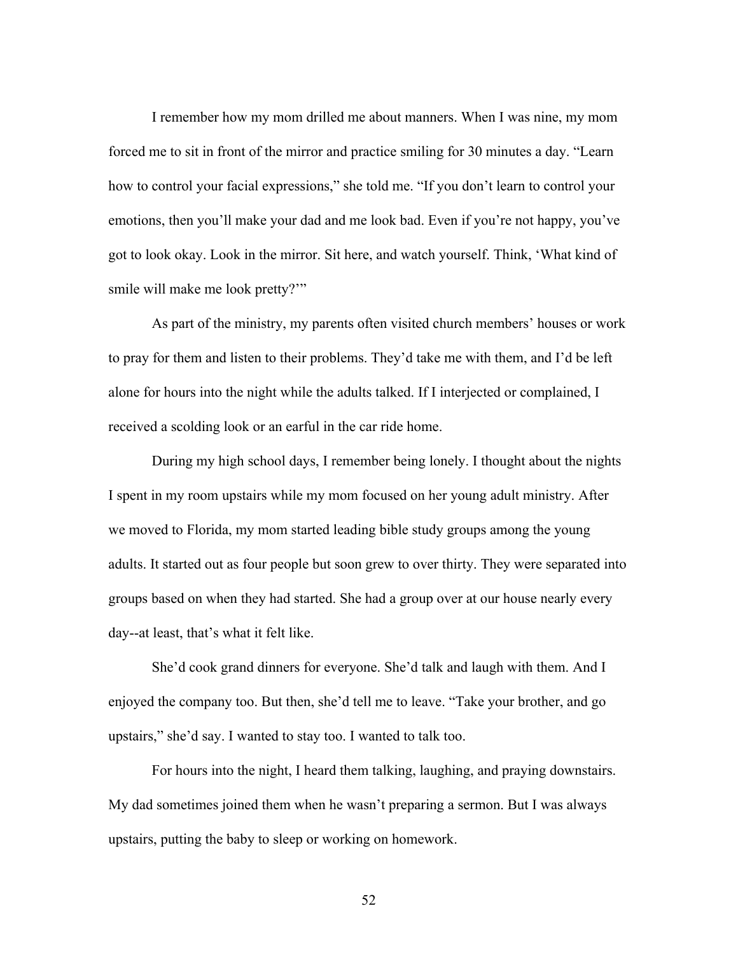I remember how my mom drilled me about manners. When I was nine, my mom forced me to sit in front of the mirror and practice smiling for 30 minutes a day. "Learn how to control your facial expressions," she told me. "If you don't learn to control your emotions, then you'll make your dad and me look bad. Even if you're not happy, you've got to look okay. Look in the mirror. Sit here, and watch yourself. Think, 'What kind of smile will make me look pretty?'"

As part of the ministry, my parents often visited church members' houses or work to pray for them and listen to their problems. They'd take me with them, and I'd be left alone for hours into the night while the adults talked. If I interjected or complained, I received a scolding look or an earful in the car ride home.

During my high school days, I remember being lonely. I thought about the nights I spent in my room upstairs while my mom focused on her young adult ministry. After we moved to Florida, my mom started leading bible study groups among the young adults. It started out as four people but soon grew to over thirty. They were separated into groups based on when they had started. She had a group over at our house nearly every day--at least, that's what it felt like.

She'd cook grand dinners for everyone. She'd talk and laugh with them. And I enjoyed the company too. But then, she'd tell me to leave. "Take your brother, and go upstairs," she'd say. I wanted to stay too. I wanted to talk too.

For hours into the night, I heard them talking, laughing, and praying downstairs. My dad sometimes joined them when he wasn't preparing a sermon. But I was always upstairs, putting the baby to sleep or working on homework.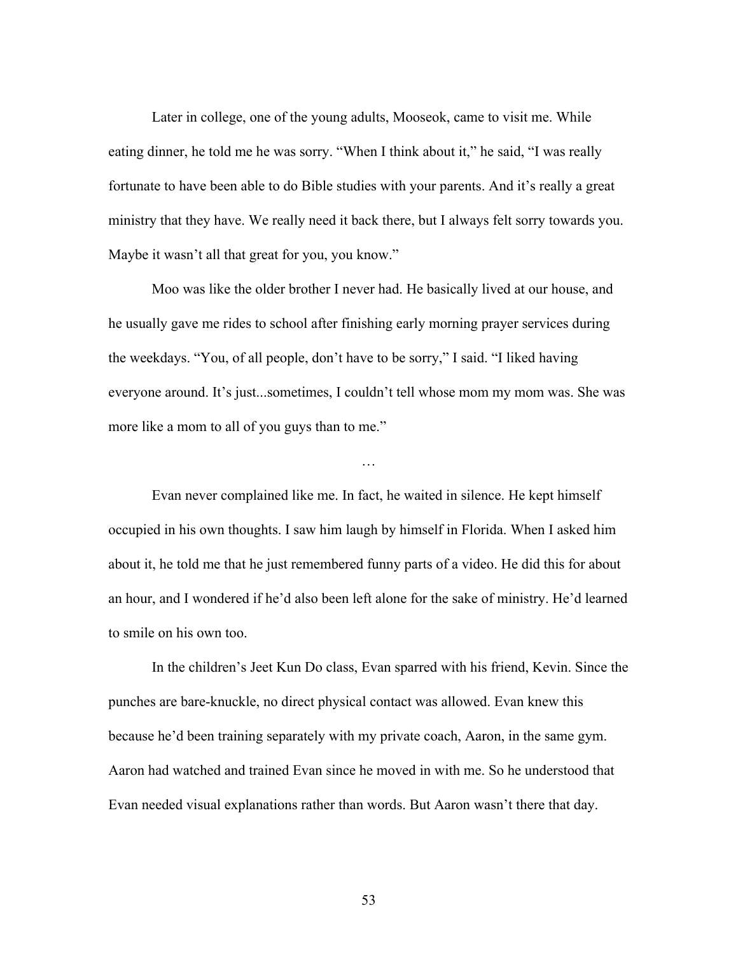Later in college, one of the young adults, Mooseok, came to visit me. While eating dinner, he told me he was sorry. "When I think about it," he said, "I was really fortunate to have been able to do Bible studies with your parents. And it's really a great ministry that they have. We really need it back there, but I always felt sorry towards you. Maybe it wasn't all that great for you, you know."

Moo was like the older brother I never had. He basically lived at our house, and he usually gave me rides to school after finishing early morning prayer services during the weekdays. "You, of all people, don't have to be sorry," I said. "I liked having everyone around. It's just...sometimes, I couldn't tell whose mom my mom was. She was more like a mom to all of you guys than to me."

Evan never complained like me. In fact, he waited in silence. He kept himself occupied in his own thoughts. I saw him laugh by himself in Florida. When I asked him about it, he told me that he just remembered funny parts of a video. He did this for about an hour, and I wondered if he'd also been left alone for the sake of ministry. He'd learned to smile on his own too.

…

In the children's Jeet Kun Do class, Evan sparred with his friend, Kevin. Since the punches are bare-knuckle, no direct physical contact was allowed. Evan knew this because he'd been training separately with my private coach, Aaron, in the same gym. Aaron had watched and trained Evan since he moved in with me. So he understood that Evan needed visual explanations rather than words. But Aaron wasn't there that day.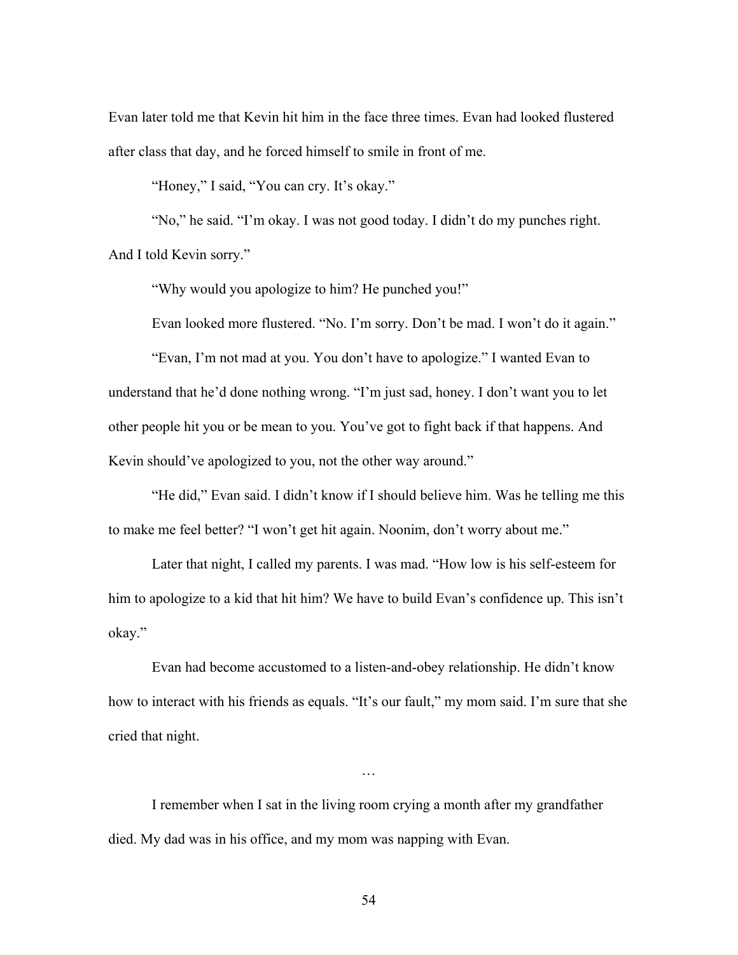Evan later told me that Kevin hit him in the face three times. Evan had looked flustered after class that day, and he forced himself to smile in front of me.

"Honey," I said, "You can cry. It's okay."

"No," he said. "I'm okay. I was not good today. I didn't do my punches right. And I told Kevin sorry."

"Why would you apologize to him? He punched you!"

Evan looked more flustered. "No. I'm sorry. Don't be mad. I won't do it again."

"Evan, I'm not mad at you. You don't have to apologize." I wanted Evan to understand that he'd done nothing wrong. "I'm just sad, honey. I don't want you to let other people hit you or be mean to you. You've got to fight back if that happens. And Kevin should've apologized to you, not the other way around."

"He did," Evan said. I didn't know if I should believe him. Was he telling me this to make me feel better? "I won't get hit again. Noonim, don't worry about me."

Later that night, I called my parents. I was mad. "How low is his self-esteem for him to apologize to a kid that hit him? We have to build Evan's confidence up. This isn't okay."

Evan had become accustomed to a listen-and-obey relationship. He didn't know how to interact with his friends as equals. "It's our fault," my mom said. I'm sure that she cried that night.

…

I remember when I sat in the living room crying a month after my grandfather died. My dad was in his office, and my mom was napping with Evan.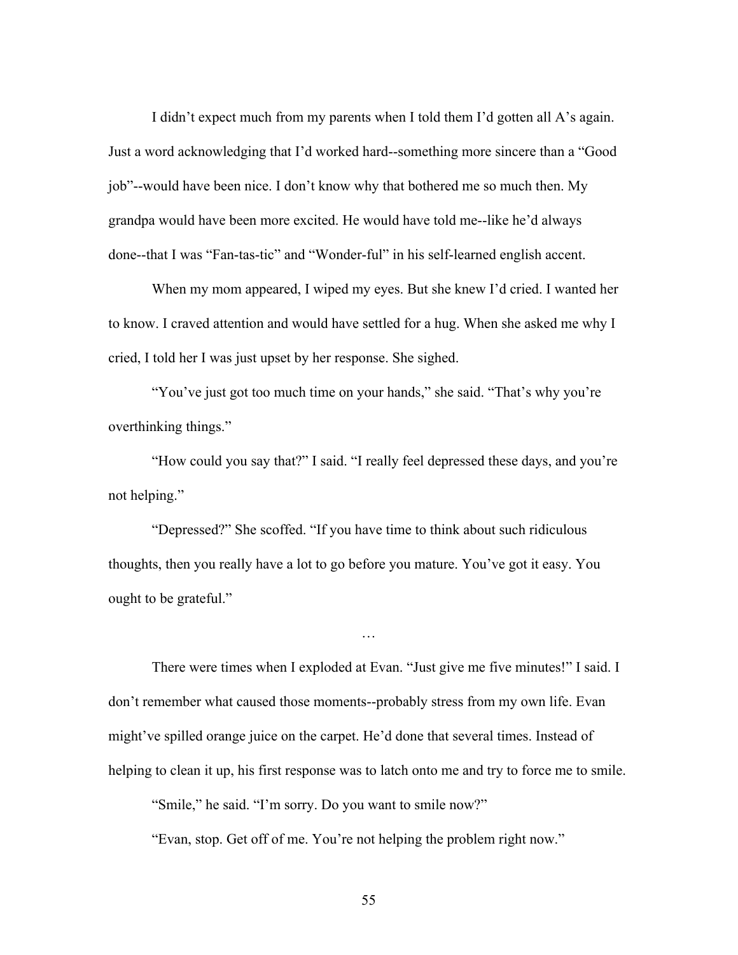I didn't expect much from my parents when I told them I'd gotten all A's again. Just a word acknowledging that I'd worked hard--something more sincere than a "Good job"--would have been nice. I don't know why that bothered me so much then. My grandpa would have been more excited. He would have told me--like he'd always done--that I was "Fan-tas-tic" and "Wonder-ful" in his self-learned english accent.

When my mom appeared, I wiped my eyes. But she knew I'd cried. I wanted her to know. I craved attention and would have settled for a hug. When she asked me why I cried, I told her I was just upset by her response. She sighed.

"You've just got too much time on your hands," she said. "That's why you're overthinking things."

"How could you say that?" I said. "I really feel depressed these days, and you're not helping."

"Depressed?" She scoffed. "If you have time to think about such ridiculous thoughts, then you really have a lot to go before you mature. You've got it easy. You ought to be grateful."

There were times when I exploded at Evan. "Just give me five minutes!" I said. I don't remember what caused those moments--probably stress from my own life. Evan might've spilled orange juice on the carpet. He'd done that several times. Instead of helping to clean it up, his first response was to latch onto me and try to force me to smile.

…

"Smile," he said. "I'm sorry. Do you want to smile now?"

"Evan, stop. Get off of me. You're not helping the problem right now."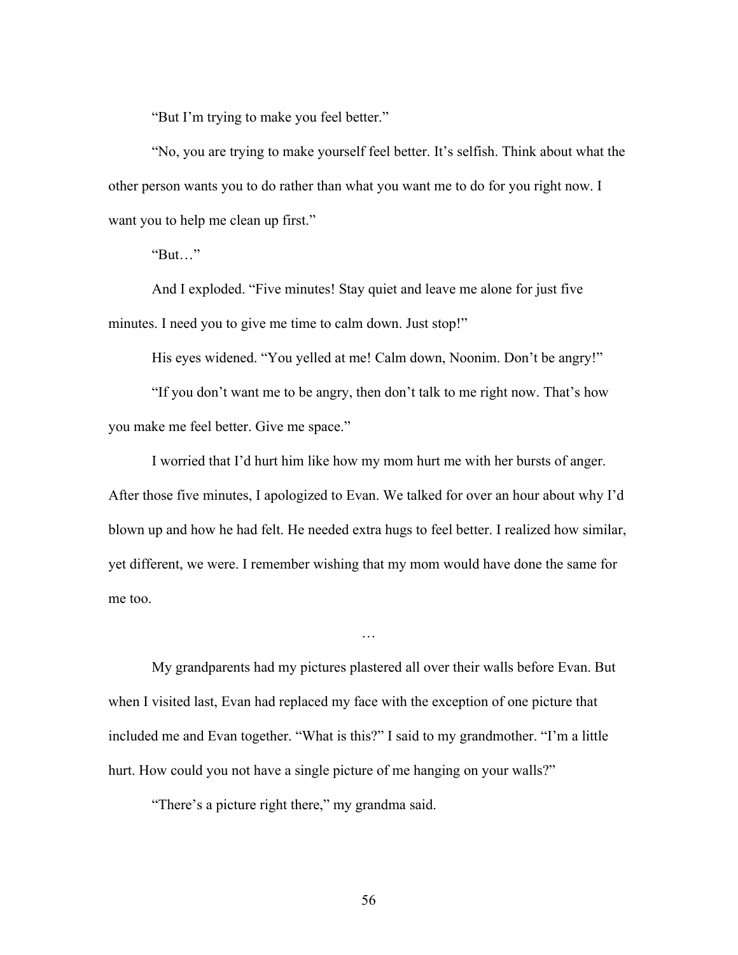"But I'm trying to make you feel better."

"No, you are trying to make yourself feel better. It's selfish. Think about what the other person wants you to do rather than what you want me to do for you right now. I want you to help me clean up first."

"But…"

And I exploded. "Five minutes! Stay quiet and leave me alone for just five minutes. I need you to give me time to calm down. Just stop!"

His eyes widened. "You yelled at me! Calm down, Noonim. Don't be angry!"

"If you don't want me to be angry, then don't talk to me right now. That's how you make me feel better. Give me space."

I worried that I'd hurt him like how my mom hurt me with her bursts of anger. After those five minutes, I apologized to Evan. We talked for over an hour about why I'd blown up and how he had felt. He needed extra hugs to feel better. I realized how similar, yet different, we were. I remember wishing that my mom would have done the same for me too.

…

My grandparents had my pictures plastered all over their walls before Evan. But when I visited last, Evan had replaced my face with the exception of one picture that included me and Evan together. "What is this?" I said to my grandmother. "I'm a little hurt. How could you not have a single picture of me hanging on your walls?"

"There's a picture right there," my grandma said.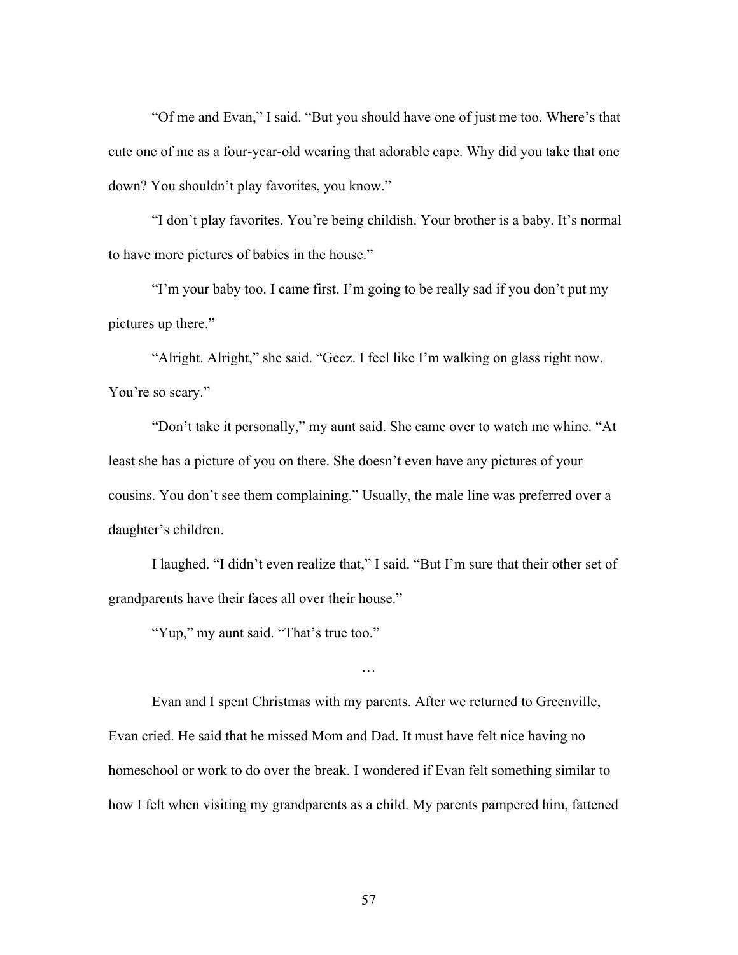"Of me and Evan," I said. "But you should have one of just me too. Where's that cute one of me as a four-year-old wearing that adorable cape. Why did you take that one down? You shouldn't play favorites, you know."

"I don't play favorites. You're being childish. Your brother is a baby. It's normal to have more pictures of babies in the house."

"I'm your baby too. I came first. I'm going to be really sad if you don't put my pictures up there."

"Alright. Alright," she said. "Geez. I feel like I'm walking on glass right now. You're so scary."

"Don't take it personally," my aunt said. She came over to watch me whine. "At least she has a picture of you on there. She doesn't even have any pictures of your cousins. You don't see them complaining." Usually, the male line was preferred over a daughter's children.

I laughed. "I didn't even realize that," I said. "But I'm sure that their other set of grandparents have their faces all over their house."

…

"Yup," my aunt said. "That's true too."

Evan and I spent Christmas with my parents. After we returned to Greenville, Evan cried. He said that he missed Mom and Dad. It must have felt nice having no homeschool or work to do over the break. I wondered if Evan felt something similar to how I felt when visiting my grandparents as a child. My parents pampered him, fattened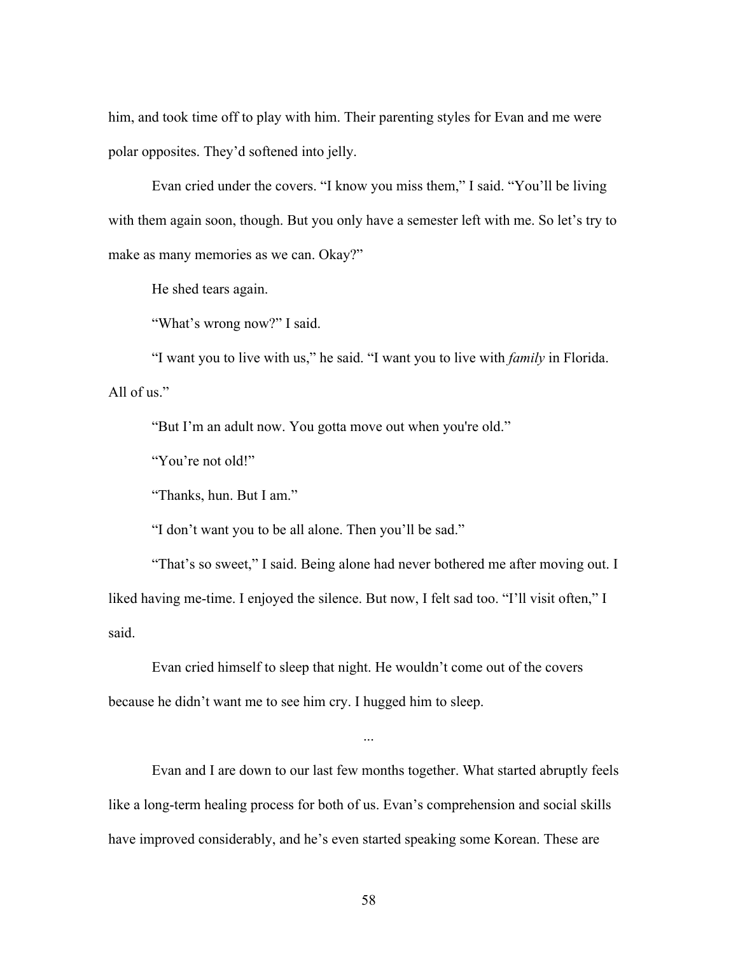him, and took time off to play with him. Their parenting styles for Evan and me were polar opposites. They'd softened into jelly.

Evan cried under the covers. "I know you miss them," I said. "You'll be living with them again soon, though. But you only have a semester left with me. So let's try to make as many memories as we can. Okay?"

He shed tears again.

"What's wrong now?" I said.

"I want you to live with us," he said. "I want you to live with *family* in Florida. All of us."

"But I'm an adult now. You gotta move out when you're old."

"You're not old!"

"Thanks, hun. But I am."

"I don't want you to be all alone. Then you'll be sad."

"That's so sweet," I said. Being alone had never bothered me after moving out. I liked having me-time. I enjoyed the silence. But now, I felt sad too. "I'll visit often," I said.

Evan cried himself to sleep that night. He wouldn't come out of the covers because he didn't want me to see him cry. I hugged him to sleep.

Evan and I are down to our last few months together. What started abruptly feels like a long-term healing process for both of us. Evan's comprehension and social skills have improved considerably, and he's even started speaking some Korean. These are

...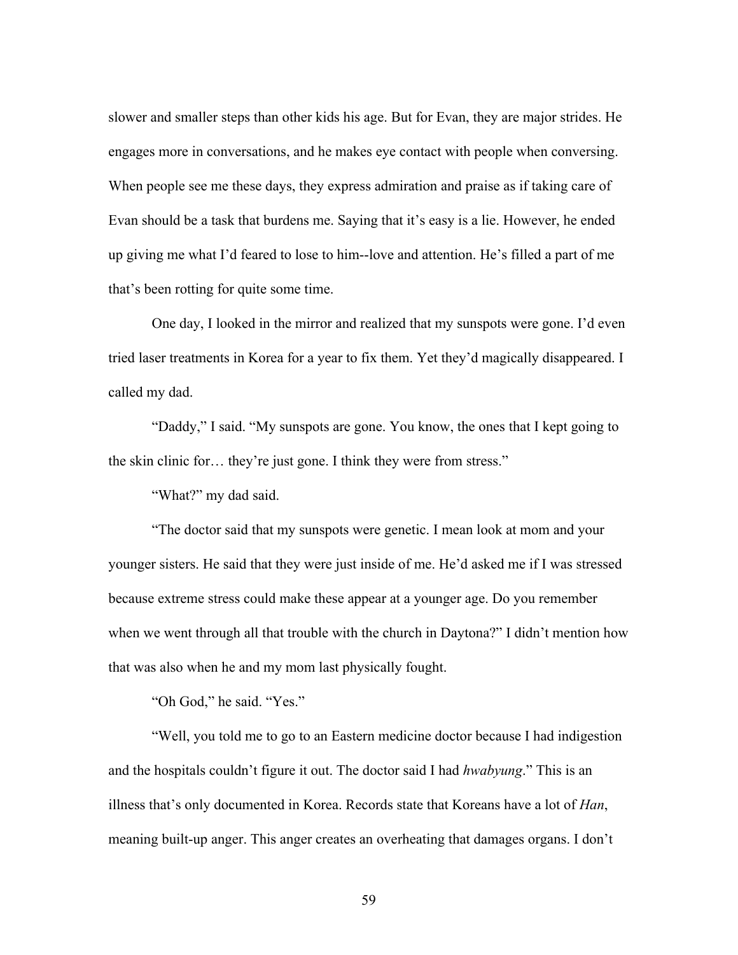slower and smaller steps than other kids his age. But for Evan, they are major strides. He engages more in conversations, and he makes eye contact with people when conversing. When people see me these days, they express admiration and praise as if taking care of Evan should be a task that burdens me. Saying that it's easy is a lie. However, he ended up giving me what I'd feared to lose to him--love and attention. He's filled a part of me that's been rotting for quite some time.

One day, I looked in the mirror and realized that my sunspots were gone. I'd even tried laser treatments in Korea for a year to fix them. Yet they'd magically disappeared. I called my dad.

"Daddy," I said. "My sunspots are gone. You know, the ones that I kept going to the skin clinic for… they're just gone. I think they were from stress."

"What?" my dad said.

"The doctor said that my sunspots were genetic. I mean look at mom and your younger sisters. He said that they were just inside of me. He'd asked me if I was stressed because extreme stress could make these appear at a younger age. Do you remember when we went through all that trouble with the church in Daytona?" I didn't mention how that was also when he and my mom last physically fought.

"Oh God," he said. "Yes."

"Well, you told me to go to an Eastern medicine doctor because I had indigestion and the hospitals couldn't figure it out. The doctor said I had *hwabyung*." This is an illness that's only documented in Korea. Records state that Koreans have a lot of *Han*, meaning built-up anger. This anger creates an overheating that damages organs. I don't